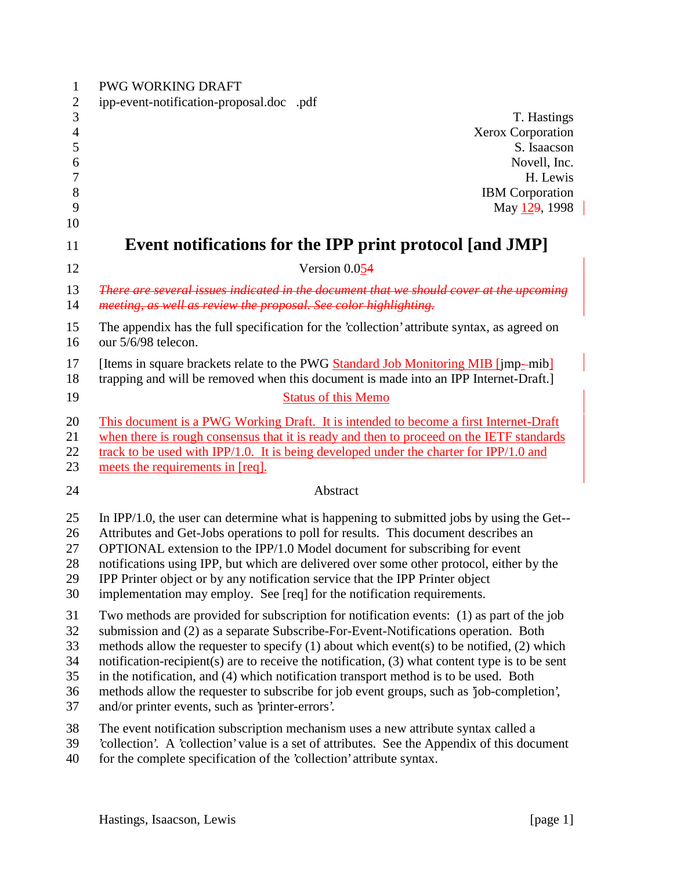| $\mathbf{1}$        | <b>PWG WORKING DRAFT</b>                                                                                                                                                         |
|---------------------|----------------------------------------------------------------------------------------------------------------------------------------------------------------------------------|
| $\overline{c}$<br>3 | ipp-event-notification-proposal.docpdf<br>T. Hastings                                                                                                                            |
| $\overline{4}$<br>5 | Xerox Corporation<br>S. Isaacson                                                                                                                                                 |
| 6                   | Novell, Inc.                                                                                                                                                                     |
| $\boldsymbol{7}$    | H. Lewis                                                                                                                                                                         |
| 8                   | <b>IBM</b> Corporation                                                                                                                                                           |
| 9                   | May 129, 1998                                                                                                                                                                    |
| 10                  |                                                                                                                                                                                  |
| 11                  | Event notifications for the IPP print protocol [and JMP]                                                                                                                         |
| 12                  | Version 0.054                                                                                                                                                                    |
| 13<br>14            | There are several issues indicated in the document that we should cover at the upcoming<br>meeting, as well as review the proposal. See color highlighting.                      |
| 15<br>16            | The appendix has the full specification for the 'collection' attribute syntax, as agreed on<br>our 5/6/98 telecon.                                                               |
| 17<br>18            | [Items in square brackets relate to the PWG Standard Job Monitoring MIB [jmp--mib]<br>trapping and will be removed when this document is made into an IPP Internet-Draft.]       |
| 19                  | <b>Status of this Memo</b>                                                                                                                                                       |
| 20                  | This document is a PWG Working Draft. It is intended to become a first Internet-Draft                                                                                            |
| 21                  | when there is rough consensus that it is ready and then to proceed on the IETF standards                                                                                         |
| 22                  | track to be used with IPP/1.0. It is being developed under the charter for IPP/1.0 and                                                                                           |
| 23                  | meets the requirements in [req].                                                                                                                                                 |
| 24                  | Abstract                                                                                                                                                                         |
| 25                  | In IPP/1.0, the user can determine what is happening to submitted jobs by using the Get--                                                                                        |
| 26                  | Attributes and Get-Jobs operations to poll for results. This document describes an                                                                                               |
| 27                  | OPTIONAL extension to the IPP/1.0 Model document for subscribing for event                                                                                                       |
| 28                  | notifications using IPP, but which are delivered over some other protocol, either by the                                                                                         |
| 29                  | IPP Printer object or by any notification service that the IPP Printer object                                                                                                    |
| 30                  | implementation may employ. See [req] for the notification requirements.                                                                                                          |
| 31                  | Two methods are provided for subscription for notification events: (1) as part of the job                                                                                        |
| 32                  | submission and (2) as a separate Subscribe-For-Event-Notifications operation. Both                                                                                               |
| 33                  | methods allow the requester to specify $(1)$ about which event(s) to be notified, $(2)$ which                                                                                    |
| 34                  | notification-recipient(s) are to receive the notification, $(3)$ what content type is to be sent                                                                                 |
| 35<br>36            | in the notification, and (4) which notification transport method is to be used. Both<br>methods allow the requester to subscribe for job event groups, such as 'job-completion', |
| 37                  | and/or printer events, such as 'printer-errors'.                                                                                                                                 |
| 38                  | The event notification subscription mechanism uses a new attribute syntax called a                                                                                               |
| 39                  | collection'. A 'collection' value is a set of attributes. See the Appendix of this document                                                                                      |
| 40                  | for the complete specification of the 'collection' attribute syntax.                                                                                                             |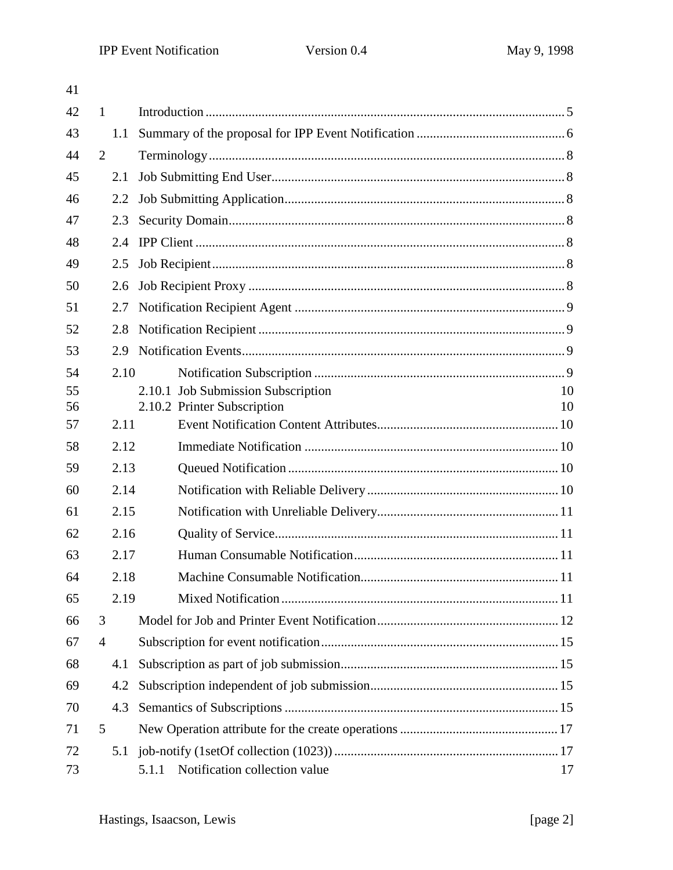| 41       |                |      |                                        |          |
|----------|----------------|------|----------------------------------------|----------|
| 42       | $\mathbf{1}$   |      |                                        |          |
| 43       |                | 1.1  |                                        |          |
| 44       | 2              |      |                                        |          |
| 45       |                | 2.1  |                                        |          |
| 46       |                | 2.2  |                                        |          |
| 47       |                | 2.3  |                                        |          |
| 48       |                | 2.4  |                                        |          |
| 49       |                | 2.5  |                                        |          |
| 50       |                | 2.6  |                                        |          |
| 51       |                | 2.7  |                                        |          |
| 52       |                | 2.8  |                                        |          |
| 53       |                | 2.9  |                                        |          |
| 54       |                | 2.10 |                                        |          |
| 55<br>56 |                |      | 2.10.1 Job Submission Subscription     | 10<br>10 |
| 57       |                | 2.11 | 2.10.2 Printer Subscription            |          |
| 58       |                | 2.12 |                                        |          |
| 59       |                | 2.13 |                                        |          |
| 60       |                | 2.14 |                                        |          |
| 61       |                | 2.15 |                                        |          |
| 62       |                | 2.16 |                                        |          |
| 63       |                | 2.17 |                                        |          |
| 64       |                | 2.18 |                                        |          |
| 65       |                | 2.19 |                                        |          |
| 66       | 3              |      |                                        |          |
| 67       | $\overline{4}$ |      |                                        |          |
| 68       |                | 4.1  |                                        |          |
| 69       |                | 4.2  |                                        |          |
| 70       |                | 4.3  |                                        |          |
| 71       | 5              |      |                                        |          |
| 72       |                | 5.1  |                                        |          |
| 73       |                |      | Notification collection value<br>5.1.1 | 17       |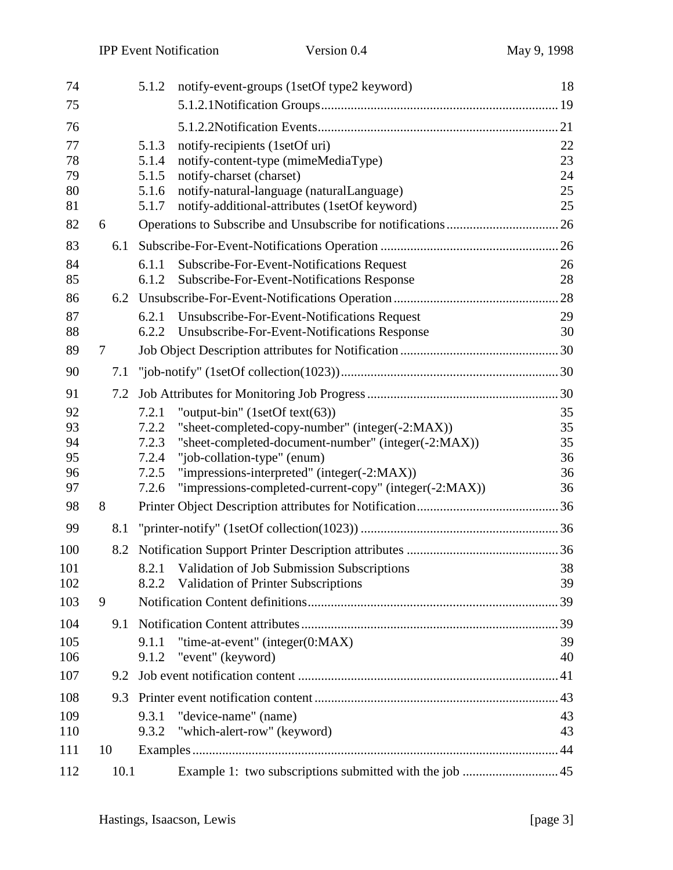| 74       |      | notify-event-groups (1setOf type2 keyword)<br>5.1.2                                                                     | 18       |
|----------|------|-------------------------------------------------------------------------------------------------------------------------|----------|
| 75       |      |                                                                                                                         |          |
| 76       |      |                                                                                                                         |          |
| 77       |      | notify-recipients (1setOf uri)<br>5.1.3                                                                                 | 22       |
| 78       |      | 5.1.4<br>notify-content-type (mimeMediaType)                                                                            | 23       |
| 79       |      | notify-charset (charset)<br>5.1.5                                                                                       | 24       |
| 80       |      | notify-natural-language (naturalLanguage)<br>5.1.6                                                                      | 25       |
| 81       |      | notify-additional-attributes (1setOf keyword)<br>5.1.7                                                                  | 25       |
| 82       | 6    |                                                                                                                         |          |
| 83       | 6.1  |                                                                                                                         |          |
| 84       |      | Subscribe-For-Event-Notifications Request<br>6.1.1                                                                      | 26       |
| 85       |      | Subscribe-For-Event-Notifications Response<br>6.1.2                                                                     | 28       |
| 86       | 6.2  |                                                                                                                         | .28      |
| 87       |      | Unsubscribe-For-Event-Notifications Request<br>6.2.1                                                                    | 29       |
| 88       |      | Unsubscribe-For-Event-Notifications Response<br>6.2.2                                                                   | 30       |
| 89       | 7    |                                                                                                                         | .30      |
| 90       | 7.1  |                                                                                                                         |          |
| 91       |      |                                                                                                                         |          |
| 92       |      | "output-bin" $(1setOf text(63))$<br>7.2.1                                                                               | 35       |
| 93       |      | "sheet-completed-copy-number" (integer(-2:MAX))<br>7.2.2                                                                | 35       |
| 94       |      | 7.2.3<br>"sheet-completed-document-number" (integer(-2:MAX))                                                            | 35       |
| 95       |      | 7.2.4<br>"job-collation-type" (enum)                                                                                    | 36       |
| 96<br>97 |      | "impressions-interpreted" (integer(-2:MAX))<br>7.2.5<br>7.2.6<br>"impressions-completed-current-copy" (integer(-2:MAX)) | 36<br>36 |
|          |      |                                                                                                                         |          |
| 98       | 8    |                                                                                                                         |          |
| 99       | 8.1  |                                                                                                                         |          |
| 100      |      |                                                                                                                         |          |
| 101      |      | 8.2.1 Validation of Job Submission Subscriptions                                                                        | 38       |
| 102      |      | <b>Validation of Printer Subscriptions</b><br>8.2.2                                                                     | 39       |
| 103      | 9    |                                                                                                                         | 39       |
| 104      | 9.1  |                                                                                                                         | .39      |
| 105      |      | "time-at-event" (integer(0:MAX)<br>9.1.1                                                                                | 39       |
| 106      |      | "event" (keyword)<br>9.1.2                                                                                              | 40       |
| 107      | 9.2  |                                                                                                                         |          |
| 108      | 9.3  |                                                                                                                         |          |
| 109      |      | "device-name" (name)<br>9.3.1                                                                                           | 43       |
| 110      |      | "which-alert-row" (keyword)<br>9.3.2                                                                                    | 43       |
| 111      | 10   |                                                                                                                         | 44       |
| 112      | 10.1 |                                                                                                                         |          |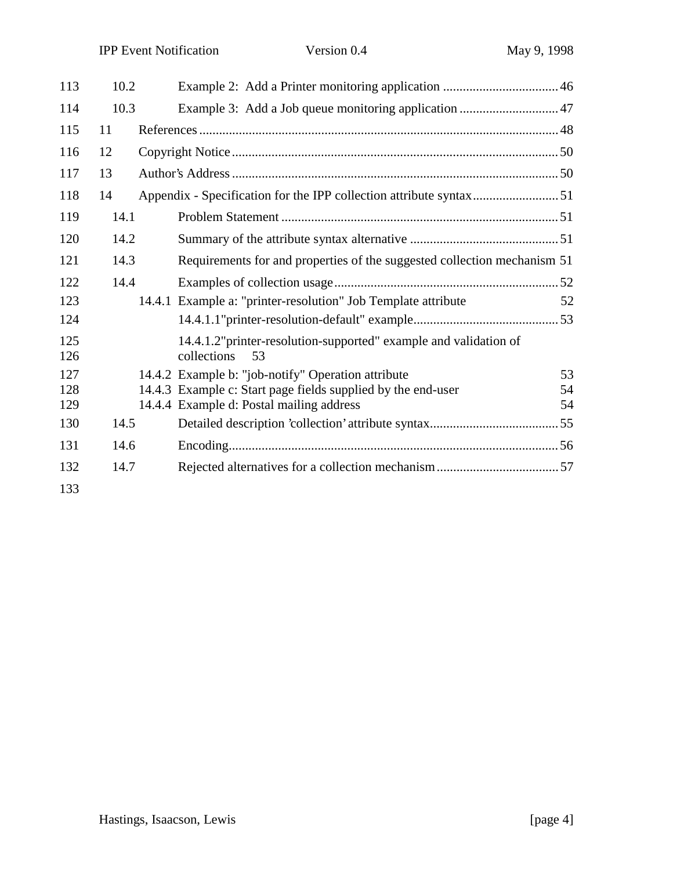| 113        | 10.2 |                                                                                        |    |
|------------|------|----------------------------------------------------------------------------------------|----|
| 114        | 10.3 |                                                                                        |    |
| 115        | 11   |                                                                                        |    |
| 116        | 12   |                                                                                        |    |
| 117        | 13   |                                                                                        |    |
| 118        | 14   |                                                                                        |    |
| 119        | 14.1 |                                                                                        |    |
| 120        | 14.2 |                                                                                        |    |
| 121        | 14.3 | Requirements for and properties of the suggested collection mechanism 51               |    |
| 122        | 14.4 |                                                                                        |    |
| 123        |      | 14.4.1 Example a: "printer-resolution" Job Template attribute                          | 52 |
| 124        |      |                                                                                        |    |
| 125<br>126 |      | 14.4.1.2" printer-resolution-supported" example and validation of<br>collections<br>53 |    |
| 127        |      | 14.4.2 Example b: "job-notify" Operation attribute                                     | 53 |
| 128        |      | 14.4.3 Example c: Start page fields supplied by the end-user                           | 54 |
| 129        |      | 14.4.4 Example d: Postal mailing address                                               | 54 |
| 130        | 14.5 |                                                                                        |    |
| 131        | 14.6 |                                                                                        |    |
| 132        | 14.7 |                                                                                        |    |
| 133        |      |                                                                                        |    |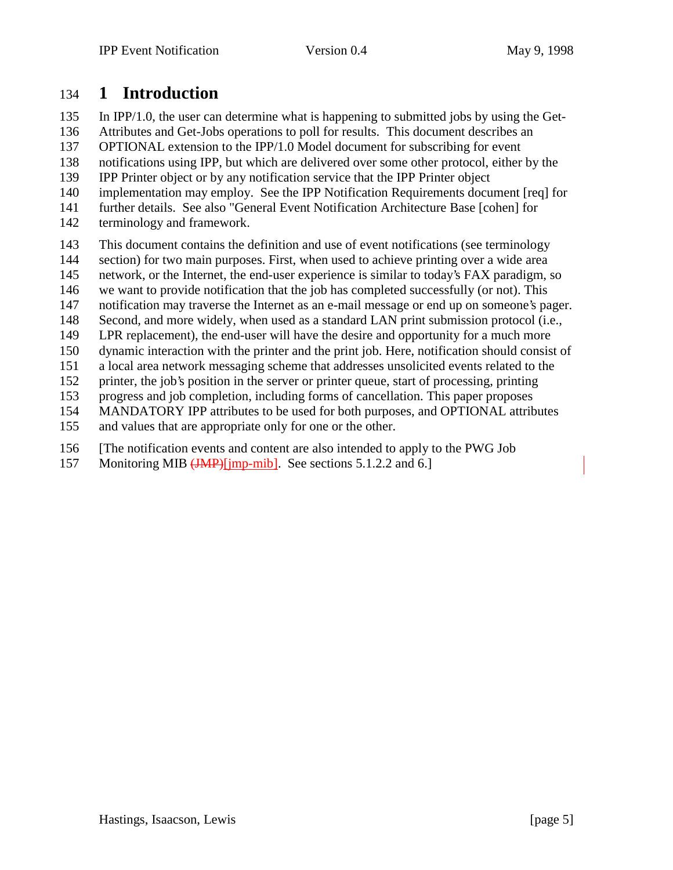## **1 Introduction**

In IPP/1.0, the user can determine what is happening to submitted jobs by using the Get-

Attributes and Get-Jobs operations to poll for results. This document describes an

OPTIONAL extension to the IPP/1.0 Model document for subscribing for event

notifications using IPP, but which are delivered over some other protocol, either by the

IPP Printer object or by any notification service that the IPP Printer object

- implementation may employ. See the IPP Notification Requirements document [req] for
- further details. See also "General Event Notification Architecture Base [cohen] for
- terminology and framework.
- This document contains the definition and use of event notifications (see terminology
- section) for two main purposes. First, when used to achieve printing over a wide area
- network, or the Internet, the end-user experience is similar to today's FAX paradigm, so
- we want to provide notification that the job has completed successfully (or not). This
- notification may traverse the Internet as an e-mail message or end up on someone's pager.
- Second, and more widely, when used as a standard LAN print submission protocol (i.e.,
- LPR replacement), the end-user will have the desire and opportunity for a much more
- dynamic interaction with the printer and the print job. Here, notification should consist of
- a local area network messaging scheme that addresses unsolicited events related to the
- printer, the job's position in the server or printer queue, start of processing, printing
- progress and job completion, including forms of cancellation. This paper proposes
- MANDATORY IPP attributes to be used for both purposes, and OPTIONAL attributes
- and values that are appropriate only for one or the other.
- [The notification events and content are also intended to apply to the PWG Job
- 157 Monitoring MIB (JMP)[jmp-mib]. See sections 5.1.2.2 and 6.]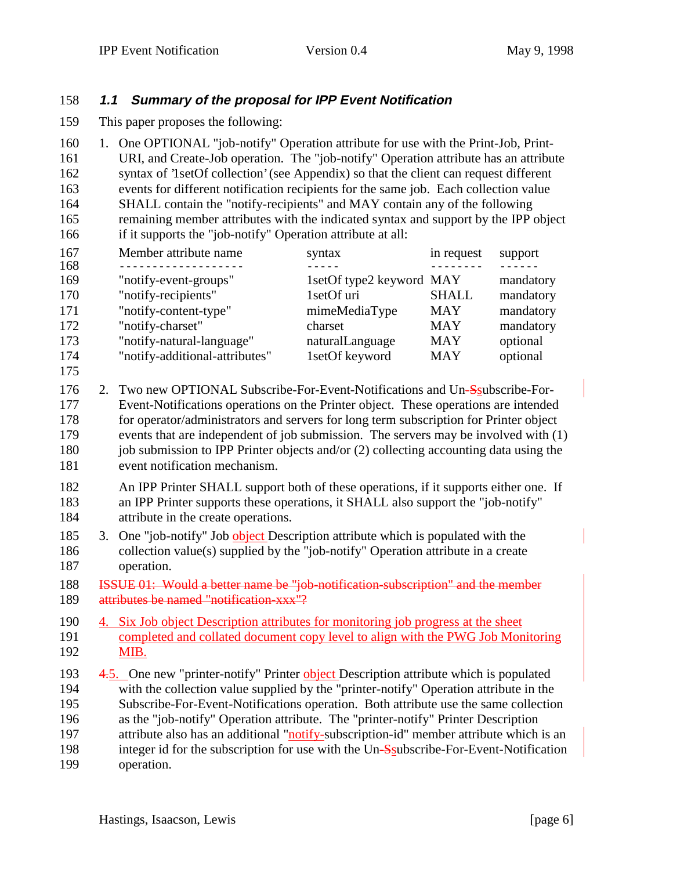#### **1.1 Summary of the proposal for IPP Event Notification**

This paper proposes the following:

 1. One OPTIONAL "job-notify" Operation attribute for use with the Print-Job, Print- URI, and Create-Job operation. The "job-notify" Operation attribute has an attribute syntax of '1setOf collection' (see Appendix) so that the client can request different events for different notification recipients for the same job. Each collection value SHALL contain the "notify-recipients" and MAY contain any of the following remaining member attributes with the indicated syntax and support by the IPP object if it supports the "job-notify" Operation attribute at all:

| 167 | Member attribute name          | syntax                   | in request   | support   |
|-----|--------------------------------|--------------------------|--------------|-----------|
| 168 |                                |                          |              |           |
| 169 | "notify-event-groups"          | 1setOf type2 keyword MAY |              | mandatory |
| 170 | "notify-recipients"            | 1setOf uri               | <b>SHALL</b> | mandatory |
| 171 | "notify-content-type"          | mimeMediaType            | <b>MAY</b>   | mandatory |
| 172 | "notify-charset"               | charset                  | <b>MAY</b>   | mandatory |
| 173 | "notify-natural-language"      | naturalLanguage          | <b>MAY</b>   | optional  |
| 174 | "notify-additional-attributes" | 1setOf keyword           | <b>MAY</b>   | optional  |

- 2. Two new OPTIONAL Subscribe-For-Event-Notifications and Un-Ssubscribe-For- Event-Notifications operations on the Printer object. These operations are intended for operator/administrators and servers for long term subscription for Printer object events that are independent of job submission. The servers may be involved with (1) 180 job submission to IPP Printer objects and/or (2) collecting accounting data using the event notification mechanism.
- An IPP Printer SHALL support both of these operations, if it supports either one. If an IPP Printer supports these operations, it SHALL also support the "job-notify" attribute in the create operations.
- 185 3. One "job-notify" Job object Description attribute which is populated with the collection value(s) supplied by the "job-notify" Operation attribute in a create operation.
- ISSUE 01: Would a better name be "job-notification-subscription" and the member attributes be named "notification- $xxxx^{\pi/2}$
- 4. Six Job object Description attributes for monitoring job progress at the sheet completed and collated document copy level to align with the PWG Job Monitoring MIB.
- 4.5. One new "printer-notify" Printer object Description attribute which is populated with the collection value supplied by the "printer-notify" Operation attribute in the Subscribe-For-Event-Notifications operation. Both attribute use the same collection as the "job-notify" Operation attribute. The "printer-notify" Printer Description attribute also has an additional "notify-subscription-id" member attribute which is an 198 integer id for the subscription for use with the Un-Ssubscribe-For-Event-Notification operation.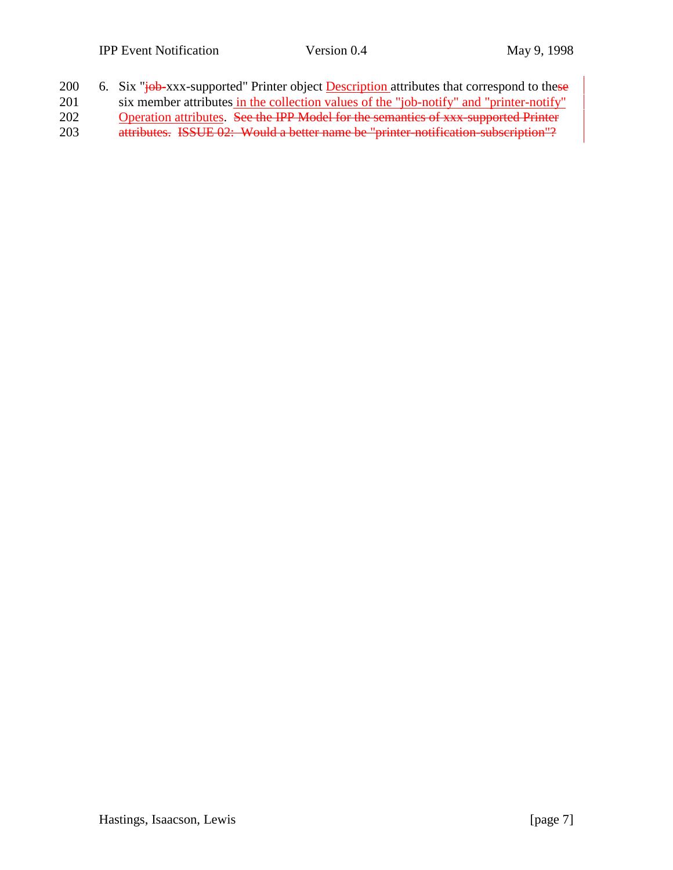|                      |  |  |  | 200 6. Six "job-xxx-supported" Printer object <b>Description</b> attributes that correspond to these |  |  |
|----------------------|--|--|--|------------------------------------------------------------------------------------------------------|--|--|
| $\sim$ $\sim$ $\sim$ |  |  |  | r e de la decenii de artista tam du cam                                                              |  |  |

- 201 six member attributes in the collection values of the "job-notify" and "printer-notify"
- 202 Operation attributes. See the IPP Model for the semantics of xxx-supported Printer 203 attributes. ISSUE 02: Would a better name be "printer-notification-subscription"?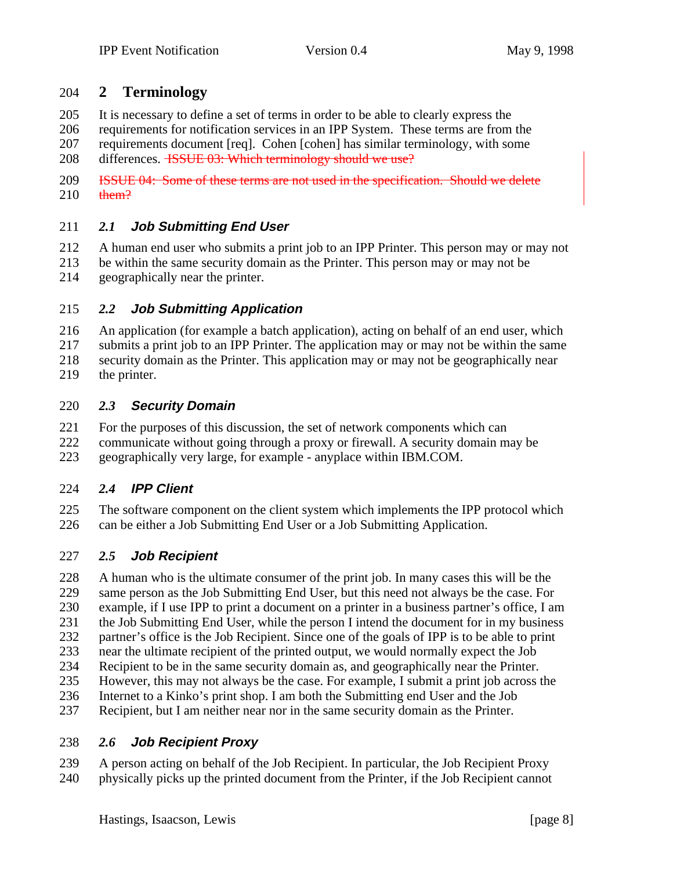## **2 Terminology**

It is necessary to define a set of terms in order to be able to clearly express the

 requirements for notification services in an IPP System. These terms are from the requirements document [req]. Cohen [cohen] has similar terminology, with some 208 differences. <del>ISSUE 03: Which terminology should we use?</del>

 ISSUE 04: Some of these terms are not used in the specification. Should we delete them?

#### *2.1* **Job Submitting End User**

A human end user who submits a print job to an IPP Printer. This person may or may not

- be within the same security domain as the Printer. This person may or may not be geographically near the printer.
- 

#### *2.2* **Job Submitting Application**

 An application (for example a batch application), acting on behalf of an end user, which submits a print job to an IPP Printer. The application may or may not be within the same security domain as the Printer. This application may or may not be geographically near

the printer.

#### *2.3* **Security Domain**

For the purposes of this discussion, the set of network components which can

 communicate without going through a proxy or firewall. A security domain may be geographically very large, for example - anyplace within IBM.COM.

#### *2.4* **IPP Client**

 The software component on the client system which implements the IPP protocol which can be either a Job Submitting End User or a Job Submitting Application.

#### *2.5* **Job Recipient**

 A human who is the ultimate consumer of the print job. In many cases this will be the same person as the Job Submitting End User, but this need not always be the case. For example, if I use IPP to print a document on a printer in a business partner's office, I am the Job Submitting End User, while the person I intend the document for in my business partner's office is the Job Recipient. Since one of the goals of IPP is to be able to print near the ultimate recipient of the printed output, we would normally expect the Job Recipient to be in the same security domain as, and geographically near the Printer. However, this may not always be the case. For example, I submit a print job across the Internet to a Kinko's print shop. I am both the Submitting end User and the Job Recipient, but I am neither near nor in the same security domain as the Printer.

#### *2.6* **Job Recipient Proxy**

 A person acting on behalf of the Job Recipient. In particular, the Job Recipient Proxy physically picks up the printed document from the Printer, if the Job Recipient cannot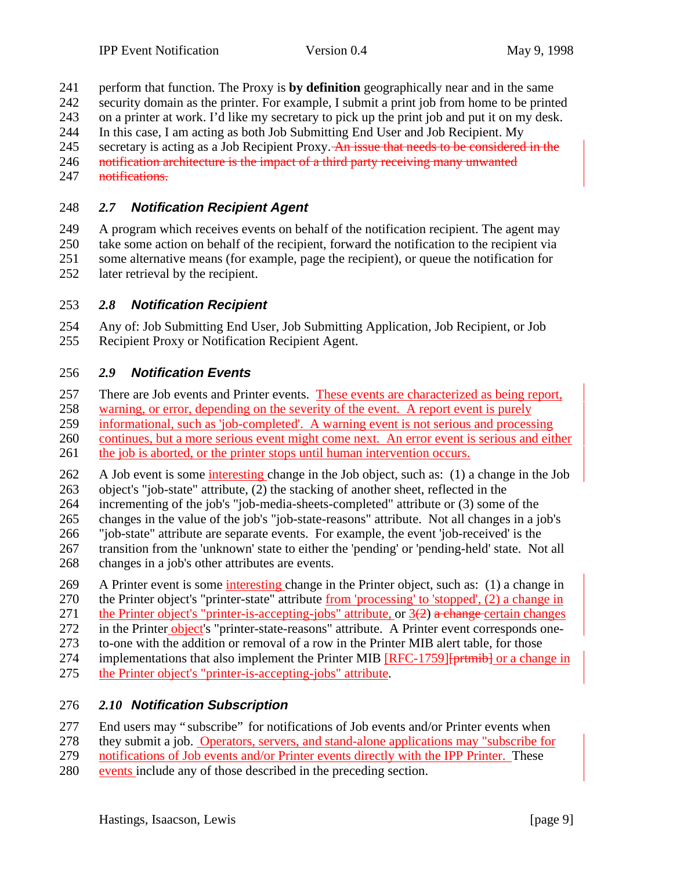perform that function. The Proxy is **by definition** geographically near and in the same

security domain as the printer. For example, I submit a print job from home to be printed

on a printer at work. I'd like my secretary to pick up the print job and put it on my desk.

In this case, I am acting as both Job Submitting End User and Job Recipient. My

245 secretary is acting as a Job Recipient Proxy. An issue that needs to be considered in the 246 notification architecture is the impact of a third party receiving many unwanted

247 notifications.

#### *2.7* **Notification Recipient Agent**

 A program which receives events on behalf of the notification recipient. The agent may take some action on behalf of the recipient, forward the notification to the recipient via some alternative means (for example, page the recipient), or queue the notification for later retrieval by the recipient.

#### *2.8* **Notification Recipient**

 Any of: Job Submitting End User, Job Submitting Application, Job Recipient, or Job Recipient Proxy or Notification Recipient Agent.

#### *2.9* **Notification Events**

257 There are Job events and Printer events. These events are characterized as being report, 258 warning, or error, depending on the severity of the event. A report event is purely informational, such as 'job-completed'. A warning event is not serious and processing continues, but a more serious event might come next. An error event is serious and either

261 the job is aborted, or the printer stops until human intervention occurs.

 A Job event is some interesting change in the Job object, such as: (1) a change in the Job object's "job-state" attribute, (2) the stacking of another sheet, reflected in the

incrementing of the job's "job-media-sheets-completed" attribute or (3) some of the

changes in the value of the job's "job-state-reasons" attribute. Not all changes in a job's

- "job-state" attribute are separate events. For example, the event 'job-received' is the
- transition from the 'unknown' state to either the 'pending' or 'pending-held' state. Not all changes in a job's other attributes are events.

 A Printer event is some interesting change in the Printer object, such as: (1) a change in the Printer object's "printer-state" attribute from 'processing' to 'stopped', (2) a change in 271 the Printer object's "printer-is-accepting-jobs" attribute, or  $3(2)$  a change certain changes

272 in the Printer object's "printer-state-reasons" attribute. A Printer event corresponds one-

to-one with the addition or removal of a row in the Printer MIB alert table, for those

274 implementations that also implement the Printer MIB [RFC-1759][prtmib] or a change in the Printer object's "printer-is-accepting-jobs" attribute.

#### *2.10* **Notification Subscription**

End users may " subscribe" for notifications of Job events and/or Printer events when

they submit a job. Operators, servers, and stand-alone applications may "subscribe for

notifications of Job events and/or Printer events directly with the IPP Printer. These

events include any of those described in the preceding section.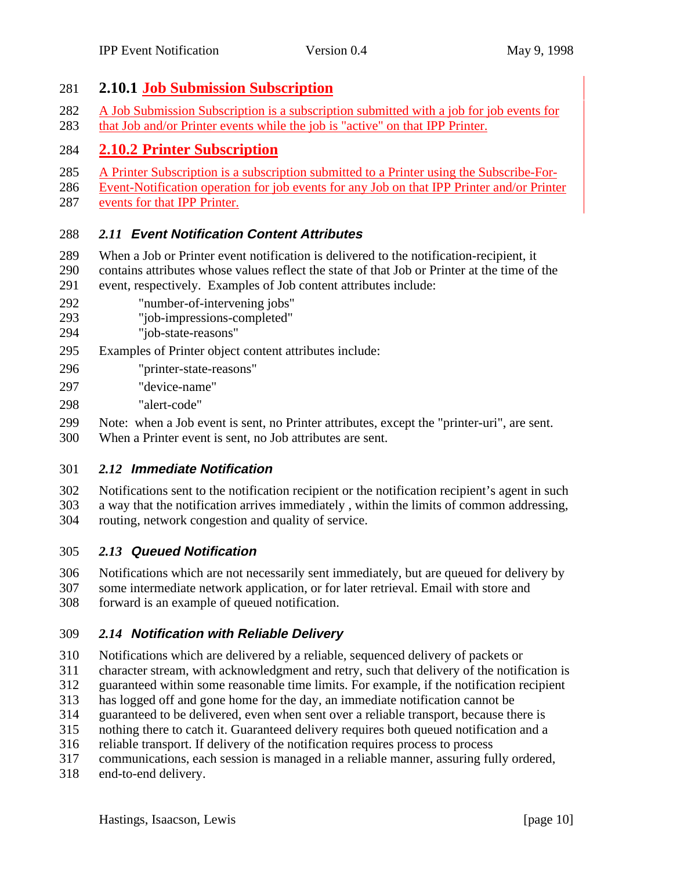#### **2.10.1 Job Submission Subscription**

- A Job Submission Subscription is a subscription submitted with a job for job events for
- that Job and/or Printer events while the job is "active" on that IPP Printer.

## **2.10.2 Printer Subscription**

- A Printer Subscription is a subscription submitted to a Printer using the Subscribe-For-
- Event-Notification operation for job events for any Job on that IPP Printer and/or Printer
- events for that IPP Printer.

## *2.11* **Event Notification Content Attributes**

- When a Job or Printer event notification is delivered to the notification-recipient, it 290 contains attributes whose values reflect the state of that Job or Printer at the time of the event, respectively. Examples of Job content attributes include:
- event, respectively. Examples of Job content attributes include:
- "number-of-intervening jobs"
- "job-impressions-completed"
- "job-state-reasons"
- Examples of Printer object content attributes include:
- "printer-state-reasons"
- "device-name"
- "alert-code"
- Note: when a Job event is sent, no Printer attributes, except the "printer-uri", are sent.
- When a Printer event is sent, no Job attributes are sent.

#### *2.12* **Immediate Notification**

- Notifications sent to the notification recipient or the notification recipient's agent in such
- a way that the notification arrives immediately , within the limits of common addressing, routing, network congestion and quality of service.

## *2.13* **Queued Notification**

 Notifications which are not necessarily sent immediately, but are queued for delivery by some intermediate network application, or for later retrieval. Email with store and forward is an example of queued notification.

## *2.14* **Notification with Reliable Delivery**

- Notifications which are delivered by a reliable, sequenced delivery of packets or
- character stream, with acknowledgment and retry, such that delivery of the notification is
- guaranteed within some reasonable time limits. For example, if the notification recipient
- has logged off and gone home for the day, an immediate notification cannot be
- guaranteed to be delivered, even when sent over a reliable transport, because there is
- nothing there to catch it. Guaranteed delivery requires both queued notification and a
- reliable transport. If delivery of the notification requires process to process
- communications, each session is managed in a reliable manner, assuring fully ordered,
- end-to-end delivery.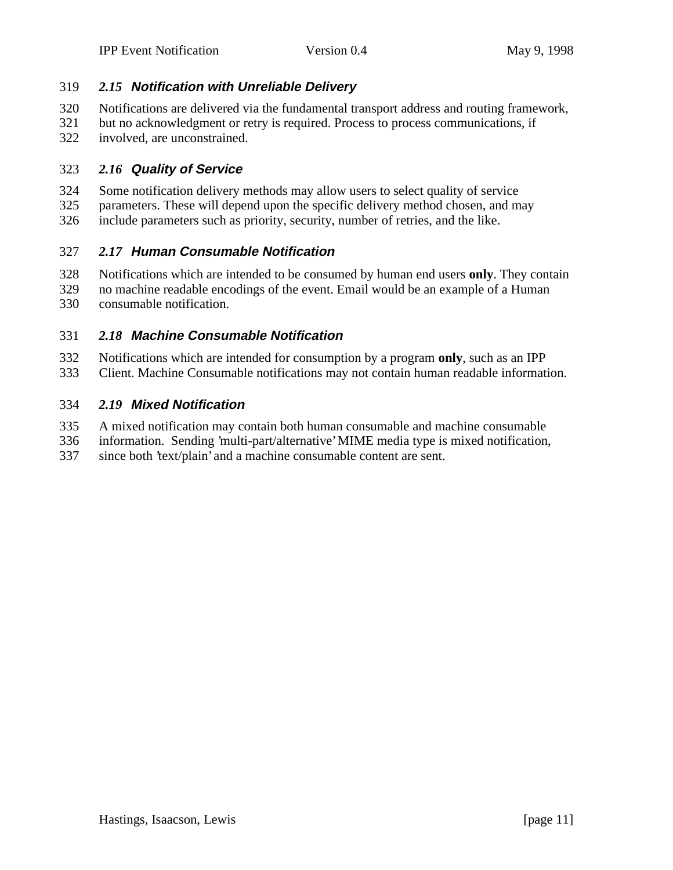#### *2.15* **Notification with Unreliable Delivery**

- Notifications are delivered via the fundamental transport address and routing framework,
- but no acknowledgment or retry is required. Process to process communications, if involved, are unconstrained.

#### *2.16* **Quality of Service**

- Some notification delivery methods may allow users to select quality of service parameters. These will depend upon the specific delivery method chosen, and may
- include parameters such as priority, security, number of retries, and the like.

#### *2.17* **Human Consumable Notification**

- Notifications which are intended to be consumed by human end users **only**. They contain no machine readable encodings of the event. Email would be an example of a Human
- consumable notification.

#### *2.18* **Machine Consumable Notification**

- Notifications which are intended for consumption by a program **only**, such as an IPP
- Client. Machine Consumable notifications may not contain human readable information.

#### *2.19* **Mixed Notification**

- A mixed notification may contain both human consumable and machine consumable
- information. Sending 'multi-part/alternative' MIME media type is mixed notification,
- since both 'text/plain' and a machine consumable content are sent.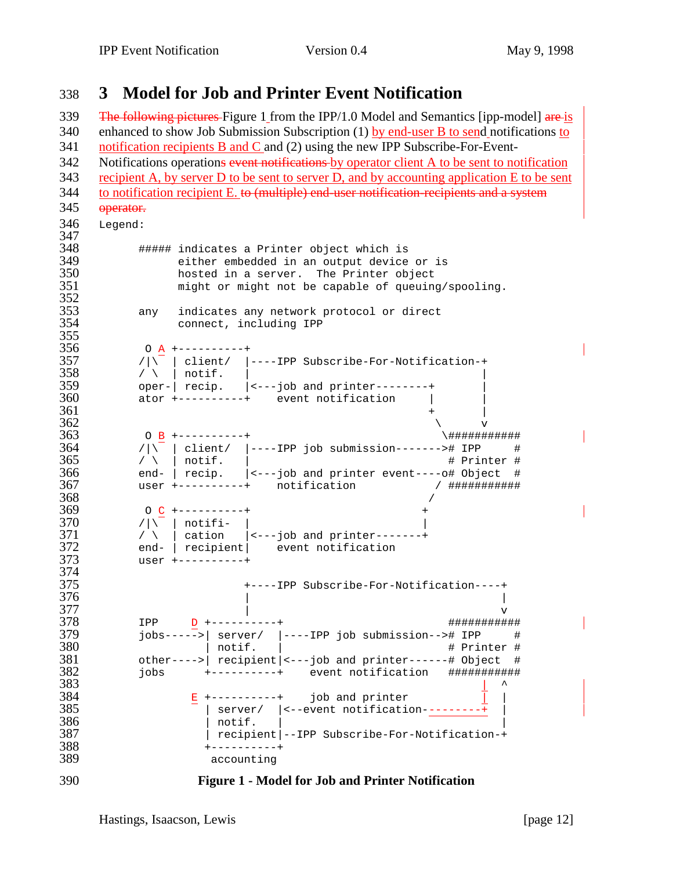# **3 Model for Job and Printer Event Notification**

339 The following pictures Figure 1 from the IPP/1.0 Model and Semantics [ipp-model]  $are$  is enhanced to show Job Submission Subscription (1) by end-user B to send notifications to notification recipients B and C and (2) using the new IPP Subscribe-For-Event-342 Notifications operations event notifications by operator client A to be sent to notification recipient A, by server D to be sent to server D, and by accounting application E to be sent 344 to notification recipient E. to (multiple) end-user notification-recipients and a system 345 operator. Legend: 347<br>348 ##### indicates a Printer object which is either embedded in an output device or is hosted in a server. The Printer object might or might not be capable of queuing/spooling.  $\frac{352}{353}$  any indicates any network protocol or direct connect, including IPP 355<br>356 356 0 <u>A</u> +----------+<br>357 / | client/ | /|\ | client/ |----IPP Subscribe-For-Notification-+ / \ | notif. | | oper-| recip. |<---job and printer--------+ | ator +----------+ event notification | | +  $|$  $362 \,$ 363 0 <u>B</u> +----------+<br>364 /|\ client/ |----IPP job submission-------># IPP # /|\ | client/ |----IPP job submission-------># IPP #<br> $365$  / \ | notif. | / \ | notif. |  $\phantom{365}$  # Printer #  $366$  end- | recip. |<---job and printer event----o# Object # end- | recip. |<---job and printer event----o# Object # user +----------+ notification / ########### / O C +----------+ + /|\ | notifi- |<br> $371$  / \ | cation | / \ | cation  $|$  <---job and printer-------+<br> $372$  end- | recipient| event notification 372 end- | recipient| event notification<br>373 user +----------+ user +----------+ 374<br>375 +----IPP Subscribe-For-Notification----+ IPP D +----------+ ########### jobs----->| server/ |----IPP job submission--># IPP # = 380 | notif. | # Printer #<br>381 other---->| recipient|<---job and printer------# Object # other---->| recipient|<---job and printer------# Object # jobs +----------+ event notification ###########  $\qquad \qquad \perp$   $\qquad \qquad \perp$  B +----------+ job and printer  $\bar{1}$  | | server/ |<--event notification---------+ | | notif. |  $\overline{\hspace{1.5cm}}$  | recipient|--IPP Subscribe-For-Notification-+ +----------+ accounting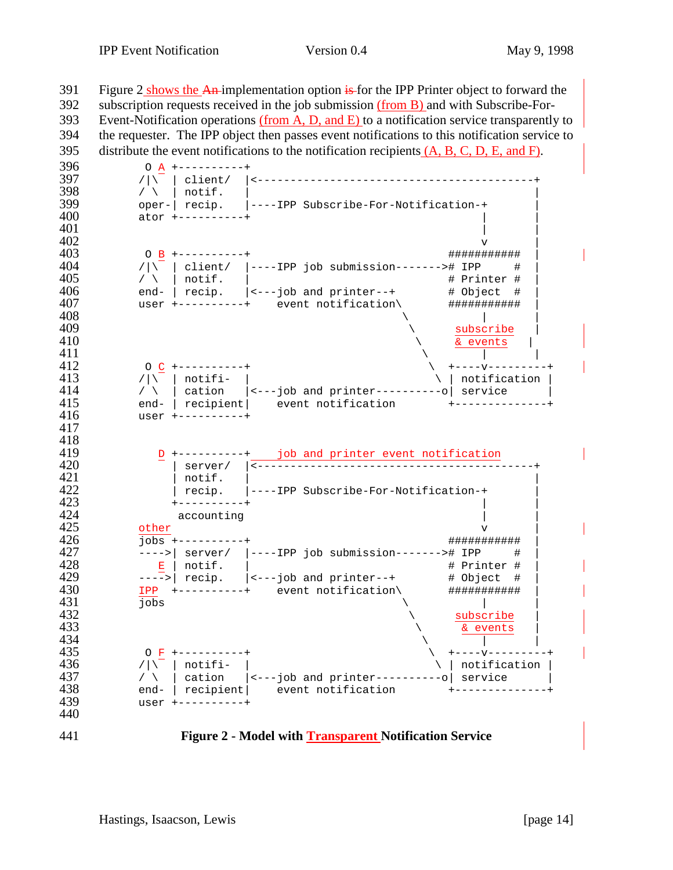391 Figure 2 shows the An-implementation option  $\frac{1}{15}$  for the IPP Printer object to forward the subscription requests received in the job submission (from B) and with Subscribe-For- Event-Notification operations (from A, D, and E) to a notification service transparently to the requester. The IPP object then passes event notifications to this notification service to 395 distribute the event notifications to the notification recipients  $(A, B, C, D, E, and F)$ . 396 0 <u>A</u> +----------+<br>397 / | | client/ /|\ | client/ |<------------------------------------------+ / \ | notif. | | oper-| recip. |----IPP Subscribe-For-Notification-+ | 400 ator +----------+<br>401 | | | v  $|v|$  O B +----------+ ########### | /|\ $\sqrt{ }$  | client/ |----IPP job submission-------># IPP # | / \ | notif. |  $\qquad$  + Printer # | end-  $|$  recip.  $|$  <---job and printer--+  $\qquad$  # Object #  $|$  user +----------+ event notification\ ########### |  $409 \t\t \times \t\t \text{subscript}$ <br> $410 \t\t \times \t\t \text{subscript}$  $410 \qquad \qquad \frac{\text{& events}}{\text{1}}$  \ | | O C +----------+ \ +----v---------+ /|\ | notifi- |<br>414 / \ | cation | <---iob and printer----------o| service |  $\ell$   $\setminus$   $\setminus$   $\setminus$  cation  $\setminus$  <---job and printer----------o $\mid$  service 415 end- | recipient | event notification +---------<br>416 user +----------+ user +----------+ 418<br>419 D +----------+ job and printer event notification | server/ |<------------------------------------------+ | notif. | | 422  $|$  recip.  $|$ ----IPP Subscribe-For-Notification-+<br>423 +----------+ +----------+ | | 424 accounting<br>425 other other v  $|v|$  jobs +----------+ ########### | ---->| server/ |----IPP job submission-------># IPP # | E | notif. |  $\qquad \qquad \qquad$  # Printer # | ---->| recip.  $|$ <---job and printer--+  $\qquad$  # Object #  $|$  IPP +----------+ event notification\ ########### |  $\frac{1}{100}$   $\frac{1}{100}$   $\frac{1}{100}$   $\frac{1}{100}$   $\frac{1}{100}$   $\frac{1}{100}$   $\frac{1}{100}$   $\frac{1}{100}$   $\frac{1}{100}$   $\frac{1}{100}$   $\frac{1}{100}$   $\frac{1}{100}$   $\frac{1}{100}$   $\frac{1}{100}$   $\frac{1}{100}$   $\frac{1}{100}$   $\frac{1}{100}$   $\frac{1}{100}$   $\frac{1$  $\frac{432}{433}$   $\frac{\text{subscribed}}{\text{& events}}$  $433 \times 434$  O F +----------+ \ +----v---------+ 436 /|\ | notifi- |<br>437 / \ | cation |<- / | cation | <---job and printer------------| service<br>438 end- | recipient| event notification +-------------- end- | recipient| event notification +--------------+ user +----------+ **Figure 2 - Model with Transparent Notification Service**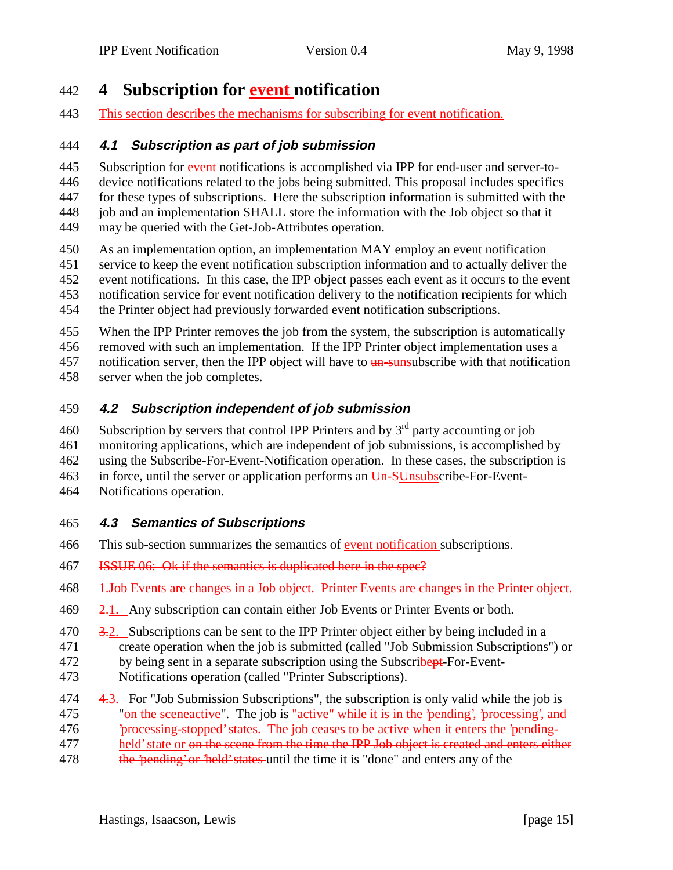# **4 Subscription for event notification**

This section describes the mechanisms for subscribing for event notification.

#### **4.1 Subscription as part of job submission**

 Subscription for event notifications is accomplished via IPP for end-user and server-to- device notifications related to the jobs being submitted. This proposal includes specifics for these types of subscriptions. Here the subscription information is submitted with the job and an implementation SHALL store the information with the Job object so that it may be queried with the Get-Job-Attributes operation.

- As an implementation option, an implementation MAY employ an event notification
- service to keep the event notification subscription information and to actually deliver the
- event notifications. In this case, the IPP object passes each event as it occurs to the event notification service for event notification delivery to the notification recipients for which
- the Printer object had previously forwarded event notification subscriptions.
- When the IPP Printer removes the job from the system, the subscription is automatically
- removed with such an implementation. If the IPP Printer object implementation uses a
- 457 notification server, then the IPP object will have to **un-sunsubscribe** with that notification
- server when the job completes.

#### **4.2 Subscription independent of job submission**

- 460 Subscription by servers that control IPP Printers and by  $3<sup>rd</sup>$  party accounting or job
- monitoring applications, which are independent of job submissions, is accomplished by
- using the Subscribe-For-Event-Notification operation. In these cases, the subscription is
- 463 in force, until the server or application performs an Un-SUnsubscribe-For-Event-
- Notifications operation.

#### **4.3 Semantics of Subscriptions**

- This sub-section summarizes the semantics of event notification subscriptions.
- ISSUE 06: Ok if the semantics is duplicated here in the spec?
- 1.Job Events are changes in a Job object. Printer Events are changes in the Printer object.
- $\frac{2.1}{2.1}$ . Any subscription can contain either Job Events or Printer Events or both.
- $470\qquad \frac{3.2}{1}$ . Subscriptions can be sent to the IPP Printer object either by being included in a
- create operation when the job is submitted (called "Job Submission Subscriptions") or 472 by being sent in a separate subscription using the Subscribert-For-Event-
- Notifications operation (called "Printer Subscriptions).
- 474  $\quad$  4.3. For "Job Submission Subscriptions", the subscription is only valid while the job is 475 "<del>on the sceneactive"</del>. The job is "active" while it is in the 'pending', 'processing', and
- 'processing-stopped' states. The job ceases to be active when it enters the 'pending-
- 477 held' state or <del>on the scene from the time the IPP Job object is created and enters either</del>
- 478 the 'pending' or 'held' states until the time it is "done" and enters any of the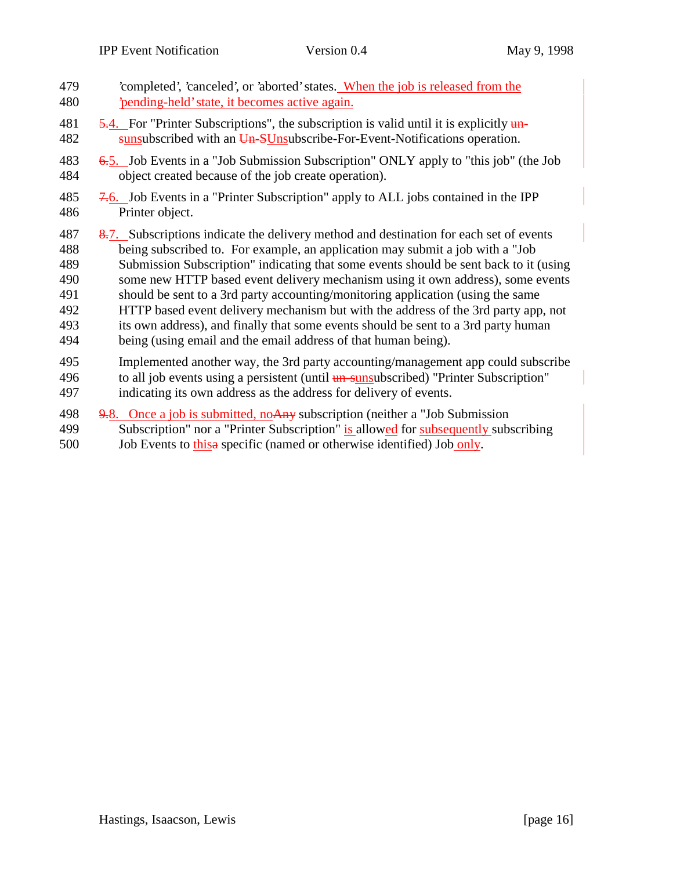- 'completed', 'canceled', or 'aborted' states. When the job is released from the 'pending-held' state, it becomes active again.
- 481  $\frac{5.4}{10.5}$  For "Printer Subscriptions", the subscription is valid until it is explicitly  $\frac{1}{2}$ 482 sunsubscribed with an Un-SUnsubscribe-For-Event-Notifications operation.
- 6.5. Job Events in a "Job Submission Subscription" ONLY apply to "this job" (the Job object created because of the job create operation).
- $7.6$ . Job Events in a "Printer Subscription" apply to ALL jobs contained in the IPP Printer object.
- 487 8.7. Subscriptions indicate the delivery method and destination for each set of events being subscribed to. For example, an application may submit a job with a "Job Submission Subscription" indicating that some events should be sent back to it (using some new HTTP based event delivery mechanism using it own address), some events should be sent to a 3rd party accounting/monitoring application (using the same
- HTTP based event delivery mechanism but with the address of the 3rd party app, not
- its own address), and finally that some events should be sent to a 3rd party human
- being (using email and the email address of that human being).
- Implemented another way, the 3rd party accounting/management app could subscribe
- 496 to all job events using a persistent (until un-sunsubscribed) "Printer Subscription"
- indicating its own address as the address for delivery of events.
- 498  $9.8$ . Once a job is submitted, no Any subscription (neither a "Job Submission Subscription" nor a "Printer Subscription" is allowed for subsequently subscribing
- Job Events to thisa specific (named or otherwise identified) Job only.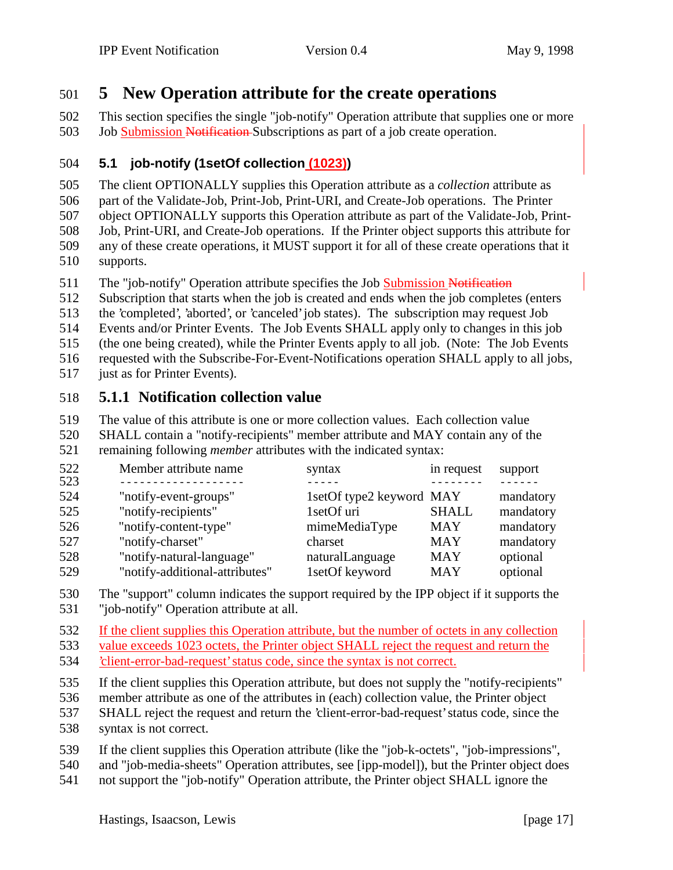# **5 New Operation attribute for the create operations**

 This section specifies the single "job-notify" Operation attribute that supplies one or more Job Submission Notification Subscriptions as part of a job create operation.

#### **5.1 job-notify (1setOf collection (1023))**

 The client OPTIONALLY supplies this Operation attribute as a *collection* attribute as part of the Validate-Job, Print-Job, Print-URI, and Create-Job operations. The Printer object OPTIONALLY supports this Operation attribute as part of the Validate-Job, Print- Job, Print-URI, and Create-Job operations. If the Printer object supports this attribute for any of these create operations, it MUST support it for all of these create operations that it supports.

The "job-notify" Operation attribute specifies the Job Submission Notification

Subscription that starts when the job is created and ends when the job completes (enters

the 'completed', 'aborted', or 'canceled' job states). The subscription may request Job

Events and/or Printer Events. The Job Events SHALL apply only to changes in this job

(the one being created), while the Printer Events apply to all job. (Note: The Job Events

 requested with the Subscribe-For-Event-Notifications operation SHALL apply to all jobs, just as for Printer Events).

## **5.1.1 Notification collection value**

The value of this attribute is one or more collection values. Each collection value

 SHALL contain a "notify-recipients" member attribute and MAY contain any of the remaining following *member* attributes with the indicated syntax:

| 522 | Member attribute name          | syntax                   | in request   | support   |
|-----|--------------------------------|--------------------------|--------------|-----------|
| 523 |                                |                          |              |           |
| 524 | "notify-event-groups"          | 1setOf type2 keyword MAY |              | mandatory |
| 525 | "notify-recipients"            | 1setOf uri               | <b>SHALL</b> | mandatory |
| 526 | "notify-content-type"          | mimeMediaType            | <b>MAY</b>   | mandatory |
| 527 | "notify-charset"               | charset                  | <b>MAY</b>   | mandatory |
| 528 | "notify-natural-language"      | naturalLanguage          | <b>MAY</b>   | optional  |
| 529 | "notify-additional-attributes" | 1setOf keyword           | <b>MAY</b>   | optional  |

 The "support" column indicates the support required by the IPP object if it supports the "job-notify" Operation attribute at all.

 If the client supplies this Operation attribute, but the number of octets in any collection value exceeds 1023 octets, the Printer object SHALL reject the request and return the 'client-error-bad-request' status code, since the syntax is not correct.

If the client supplies this Operation attribute, but does not supply the "notify-recipients"

member attribute as one of the attributes in (each) collection value, the Printer object

- SHALL reject the request and return the 'client-error-bad-request' status code, since the syntax is not correct.
- If the client supplies this Operation attribute (like the "job-k-octets", "job-impressions",
- and "job-media-sheets" Operation attributes, see [ipp-model]), but the Printer object does
- not support the "job-notify" Operation attribute, the Printer object SHALL ignore the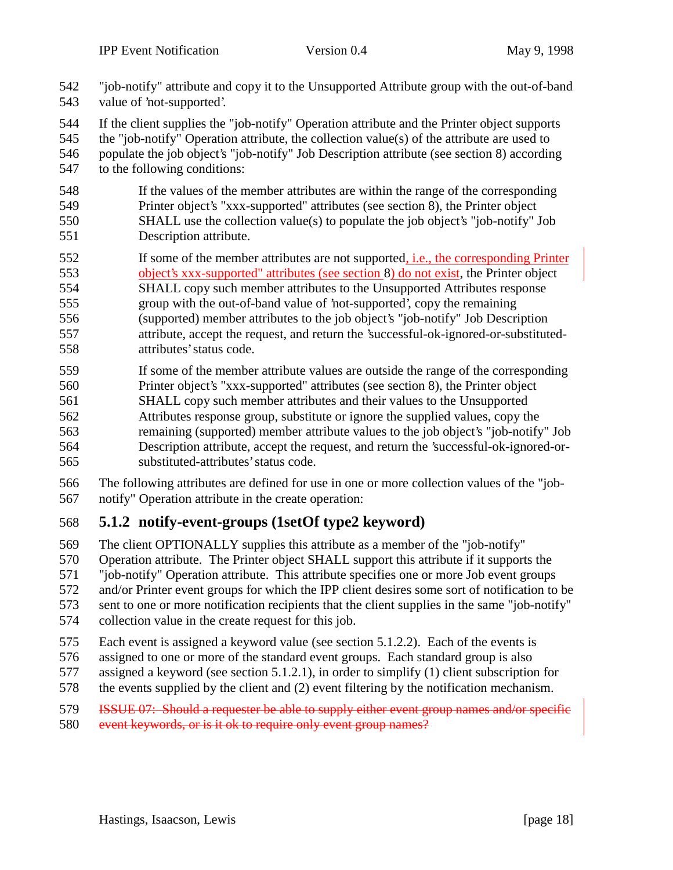- "job-notify" attribute and copy it to the Unsupported Attribute group with the out-of-band value of 'not-supported'.
- If the client supplies the "job-notify" Operation attribute and the Printer object supports
- the "job-notify" Operation attribute, the collection value(s) of the attribute are used to
- populate the job object's "job-notify" Job Description attribute (see section 8) according to the following conditions:
- If the values of the member attributes are within the range of the corresponding Printer object's "xxx-supported" attributes (see section 8), the Printer object SHALL use the collection value(s) to populate the job object's "job-notify" Job Description attribute.
- If some of the member attributes are not supported, i.e., the corresponding Printer
- object's xxx-supported" attributes (see section 8) do not exist, the Printer object SHALL copy such member attributes to the Unsupported Attributes response
- group with the out-of-band value of 'not-supported', copy the remaining (supported) member attributes to the job object's "job-notify" Job Description
- attribute, accept the request, and return the 'successful-ok-ignored-or-substituted-attributes' status code.
- If some of the member attribute values are outside the range of the corresponding
- Printer object's "xxx-supported" attributes (see section 8), the Printer object SHALL copy such member attributes and their values to the Unsupported
- Attributes response group, substitute or ignore the supplied values, copy the
- remaining (supported) member attribute values to the job object's "job-notify" Job Description attribute, accept the request, and return the 'successful-ok-ignored-or-substituted-attributes' status code.
- The following attributes are defined for use in one or more collection values of the "job-notify" Operation attribute in the create operation:

## **5.1.2 notify-event-groups (1setOf type2 keyword)**

- The client OPTIONALLY supplies this attribute as a member of the "job-notify" Operation attribute. The Printer object SHALL support this attribute if it supports the "job-notify" Operation attribute. This attribute specifies one or more Job event groups and/or Printer event groups for which the IPP client desires some sort of notification to be sent to one or more notification recipients that the client supplies in the same "job-notify"
- collection value in the create request for this job.
- Each event is assigned a keyword value (see section 5.1.2.2). Each of the events is
- assigned to one or more of the standard event groups. Each standard group is also
- assigned a keyword (see section 5.1.2.1), in order to simplify (1) client subscription for
- the events supplied by the client and (2) event filtering by the notification mechanism.
- **ISSUE 07:** Should a requester be able to supply either event group names and/or specific
- 580 event keywords, or is it ok to require only event group names?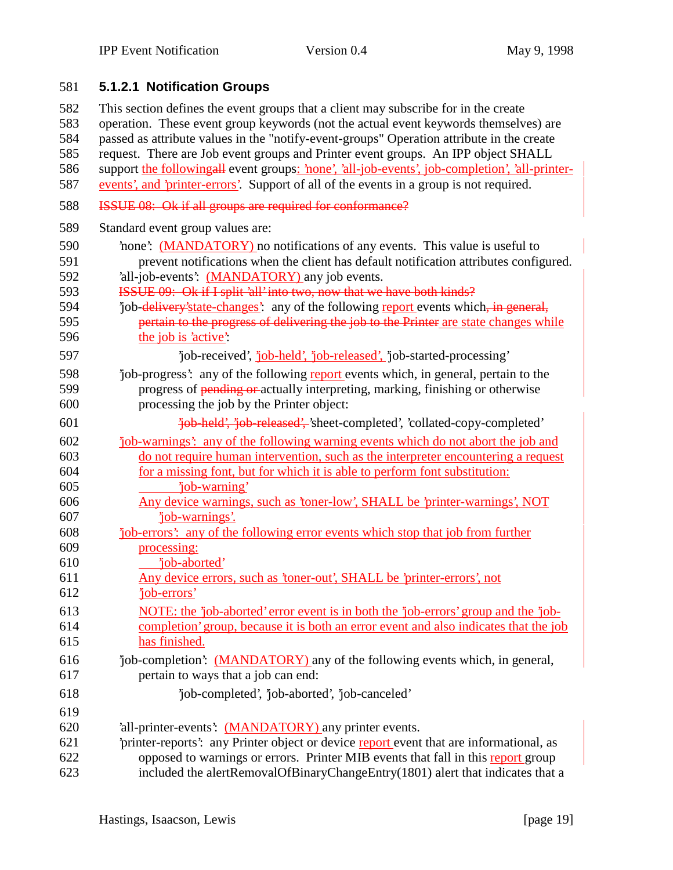# 581 **5.1.2.1 Notification Groups**

 This section defines the event groups that a client may subscribe for in the create operation. These event group keywords (not the actual event keywords themselves) are passed as attribute values in the "notify-event-groups" Operation attribute in the create request. There are Job event groups and Printer event groups. An IPP object SHALL support the followingall event groups: 'none', 'all-job-events', job-completion', 'all-printer- events', and 'printer-errors'. Support of all of the events in a group is not required. ISSUE 08: Ok if all groups are required for conformance?

589 Standard event group values are:

| 590 | none: (MANDATORY) no notifications of any events. This value is useful to               |
|-----|-----------------------------------------------------------------------------------------|
| 591 | prevent notifications when the client has default notification attributes configured.   |
| 592 | 'all-job-events': (MANDATORY) any job events.                                           |
| 593 | ISSUE 09: Ok if I split 'all' into two, now that we have both kinds?                    |
| 594 | job-delivery'state-changes': any of the following report events which, in general,      |
| 595 | pertain to the progress of delivering the job to the Printer are state changes while    |
| 596 | the job is 'active':                                                                    |
| 597 | 'job-received', 'job-held', 'job-released', 'job-started-processing'                    |
| 598 | job-progress': any of the following report events which, in general, pertain to the     |
| 599 | progress of pending or actually interpreting, marking, finishing or otherwise           |
| 600 | processing the job by the Printer object:                                               |
| 601 | 'job-held', 'job-released', 'sheet-completed', 'collated-copy-completed'                |
| 602 | job-warnings': any of the following warning events which do not abort the job and       |
| 603 | do not require human intervention, such as the interpreter encountering a request       |
| 604 | for a missing font, but for which it is able to perform font substitution:              |
| 605 | 'job-warning'                                                                           |
| 606 | Any device warnings, such as 'toner-low', SHALL be 'printer-warnings', NOT              |
| 607 | 'job-warnings'.                                                                         |
| 608 | "job-errors": any of the following error events which stop that job from further        |
| 609 | processing:                                                                             |
| 610 | 'job-aborted'                                                                           |
| 611 | Any device errors, such as 'toner-out', SHALL be 'printer-errors', not                  |
| 612 | 'job-errors'                                                                            |
| 613 | NOTE: the 'job-aborted' error event is in both the 'job-errors' group and the 'job-     |
| 614 | completion' group, because it is both an error event and also indicates that the job    |
| 615 | has finished.                                                                           |
| 616 | 'job-completion': (MANDATORY) any of the following events which, in general,            |
| 617 | pertain to ways that a job can end:                                                     |
| 618 | 'job-completed', 'job-aborted', 'job-canceled'                                          |
| 619 |                                                                                         |
| 620 | 'all-printer-events': (MANDATORY) any printer events.                                   |
| 621 | 'printer-reports': any Printer object or device report event that are informational, as |
| 622 | opposed to warnings or errors. Printer MIB events that fall in this report group        |
| 623 | included the alertRemovalOfBinaryChangeEntry(1801) alert that indicates that a          |
|     |                                                                                         |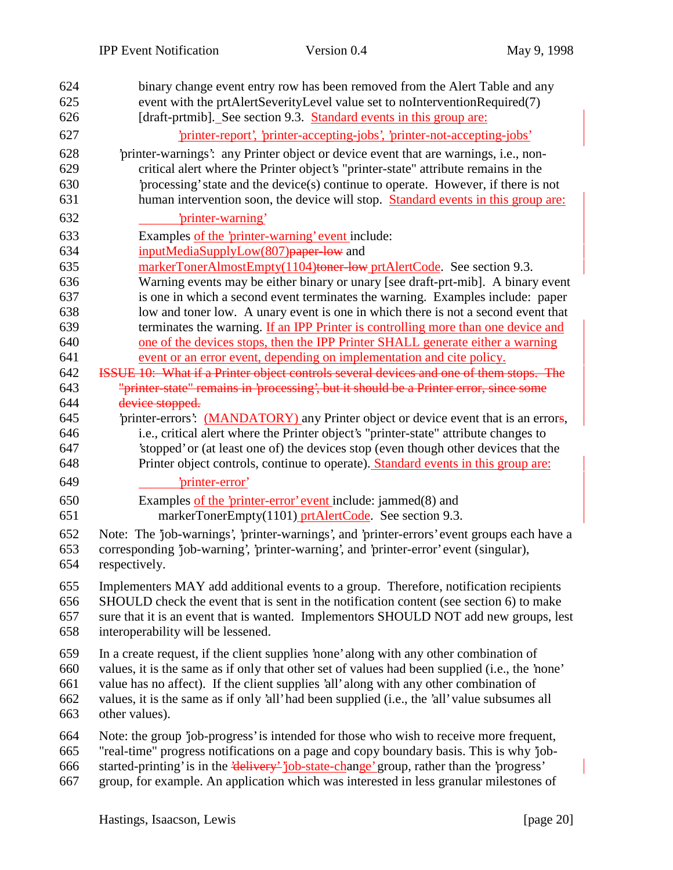| 624<br>625<br>626 | binary change event entry row has been removed from the Alert Table and any<br>event with the prtAlertSeverityLevel value set to noInterventionRequired(7)<br>[draft-prtmib]. See section 9.3. Standard events in this group are: |
|-------------------|-----------------------------------------------------------------------------------------------------------------------------------------------------------------------------------------------------------------------------------|
| 627               | 'printer-report', 'printer-accepting-jobs', 'printer-not-accepting-jobs'                                                                                                                                                          |
| 628               | 'printer-warnings': any Printer object or device event that are warnings, i.e., non-                                                                                                                                              |
| 629               | critical alert where the Printer object's "printer-state" attribute remains in the                                                                                                                                                |
| 630               | processing' state and the device(s) continue to operate. However, if there is not                                                                                                                                                 |
| 631               | human intervention soon, the device will stop. Standard events in this group are:                                                                                                                                                 |
| 632               | 'printer-warning'                                                                                                                                                                                                                 |
| 633               | Examples of the 'printer-warning' event include:                                                                                                                                                                                  |
| 634               | inputMediaSupplyLow(807) paper-low and                                                                                                                                                                                            |
| 635               | markerTonerAlmostEmpty(1104)toner-low prtAlertCode. See section 9.3.                                                                                                                                                              |
| 636               | Warning events may be either binary or unary [see draft-prt-mib]. A binary event                                                                                                                                                  |
| 637               | is one in which a second event terminates the warning. Examples include: paper                                                                                                                                                    |
| 638<br>639        | low and toner low. A unary event is one in which there is not a second event that<br>terminates the warning. If an IPP Printer is controlling more than one device and                                                            |
| 640               | one of the devices stops, then the IPP Printer SHALL generate either a warning                                                                                                                                                    |
| 641               | event or an error event, depending on implementation and cite policy.                                                                                                                                                             |
| 642               | ISSUE 10: What if a Printer object controls several devices and one of them stops. The                                                                                                                                            |
| 643               | "printer-state" remains in 'processing', but it should be a Printer error, since some                                                                                                                                             |
| 644               | device stopped.                                                                                                                                                                                                                   |
| 645               | 'printer-errors': (MANDATORY) any Printer object or device event that is an errors,                                                                                                                                               |
| 646               | i.e., critical alert where the Printer object's "printer-state" attribute changes to                                                                                                                                              |
| 647               | 'stopped' or (at least one of) the devices stop (even though other devices that the                                                                                                                                               |
| 648               | Printer object controls, continue to operate). Standard events in this group are:                                                                                                                                                 |
| 649               | 'printer-error'                                                                                                                                                                                                                   |
| 650               | Examples of the 'printer-error' event include: jammed(8) and                                                                                                                                                                      |
| 651               | markerTonerEmpty(1101) prtAlertCode. See section 9.3.                                                                                                                                                                             |
| 652               | Note: The 'job-warnings', 'printer-warnings', and 'printer-errors' event groups each have a                                                                                                                                       |
| 653               | corresponding 'job-warning', 'printer-warning', and 'printer-error' event (singular),                                                                                                                                             |
| 654               | respectively.                                                                                                                                                                                                                     |
| 655               | Implementers MAY add additional events to a group. Therefore, notification recipients                                                                                                                                             |
| 656               | SHOULD check the event that is sent in the notification content (see section 6) to make                                                                                                                                           |
| 657               | sure that it is an event that is wanted. Implementors SHOULD NOT add new groups, lest                                                                                                                                             |
| 658               | interoperability will be lessened.                                                                                                                                                                                                |
| 659               | In a create request, if the client supplies 'none' along with any other combination of                                                                                                                                            |
| 660               | values, it is the same as if only that other set of values had been supplied (i.e., the 'none'                                                                                                                                    |
| 661               | value has no affect). If the client supplies 'all' along with any other combination of                                                                                                                                            |
| 662               | values, it is the same as if only 'all' had been supplied (i.e., the 'all' value subsumes all                                                                                                                                     |
| 663               | other values).                                                                                                                                                                                                                    |
| 664               | Note: the group 'job-progress' is intended for those who wish to receive more frequent,                                                                                                                                           |
| 665               | "real-time" progress notifications on a page and copy boundary basis. This is why 'job-                                                                                                                                           |
| 666               | started-printing' is in the 'delivery' 'job-state-change' group, rather than the 'progress'                                                                                                                                       |
| 667               | group, for example. An application which was interested in less granular milestones of                                                                                                                                            |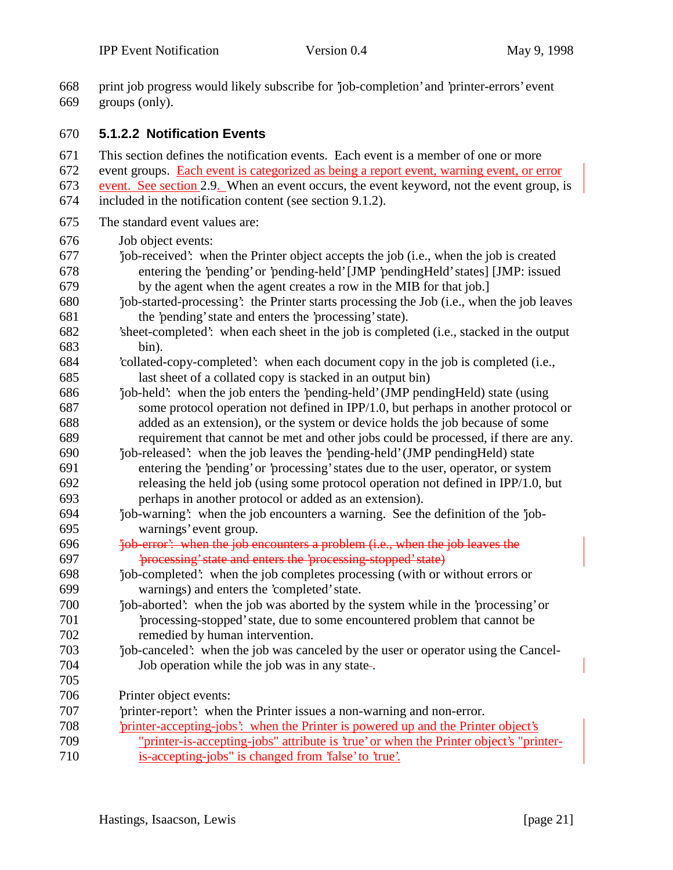print job progress would likely subscribe for 'job-completion' and 'printer-errors' event

 groups (only). **5.1.2.2 Notification Events** This section defines the notification events. Each event is a member of one or more event groups. Each event is categorized as being a report event, warning event, or error event. See section 2.9. When an event occurs, the event keyword, not the event group, is included in the notification content (see section 9.1.2). The standard event values are: Job object events: 'job-received': when the Printer object accepts the job (i.e., when the job is created entering the 'pending' or 'pending-held' [JMP 'pendingHeld' states] [JMP: issued by the agent when the agent creates a row in the MIB for that job.] 'job-started-processing': the Printer starts processing the Job (i.e., when the job leaves the 'pending' state and enters the 'processing' state). 'sheet-completed': when each sheet in the job is completed (i.e., stacked in the output bin). 'collated-copy-completed': when each document copy in the job is completed (i.e., last sheet of a collated copy is stacked in an output bin) 'job-held': when the job enters the 'pending-held' (JMP pendingHeld) state (using some protocol operation not defined in IPP/1.0, but perhaps in another protocol or added as an extension), or the system or device holds the job because of some requirement that cannot be met and other jobs could be processed, if there are any. 'job-released': when the job leaves the 'pending-held' (JMP pendingHeld) state entering the 'pending' or 'processing' states due to the user, operator, or system releasing the held job (using some protocol operation not defined in IPP/1.0, but perhaps in another protocol or added as an extension). 'job-warning': when the job encounters a warning. See the definition of the 'job- warnings' event group. 696 'job-error': when the job-encounters a problem (i.e., when the job-leaves the 'processing' state and enters the 'processing-stopped' state) 'job-completed': when the job completes processing (with or without errors or warnings) and enters the 'completed' state. 'job-aborted': when the job was aborted by the system while in the 'processing' or 'processing-stopped' state, due to some encountered problem that cannot be remedied by human intervention. 'job-canceled': when the job was canceled by the user or operator using the Cancel- Job operation while the job was in any state . Printer object events: 'printer-report': when the Printer issues a non-warning and non-error. 'printer-accepting-jobs': when the Printer is powered up and the Printer object's "printer-is-accepting-jobs" attribute is 'true' or when the Printer object's "printer-is-accepting-jobs" is changed from 'false' to 'true'.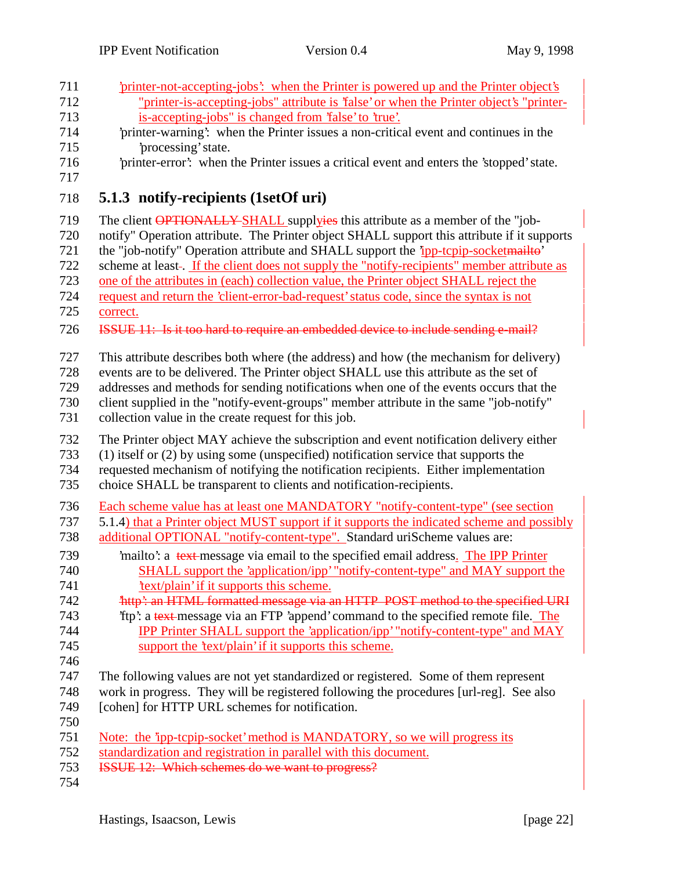| 711 | 'printer-not-accepting-jobs': when the Printer is powered up and the Printer object's       |
|-----|---------------------------------------------------------------------------------------------|
| 712 | "printer-is-accepting-jobs" attribute is 'false' or when the Printer object's "printer-     |
| 713 | is-accepting-jobs" is changed from 'false' to 'true'.                                       |
| 714 | 'printer-warning': when the Printer issues a non-critical event and continues in the        |
| 715 | 'processing' state.                                                                         |
| 716 | 'printer-error': when the Printer issues a critical event and enters the 'stopped' state.   |
| 717 |                                                                                             |
| 718 | 5.1.3 notify-recipients (1setOf uri)                                                        |
| 719 | The client <b>OPTIONALLY</b> SHALL supplyies this attribute as a member of the "job-        |
| 720 | notify" Operation attribute. The Printer object SHALL support this attribute if it supports |
| 721 | the "job-notify" Operation attribute and SHALL support the 'ipp-tcpip-socketmailto'         |
| 722 | scheme at least-. If the client does not supply the "notify-recipients" member attribute as |
| 723 | one of the attributes in (each) collection value, the Printer object SHALL reject the       |
| 724 | request and return the 'client-error-bad-request' status code, since the syntax is not      |
| 725 | correct.                                                                                    |
| 726 | ISSUE 11: Is it too hard to require an embedded device to include sending e-mail?           |
| 727 | This attribute describes both where (the address) and how (the mechanism for delivery)      |
| 728 | events are to be delivered. The Printer object SHALL use this attribute as the set of       |
| 729 | addresses and methods for sending notifications when one of the events occurs that the      |
| 730 | client supplied in the "notify-event-groups" member attribute in the same "job-notify"      |
| 731 | collection value in the create request for this job.                                        |
|     |                                                                                             |
| 732 | The Printer object MAY achieve the subscription and event notification delivery either      |
| 733 | (1) itself or (2) by using some (unspecified) notification service that supports the        |
| 734 | requested mechanism of notifying the notification recipients. Either implementation         |
| 735 | choice SHALL be transparent to clients and notification-recipients.                         |
| 736 | Each scheme value has at least one MANDATORY "notify-content-type" (see section             |
| 737 | 5.1.4) that a Printer object MUST support if it supports the indicated scheme and possibly  |
| 738 | additional OPTIONAL "notify-content-type". Standard uriScheme values are:                   |
| 739 | mailto: a text message via email to the specified email address. The IPP Printer            |
| 740 | SHALL support the 'application/ipp' "notify-content-type" and MAY support the               |
| 741 | 'text/plain' if it supports this scheme.                                                    |
| 742 | http': an HTML formatted message via an HTTP POST method to the specified URI               |
| 743 | 'ftp': a text-message via an FTP 'append' command to the specified remote file. The         |
| 744 | <b>IPP Printer SHALL support the 'application/ipp' "notify-content-type" and MAY</b>        |
| 745 | support the 'text/plain' if it supports this scheme.                                        |
| 746 |                                                                                             |
| 747 | The following values are not yet standardized or registered. Some of them represent         |
| 748 | work in progress. They will be registered following the procedures [url-reg]. See also      |
| 749 | [cohen] for HTTP URL schemes for notification.                                              |
| 750 |                                                                                             |
| 751 | <u>Note: the 'ipp-tepip-socket' method is MANDATORY, so we will progress its</u>            |
| 752 | standardization and registration in parallel with this document.                            |
| 753 | ISSUE 12: Which schemes do we want to progress?                                             |
| 754 |                                                                                             |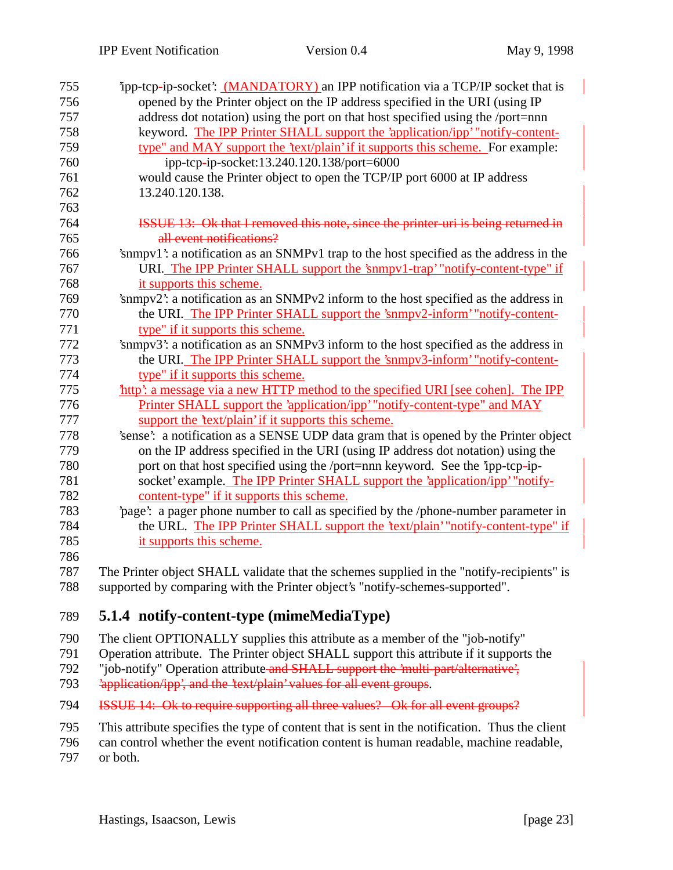| 755 | ipp-tcp-ip-socket': (MANDATORY) an IPP notification via a TCP/IP socket that is           |
|-----|-------------------------------------------------------------------------------------------|
| 756 | opened by the Printer object on the IP address specified in the URI (using IP             |
| 757 | address dot notation) using the port on that host specified using the /port=nnn           |
| 758 | keyword. The IPP Printer SHALL support the 'application/ipp' "notify-content-             |
| 759 | type" and MAY support the 'text/plain' if it supports this scheme. For example:           |
| 760 | ipp-tcp-ip-socket:13.240.120.138/port=6000                                                |
| 761 | would cause the Printer object to open the TCP/IP port 6000 at IP address                 |
| 762 | 13.240.120.138.                                                                           |
| 763 |                                                                                           |
| 764 | ISSUE 13: Ok that I removed this note, since the printer-uri is being returned in         |
| 765 | all event notifications?                                                                  |
| 766 | 'snmpv1': a notification as an SNMPv1 trap to the host specified as the address in the    |
| 767 | URI. The IPP Printer SHALL support the 'snmpv1-trap' "notify-content-type" if             |
| 768 | it supports this scheme.                                                                  |
| 769 | 'snmpv2': a notification as an SNMPv2 inform to the host specified as the address in      |
| 770 | the URI. The IPP Printer SHALL support the 'snmpv2-inform' "notify-content-               |
| 771 | type" if it supports this scheme.                                                         |
| 772 | 'snmpv3': a notification as an SNMPv3 inform to the host specified as the address in      |
| 773 | the URI. The IPP Printer SHALL support the 'snmpv3-inform' "notify-content-               |
| 774 | type" if it supports this scheme.                                                         |
| 775 | http': a message via a new HTTP method to the specified URI [see cohen]. The IPP          |
| 776 | Printer SHALL support the 'application/ipp' "notify-content-type" and MAY                 |
| 777 | support the 'text/plain' if it supports this scheme.                                      |
| 778 | 'sense': a notification as a SENSE UDP data gram that is opened by the Printer object     |
| 779 | on the IP address specified in the URI (using IP address dot notation) using the          |
| 780 | port on that host specified using the /port=nnn keyword. See the 'ipp-tcp-ip-             |
| 781 | socket' example. The IPP Printer SHALL support the 'application/ipp' "notify-             |
| 782 | content-type" if it supports this scheme.                                                 |
| 783 | 'page': a pager phone number to call as specified by the /phone-number parameter in       |
| 784 | the URL. The IPP Printer SHALL support the 'text/plain' "notify-content-type" if          |
| 785 | it supports this scheme.                                                                  |
| 786 |                                                                                           |
| 787 | The Printer object SHALL validate that the schemes supplied in the "notify-recipients" is |
| 788 | supported by comparing with the Printer object's "notify-schemes-supported".              |
|     |                                                                                           |

## 789 **5.1.4 notify-content-type (mimeMediaType)**

790 The client OPTIONALLY supplies this attribute as a member of the "job-notify"

791 Operation attribute. The Printer object SHALL support this attribute if it supports the

- 792 "job-notify" Operation attribute and SHALL support the 'multi-part/alternative',
- 793 
application/ipp', and the 'text/plain' values for all event groups.
- 794 ISSUE 14: Ok to require supporting all three values? Ok for all event groups?
- 795 This attribute specifies the type of content that is sent in the notification. Thus the client
- 796 can control whether the event notification content is human readable, machine readable,
- 797 or both.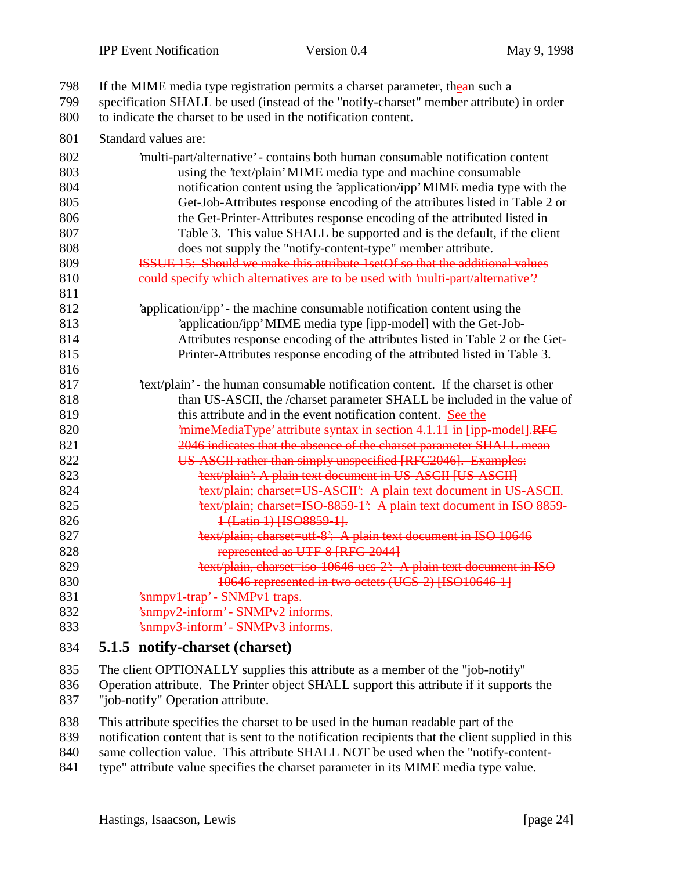| 798<br>799 | If the MIME media type registration permits a charset parameter, the an such a<br>specification SHALL be used (instead of the "notify-charset" member attribute) in order |
|------------|---------------------------------------------------------------------------------------------------------------------------------------------------------------------------|
| 800        | to indicate the charset to be used in the notification content.                                                                                                           |
| 801        | Standard values are:                                                                                                                                                      |
| 802        | 'multi-part/alternative' - contains both human consumable notification content                                                                                            |
| 803        | using the 'text/plain' MIME media type and machine consumable                                                                                                             |
| 804        | notification content using the 'application/ipp' MIME media type with the                                                                                                 |
| 805        | Get-Job-Attributes response encoding of the attributes listed in Table 2 or                                                                                               |
| 806        | the Get-Printer-Attributes response encoding of the attributed listed in                                                                                                  |
| 807        | Table 3. This value SHALL be supported and is the default, if the client                                                                                                  |
| 808        | does not supply the "notify-content-type" member attribute.                                                                                                               |
| 809        | <b>ISSUE 15: Should we make this attribute 1setOf so that the additional values</b>                                                                                       |
| 810        | could specify which alternatives are to be used with 'multi-part/alternative"?                                                                                            |
| 811        |                                                                                                                                                                           |
| 812        | 'application/ipp' - the machine consumable notification content using the                                                                                                 |
| 813        | 'application/ipp' MIME media type [ipp-model] with the Get-Job-                                                                                                           |
| 814        | Attributes response encoding of the attributes listed in Table 2 or the Get-                                                                                              |
| 815        | Printer-Attributes response encoding of the attributed listed in Table 3.                                                                                                 |
| 816        |                                                                                                                                                                           |
| 817        | 'text/plain' - the human consumable notification content. If the charset is other                                                                                         |
| 818        | than US-ASCII, the /charset parameter SHALL be included in the value of                                                                                                   |
| 819        | this attribute and in the event notification content. See the                                                                                                             |
| 820        | <u>'mimeMediaType' attribute syntax in section 4.1.11 in [ipp-model]</u> RFC                                                                                              |
| 821        | 2046 indicates that the absence of the charset parameter SHALL mean                                                                                                       |
| 822        | US-ASCII rather than simply unspecified [RFC2046]. Examples:                                                                                                              |
| 823        | 'text/plain': A plain text document in US-ASCII [US-ASCII]                                                                                                                |
| 824        | 'text/plain; charset=US-ASCII': A plain text document in US-ASCII.                                                                                                        |
| 825        | 'text/plain; charset=ISO 8859 1': A plain text document in ISO 8859-                                                                                                      |
| 826        | 1 (Latin 1) [ISO8859-1].                                                                                                                                                  |
| 827        | 'text/plain; charset=utf-8': A plain text document in ISO 10646                                                                                                           |
| 828        | represented as UTF-8 [RFC-2044]                                                                                                                                           |
| 829        | 'text/plain, charset=iso-10646-ucs-2': A plain text document in ISO                                                                                                       |
| 830        | 10646 represented in two octets (UCS-2) [ISO10646-1]                                                                                                                      |
| 831        | 'snmpv1-trap' - SNMPv1 traps.                                                                                                                                             |
| 832        | 'snmpv2-inform' - SNMPv2 informs.                                                                                                                                         |
| 833        | 'snmpv3-inform' - SNMPv3 informs.                                                                                                                                         |

#### **5.1.5 notify-charset (charset)**

 Operation attribute. The Printer object SHALL support this attribute if it supports the "job-notify" Operation attribute.

- This attribute specifies the charset to be used in the human readable part of the
- notification content that is sent to the notification recipients that the client supplied in this
- same collection value. This attribute SHALL NOT be used when the "notify-content-
- 841 type" attribute value specifies the charset parameter in its MIME media type value.

The client OPTIONALLY supplies this attribute as a member of the "job-notify"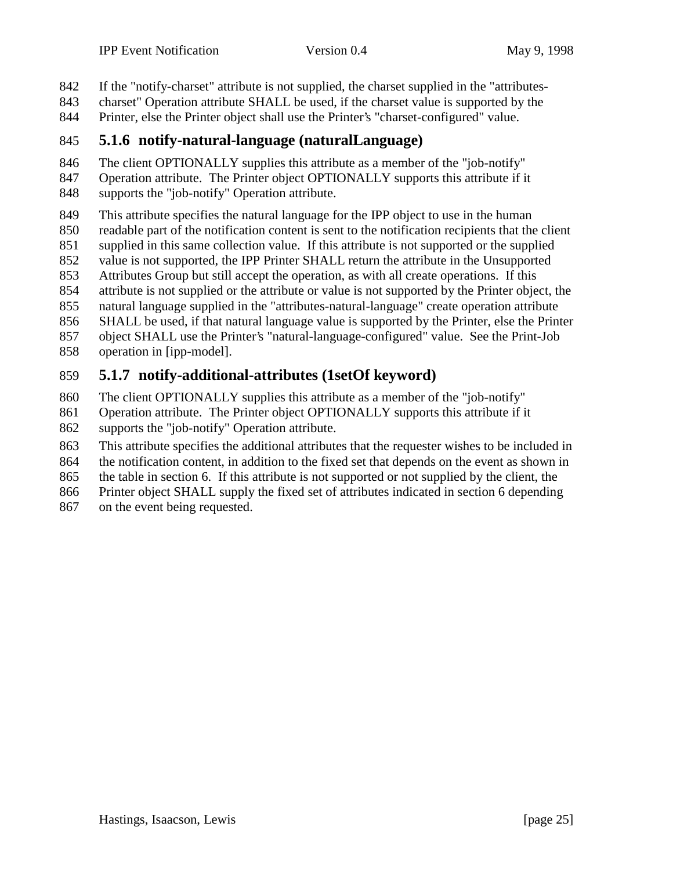- If the "notify-charset" attribute is not supplied, the charset supplied in the "attributes-
- charset" Operation attribute SHALL be used, if the charset value is supported by the
- Printer, else the Printer object shall use the Printer's "charset-configured" value.

## **5.1.6 notify-natural-language (naturalLanguage)**

The client OPTIONALLY supplies this attribute as a member of the "job-notify"

- Operation attribute. The Printer object OPTIONALLY supports this attribute if it
- supports the "job-notify" Operation attribute.
- This attribute specifies the natural language for the IPP object to use in the human
- readable part of the notification content is sent to the notification recipients that the client
- supplied in this same collection value. If this attribute is not supported or the supplied
- value is not supported, the IPP Printer SHALL return the attribute in the Unsupported
- Attributes Group but still accept the operation, as with all create operations. If this
- attribute is not supplied or the attribute or value is not supported by the Printer object, the
- natural language supplied in the "attributes-natural-language" create operation attribute
- SHALL be used, if that natural language value is supported by the Printer, else the Printer object SHALL use the Printer's "natural-language-configured" value. See the Print-Job
- operation in [ipp-model].

## **5.1.7 notify-additional-attributes (1setOf keyword)**

- The client OPTIONALLY supplies this attribute as a member of the "job-notify"
- Operation attribute. The Printer object OPTIONALLY supports this attribute if it supports the "job-notify" Operation attribute.
- This attribute specifies the additional attributes that the requester wishes to be included in
- the notification content, in addition to the fixed set that depends on the event as shown in
- the table in section 6. If this attribute is not supported or not supplied by the client, the
- Printer object SHALL supply the fixed set of attributes indicated in section 6 depending
- on the event being requested.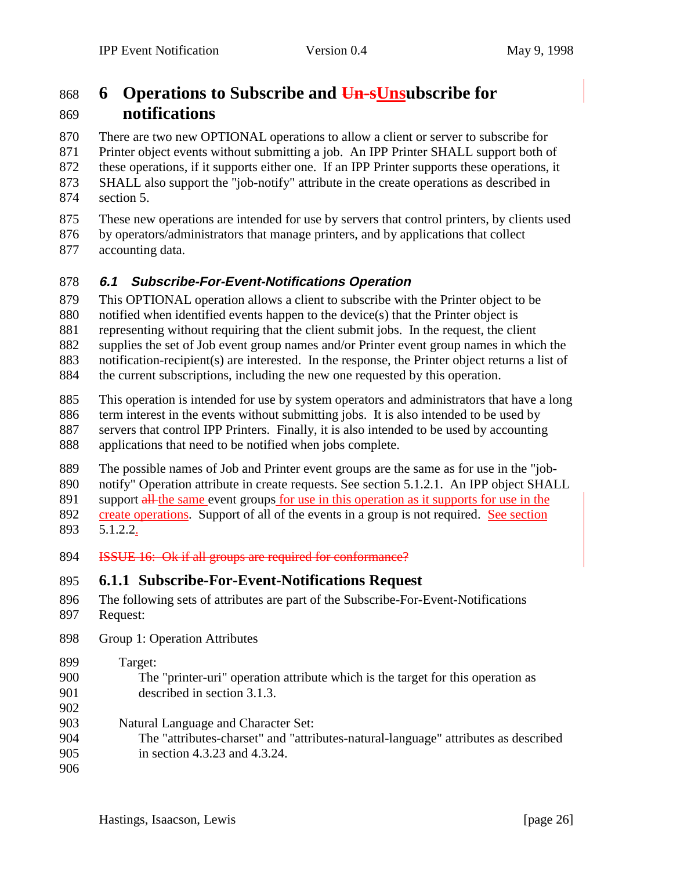# **6 Operations to Subscribe and Un-sUnsubscribe for notifications**

 There are two new OPTIONAL operations to allow a client or server to subscribe for Printer object events without submitting a job. An IPP Printer SHALL support both of these operations, if it supports either one. If an IPP Printer supports these operations, it SHALL also support the "job-notify" attribute in the create operations as described in section 5.

- These new operations are intended for use by servers that control printers, by clients used
- by operators/administrators that manage printers, and by applications that collect accounting data.

#### **6.1 Subscribe-For-Event-Notifications Operation**

This OPTIONAL operation allows a client to subscribe with the Printer object to be

notified when identified events happen to the device(s) that the Printer object is

representing without requiring that the client submit jobs. In the request, the client

supplies the set of Job event group names and/or Printer event group names in which the

- notification-recipient(s) are interested. In the response, the Printer object returns a list of
- the current subscriptions, including the new one requested by this operation.
- This operation is intended for use by system operators and administrators that have a long
- term interest in the events without submitting jobs. It is also intended to be used by
- servers that control IPP Printers. Finally, it is also intended to be used by accounting
- applications that need to be notified when jobs complete.

The possible names of Job and Printer event groups are the same as for use in the "job-

notify" Operation attribute in create requests. See section 5.1.2.1. An IPP object SHALL

891 support all the same event groups for use in this operation as it supports for use in the

 create operations. Support of all of the events in a group is not required. See section 5.1.2.2.

**ISSUE 16:** Ok if all groups are required for conformance?

## **6.1.1 Subscribe-For-Event-Notifications Request**

- The following sets of attributes are part of the Subscribe-For-Event-Notifications Request:
- 
- Group 1: Operation Attributes

 Target: The "printer-uri" operation attribute which is the target for this operation as described in section 3.1.3.

- 
- Natural Language and Character Set:
- The "attributes-charset" and "attributes-natural-language" attributes as described in section 4.3.23 and 4.3.24.
-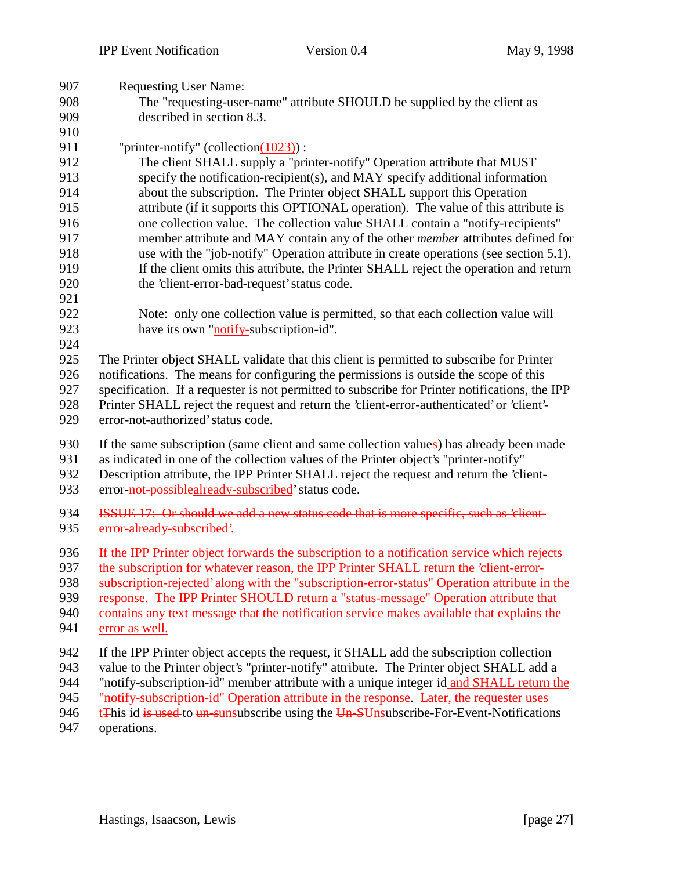| 907 | <b>Requesting User Name:</b>                                                                   |
|-----|------------------------------------------------------------------------------------------------|
| 908 | The "requesting-user-name" attribute SHOULD be supplied by the client as                       |
| 909 | described in section 8.3.                                                                      |
| 910 |                                                                                                |
| 911 | "printer-notify" (collection $(1023)$ ):                                                       |
| 912 | The client SHALL supply a "printer-notify" Operation attribute that MUST                       |
| 913 | specify the notification-recipient(s), and MAY specify additional information                  |
| 914 | about the subscription. The Printer object SHALL support this Operation                        |
| 915 | attribute (if it supports this OPTIONAL operation). The value of this attribute is             |
| 916 | one collection value. The collection value SHALL contain a "notify-recipients"                 |
| 917 | member attribute and MAY contain any of the other <i>member</i> attributes defined for         |
| 918 | use with the "job-notify" Operation attribute in create operations (see section 5.1).          |
| 919 | If the client omits this attribute, the Printer SHALL reject the operation and return          |
| 920 | the 'client-error-bad-request' status code.                                                    |
| 921 |                                                                                                |
| 922 | Note: only one collection value is permitted, so that each collection value will               |
| 923 | have its own "notify-subscription-id".                                                         |
| 924 |                                                                                                |
| 925 | The Printer object SHALL validate that this client is permitted to subscribe for Printer       |
| 926 | notifications. The means for configuring the permissions is outside the scope of this          |
| 927 | specification. If a requester is not permitted to subscribe for Printer notifications, the IPP |
| 928 | Printer SHALL reject the request and return the 'client-error-authenticated' or 'client'-      |
| 929 | error-not-authorized' status code.                                                             |
| 930 | If the same subscription (same client and same collection values) has already been made        |
| 931 | as indicated in one of the collection values of the Printer object's "printer-notify"          |
| 932 | Description attribute, the IPP Printer SHALL reject the request and return the 'client-        |
| 933 | error-not-possiblealready-subscribed' status code.                                             |
|     |                                                                                                |
| 934 | ISSUE 17: Or should we add a new status code that is more specific, such as 'client-           |
| 935 | error-already-subscribed'.                                                                     |
| 936 | If the IPP Printer object forwards the subscription to a notification service which rejects    |
| 937 | the subscription for whatever reason, the IPP Printer SHALL return the 'client-error-          |
| 938 | subscription-rejected' along with the "subscription-error-status" Operation attribute in the   |
| 939 | response. The IPP Printer SHOULD return a "status-message" Operation attribute that            |
| 940 | contains any text message that the notification service makes available that explains the      |
| 941 | error as well.                                                                                 |
| 942 | If the IPP Printer object accepts the request, it SHALL add the subscription collection        |
| 943 | value to the Printer object's "printer-notify" attribute. The Printer object SHALL add a       |
| 944 | "notify-subscription-id" member attribute with a unique integer id and SHALL return the        |
| 945 | "notify-subscription-id" Operation attribute in the response. Later, the requester uses        |
| 946 | <b>EXAMPLE 15 Lines and Superior Contract Set of the SUnsubscribe-For-Event-Notifications</b>  |
|     |                                                                                                |
| 947 | operations.                                                                                    |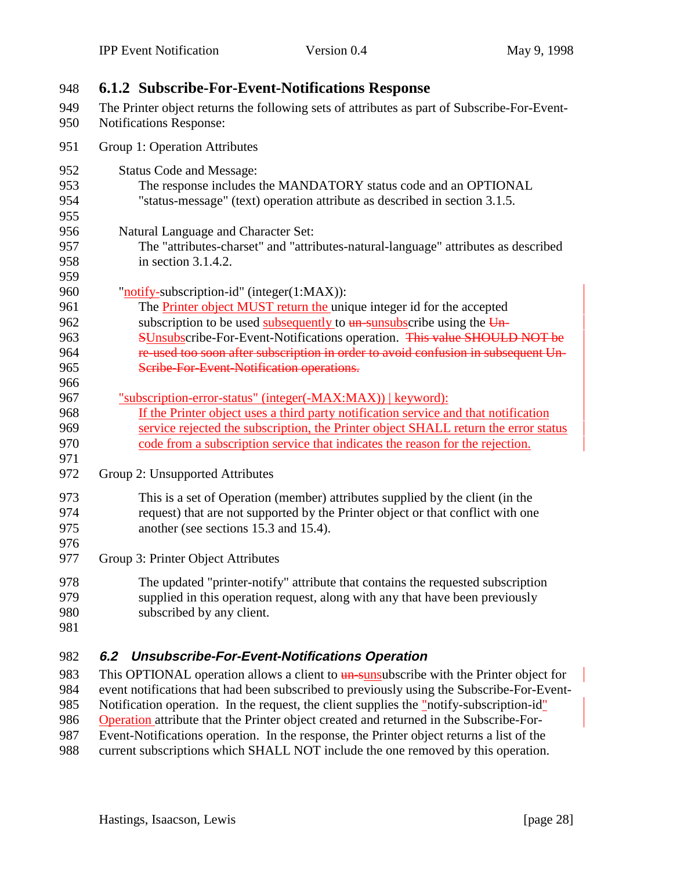| 949<br>The Printer object returns the following sets of attributes as part of Subscribe-For-Event-<br>950<br>Notifications Response:<br>951<br>Group 1: Operation Attributes<br>952<br><b>Status Code and Message:</b><br>953<br>The response includes the MANDATORY status code and an OPTIONAL<br>954<br>"status-message" (text) operation attribute as described in section 3.1.5.<br>955<br>956<br>Natural Language and Character Set:<br>957<br>The "attributes-charset" and "attributes-natural-language" attributes as described<br>958<br>in section $3.1.4.2$ .<br>959<br>960<br>"notify-subscription-id" (integer(1:MAX)):<br>The <b>Printer object MUST return the</b> unique integer id for the accepted<br>961<br>subscription to be used subsequently to $\frac{un-sunsubscriptstyle{}}{un-sunsubscriptstyle{}}$ the $\frac{Un-sunsubscriptstyle{}}{un-sunsubscriptstyle{}}$<br>962<br>SUnsubscribe-For-Event-Notifications operation. This value SHOULD NOT be<br>963<br>re used too soon after subscription in order to avoid confusion in subsequent Un-<br>964<br>965<br>Scribe-For-Event-Notification operations.<br>966<br>967<br>"subscription-error-status" (integer(-MAX:MAX))   keyword):<br>If the Printer object uses a third party notification service and that notification<br>968<br>969<br>service rejected the subscription, the Printer object SHALL return the error status<br>970<br>code from a subscription service that indicates the reason for the rejection.<br>971<br>972<br>Group 2: Unsupported Attributes<br>973<br>This is a set of Operation (member) attributes supplied by the client (in the<br>request) that are not supported by the Printer object or that conflict with one<br>974<br>975<br>another (see sections 15.3 and 15.4).<br>976<br>977<br>Group 3: Printer Object Attributes<br>978<br>The updated "printer-notify" attribute that contains the requested subscription<br>supplied in this operation request, along with any that have been previously<br>979<br>980<br>subscribed by any client.<br>981<br>982<br><b>Unsubscribe-For-Event-Notifications Operation</b><br>6.2<br>983<br>This OPTIONAL operation allows a client to <b>un</b> -sunsubscribe with the Printer object for<br>984<br>event notifications that had been subscribed to previously using the Subscribe-For-Event-<br>985<br>Notification operation. In the request, the client supplies the "notify-subscription-id" | 948 | <b>6.1.2 Subscribe-For-Event-Notifications Response</b> |
|----------------------------------------------------------------------------------------------------------------------------------------------------------------------------------------------------------------------------------------------------------------------------------------------------------------------------------------------------------------------------------------------------------------------------------------------------------------------------------------------------------------------------------------------------------------------------------------------------------------------------------------------------------------------------------------------------------------------------------------------------------------------------------------------------------------------------------------------------------------------------------------------------------------------------------------------------------------------------------------------------------------------------------------------------------------------------------------------------------------------------------------------------------------------------------------------------------------------------------------------------------------------------------------------------------------------------------------------------------------------------------------------------------------------------------------------------------------------------------------------------------------------------------------------------------------------------------------------------------------------------------------------------------------------------------------------------------------------------------------------------------------------------------------------------------------------------------------------------------------------------------------------------------------------------------------------------------------------------------------------------------------------------------------------------------------------------------------------------------------------------------------------------------------------------------------------------------------------------------------------------------------------------------------------------------------------------------------------------------------------------------------------------------------------------------------------------------------|-----|---------------------------------------------------------|
|                                                                                                                                                                                                                                                                                                                                                                                                                                                                                                                                                                                                                                                                                                                                                                                                                                                                                                                                                                                                                                                                                                                                                                                                                                                                                                                                                                                                                                                                                                                                                                                                                                                                                                                                                                                                                                                                                                                                                                                                                                                                                                                                                                                                                                                                                                                                                                                                                                                                |     |                                                         |
|                                                                                                                                                                                                                                                                                                                                                                                                                                                                                                                                                                                                                                                                                                                                                                                                                                                                                                                                                                                                                                                                                                                                                                                                                                                                                                                                                                                                                                                                                                                                                                                                                                                                                                                                                                                                                                                                                                                                                                                                                                                                                                                                                                                                                                                                                                                                                                                                                                                                |     |                                                         |
|                                                                                                                                                                                                                                                                                                                                                                                                                                                                                                                                                                                                                                                                                                                                                                                                                                                                                                                                                                                                                                                                                                                                                                                                                                                                                                                                                                                                                                                                                                                                                                                                                                                                                                                                                                                                                                                                                                                                                                                                                                                                                                                                                                                                                                                                                                                                                                                                                                                                |     |                                                         |
|                                                                                                                                                                                                                                                                                                                                                                                                                                                                                                                                                                                                                                                                                                                                                                                                                                                                                                                                                                                                                                                                                                                                                                                                                                                                                                                                                                                                                                                                                                                                                                                                                                                                                                                                                                                                                                                                                                                                                                                                                                                                                                                                                                                                                                                                                                                                                                                                                                                                |     |                                                         |
|                                                                                                                                                                                                                                                                                                                                                                                                                                                                                                                                                                                                                                                                                                                                                                                                                                                                                                                                                                                                                                                                                                                                                                                                                                                                                                                                                                                                                                                                                                                                                                                                                                                                                                                                                                                                                                                                                                                                                                                                                                                                                                                                                                                                                                                                                                                                                                                                                                                                |     |                                                         |
|                                                                                                                                                                                                                                                                                                                                                                                                                                                                                                                                                                                                                                                                                                                                                                                                                                                                                                                                                                                                                                                                                                                                                                                                                                                                                                                                                                                                                                                                                                                                                                                                                                                                                                                                                                                                                                                                                                                                                                                                                                                                                                                                                                                                                                                                                                                                                                                                                                                                |     |                                                         |
|                                                                                                                                                                                                                                                                                                                                                                                                                                                                                                                                                                                                                                                                                                                                                                                                                                                                                                                                                                                                                                                                                                                                                                                                                                                                                                                                                                                                                                                                                                                                                                                                                                                                                                                                                                                                                                                                                                                                                                                                                                                                                                                                                                                                                                                                                                                                                                                                                                                                |     |                                                         |
|                                                                                                                                                                                                                                                                                                                                                                                                                                                                                                                                                                                                                                                                                                                                                                                                                                                                                                                                                                                                                                                                                                                                                                                                                                                                                                                                                                                                                                                                                                                                                                                                                                                                                                                                                                                                                                                                                                                                                                                                                                                                                                                                                                                                                                                                                                                                                                                                                                                                |     |                                                         |
|                                                                                                                                                                                                                                                                                                                                                                                                                                                                                                                                                                                                                                                                                                                                                                                                                                                                                                                                                                                                                                                                                                                                                                                                                                                                                                                                                                                                                                                                                                                                                                                                                                                                                                                                                                                                                                                                                                                                                                                                                                                                                                                                                                                                                                                                                                                                                                                                                                                                |     |                                                         |
|                                                                                                                                                                                                                                                                                                                                                                                                                                                                                                                                                                                                                                                                                                                                                                                                                                                                                                                                                                                                                                                                                                                                                                                                                                                                                                                                                                                                                                                                                                                                                                                                                                                                                                                                                                                                                                                                                                                                                                                                                                                                                                                                                                                                                                                                                                                                                                                                                                                                |     |                                                         |
|                                                                                                                                                                                                                                                                                                                                                                                                                                                                                                                                                                                                                                                                                                                                                                                                                                                                                                                                                                                                                                                                                                                                                                                                                                                                                                                                                                                                                                                                                                                                                                                                                                                                                                                                                                                                                                                                                                                                                                                                                                                                                                                                                                                                                                                                                                                                                                                                                                                                |     |                                                         |
|                                                                                                                                                                                                                                                                                                                                                                                                                                                                                                                                                                                                                                                                                                                                                                                                                                                                                                                                                                                                                                                                                                                                                                                                                                                                                                                                                                                                                                                                                                                                                                                                                                                                                                                                                                                                                                                                                                                                                                                                                                                                                                                                                                                                                                                                                                                                                                                                                                                                |     |                                                         |
|                                                                                                                                                                                                                                                                                                                                                                                                                                                                                                                                                                                                                                                                                                                                                                                                                                                                                                                                                                                                                                                                                                                                                                                                                                                                                                                                                                                                                                                                                                                                                                                                                                                                                                                                                                                                                                                                                                                                                                                                                                                                                                                                                                                                                                                                                                                                                                                                                                                                |     |                                                         |
|                                                                                                                                                                                                                                                                                                                                                                                                                                                                                                                                                                                                                                                                                                                                                                                                                                                                                                                                                                                                                                                                                                                                                                                                                                                                                                                                                                                                                                                                                                                                                                                                                                                                                                                                                                                                                                                                                                                                                                                                                                                                                                                                                                                                                                                                                                                                                                                                                                                                |     |                                                         |
|                                                                                                                                                                                                                                                                                                                                                                                                                                                                                                                                                                                                                                                                                                                                                                                                                                                                                                                                                                                                                                                                                                                                                                                                                                                                                                                                                                                                                                                                                                                                                                                                                                                                                                                                                                                                                                                                                                                                                                                                                                                                                                                                                                                                                                                                                                                                                                                                                                                                |     |                                                         |
|                                                                                                                                                                                                                                                                                                                                                                                                                                                                                                                                                                                                                                                                                                                                                                                                                                                                                                                                                                                                                                                                                                                                                                                                                                                                                                                                                                                                                                                                                                                                                                                                                                                                                                                                                                                                                                                                                                                                                                                                                                                                                                                                                                                                                                                                                                                                                                                                                                                                |     |                                                         |
|                                                                                                                                                                                                                                                                                                                                                                                                                                                                                                                                                                                                                                                                                                                                                                                                                                                                                                                                                                                                                                                                                                                                                                                                                                                                                                                                                                                                                                                                                                                                                                                                                                                                                                                                                                                                                                                                                                                                                                                                                                                                                                                                                                                                                                                                                                                                                                                                                                                                |     |                                                         |
|                                                                                                                                                                                                                                                                                                                                                                                                                                                                                                                                                                                                                                                                                                                                                                                                                                                                                                                                                                                                                                                                                                                                                                                                                                                                                                                                                                                                                                                                                                                                                                                                                                                                                                                                                                                                                                                                                                                                                                                                                                                                                                                                                                                                                                                                                                                                                                                                                                                                |     |                                                         |
|                                                                                                                                                                                                                                                                                                                                                                                                                                                                                                                                                                                                                                                                                                                                                                                                                                                                                                                                                                                                                                                                                                                                                                                                                                                                                                                                                                                                                                                                                                                                                                                                                                                                                                                                                                                                                                                                                                                                                                                                                                                                                                                                                                                                                                                                                                                                                                                                                                                                |     |                                                         |
|                                                                                                                                                                                                                                                                                                                                                                                                                                                                                                                                                                                                                                                                                                                                                                                                                                                                                                                                                                                                                                                                                                                                                                                                                                                                                                                                                                                                                                                                                                                                                                                                                                                                                                                                                                                                                                                                                                                                                                                                                                                                                                                                                                                                                                                                                                                                                                                                                                                                |     |                                                         |
|                                                                                                                                                                                                                                                                                                                                                                                                                                                                                                                                                                                                                                                                                                                                                                                                                                                                                                                                                                                                                                                                                                                                                                                                                                                                                                                                                                                                                                                                                                                                                                                                                                                                                                                                                                                                                                                                                                                                                                                                                                                                                                                                                                                                                                                                                                                                                                                                                                                                |     |                                                         |
|                                                                                                                                                                                                                                                                                                                                                                                                                                                                                                                                                                                                                                                                                                                                                                                                                                                                                                                                                                                                                                                                                                                                                                                                                                                                                                                                                                                                                                                                                                                                                                                                                                                                                                                                                                                                                                                                                                                                                                                                                                                                                                                                                                                                                                                                                                                                                                                                                                                                |     |                                                         |
|                                                                                                                                                                                                                                                                                                                                                                                                                                                                                                                                                                                                                                                                                                                                                                                                                                                                                                                                                                                                                                                                                                                                                                                                                                                                                                                                                                                                                                                                                                                                                                                                                                                                                                                                                                                                                                                                                                                                                                                                                                                                                                                                                                                                                                                                                                                                                                                                                                                                |     |                                                         |
|                                                                                                                                                                                                                                                                                                                                                                                                                                                                                                                                                                                                                                                                                                                                                                                                                                                                                                                                                                                                                                                                                                                                                                                                                                                                                                                                                                                                                                                                                                                                                                                                                                                                                                                                                                                                                                                                                                                                                                                                                                                                                                                                                                                                                                                                                                                                                                                                                                                                |     |                                                         |
|                                                                                                                                                                                                                                                                                                                                                                                                                                                                                                                                                                                                                                                                                                                                                                                                                                                                                                                                                                                                                                                                                                                                                                                                                                                                                                                                                                                                                                                                                                                                                                                                                                                                                                                                                                                                                                                                                                                                                                                                                                                                                                                                                                                                                                                                                                                                                                                                                                                                |     |                                                         |
|                                                                                                                                                                                                                                                                                                                                                                                                                                                                                                                                                                                                                                                                                                                                                                                                                                                                                                                                                                                                                                                                                                                                                                                                                                                                                                                                                                                                                                                                                                                                                                                                                                                                                                                                                                                                                                                                                                                                                                                                                                                                                                                                                                                                                                                                                                                                                                                                                                                                |     |                                                         |
|                                                                                                                                                                                                                                                                                                                                                                                                                                                                                                                                                                                                                                                                                                                                                                                                                                                                                                                                                                                                                                                                                                                                                                                                                                                                                                                                                                                                                                                                                                                                                                                                                                                                                                                                                                                                                                                                                                                                                                                                                                                                                                                                                                                                                                                                                                                                                                                                                                                                |     |                                                         |
|                                                                                                                                                                                                                                                                                                                                                                                                                                                                                                                                                                                                                                                                                                                                                                                                                                                                                                                                                                                                                                                                                                                                                                                                                                                                                                                                                                                                                                                                                                                                                                                                                                                                                                                                                                                                                                                                                                                                                                                                                                                                                                                                                                                                                                                                                                                                                                                                                                                                |     |                                                         |
|                                                                                                                                                                                                                                                                                                                                                                                                                                                                                                                                                                                                                                                                                                                                                                                                                                                                                                                                                                                                                                                                                                                                                                                                                                                                                                                                                                                                                                                                                                                                                                                                                                                                                                                                                                                                                                                                                                                                                                                                                                                                                                                                                                                                                                                                                                                                                                                                                                                                |     |                                                         |
|                                                                                                                                                                                                                                                                                                                                                                                                                                                                                                                                                                                                                                                                                                                                                                                                                                                                                                                                                                                                                                                                                                                                                                                                                                                                                                                                                                                                                                                                                                                                                                                                                                                                                                                                                                                                                                                                                                                                                                                                                                                                                                                                                                                                                                                                                                                                                                                                                                                                |     |                                                         |
|                                                                                                                                                                                                                                                                                                                                                                                                                                                                                                                                                                                                                                                                                                                                                                                                                                                                                                                                                                                                                                                                                                                                                                                                                                                                                                                                                                                                                                                                                                                                                                                                                                                                                                                                                                                                                                                                                                                                                                                                                                                                                                                                                                                                                                                                                                                                                                                                                                                                |     |                                                         |
|                                                                                                                                                                                                                                                                                                                                                                                                                                                                                                                                                                                                                                                                                                                                                                                                                                                                                                                                                                                                                                                                                                                                                                                                                                                                                                                                                                                                                                                                                                                                                                                                                                                                                                                                                                                                                                                                                                                                                                                                                                                                                                                                                                                                                                                                                                                                                                                                                                                                |     |                                                         |
|                                                                                                                                                                                                                                                                                                                                                                                                                                                                                                                                                                                                                                                                                                                                                                                                                                                                                                                                                                                                                                                                                                                                                                                                                                                                                                                                                                                                                                                                                                                                                                                                                                                                                                                                                                                                                                                                                                                                                                                                                                                                                                                                                                                                                                                                                                                                                                                                                                                                |     |                                                         |
|                                                                                                                                                                                                                                                                                                                                                                                                                                                                                                                                                                                                                                                                                                                                                                                                                                                                                                                                                                                                                                                                                                                                                                                                                                                                                                                                                                                                                                                                                                                                                                                                                                                                                                                                                                                                                                                                                                                                                                                                                                                                                                                                                                                                                                                                                                                                                                                                                                                                |     |                                                         |
|                                                                                                                                                                                                                                                                                                                                                                                                                                                                                                                                                                                                                                                                                                                                                                                                                                                                                                                                                                                                                                                                                                                                                                                                                                                                                                                                                                                                                                                                                                                                                                                                                                                                                                                                                                                                                                                                                                                                                                                                                                                                                                                                                                                                                                                                                                                                                                                                                                                                |     |                                                         |
|                                                                                                                                                                                                                                                                                                                                                                                                                                                                                                                                                                                                                                                                                                                                                                                                                                                                                                                                                                                                                                                                                                                                                                                                                                                                                                                                                                                                                                                                                                                                                                                                                                                                                                                                                                                                                                                                                                                                                                                                                                                                                                                                                                                                                                                                                                                                                                                                                                                                |     |                                                         |
|                                                                                                                                                                                                                                                                                                                                                                                                                                                                                                                                                                                                                                                                                                                                                                                                                                                                                                                                                                                                                                                                                                                                                                                                                                                                                                                                                                                                                                                                                                                                                                                                                                                                                                                                                                                                                                                                                                                                                                                                                                                                                                                                                                                                                                                                                                                                                                                                                                                                |     |                                                         |
| 986<br>Operation attribute that the Printer object created and returned in the Subscribe-For-                                                                                                                                                                                                                                                                                                                                                                                                                                                                                                                                                                                                                                                                                                                                                                                                                                                                                                                                                                                                                                                                                                                                                                                                                                                                                                                                                                                                                                                                                                                                                                                                                                                                                                                                                                                                                                                                                                                                                                                                                                                                                                                                                                                                                                                                                                                                                                  |     |                                                         |
| 987<br>Event-Notifications operation. In the response, the Printer object returns a list of the                                                                                                                                                                                                                                                                                                                                                                                                                                                                                                                                                                                                                                                                                                                                                                                                                                                                                                                                                                                                                                                                                                                                                                                                                                                                                                                                                                                                                                                                                                                                                                                                                                                                                                                                                                                                                                                                                                                                                                                                                                                                                                                                                                                                                                                                                                                                                                |     |                                                         |
| current subscriptions which SHALL NOT include the one removed by this operation.<br>988                                                                                                                                                                                                                                                                                                                                                                                                                                                                                                                                                                                                                                                                                                                                                                                                                                                                                                                                                                                                                                                                                                                                                                                                                                                                                                                                                                                                                                                                                                                                                                                                                                                                                                                                                                                                                                                                                                                                                                                                                                                                                                                                                                                                                                                                                                                                                                        |     |                                                         |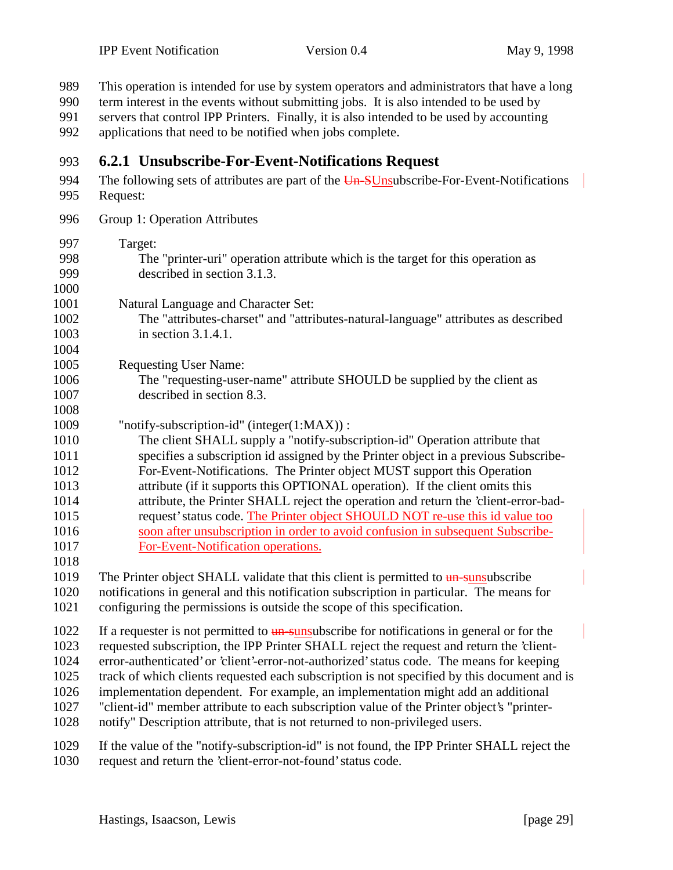| 989<br>990   | This operation is intended for use by system operators and administrators that have a long                                                                                                                                                      |
|--------------|-------------------------------------------------------------------------------------------------------------------------------------------------------------------------------------------------------------------------------------------------|
| 991<br>992   | term interest in the events without submitting jobs. It is also intended to be used by<br>servers that control IPP Printers. Finally, it is also intended to be used by accounting<br>applications that need to be notified when jobs complete. |
| 993          | 6.2.1 Unsubscribe-For-Event-Notifications Request                                                                                                                                                                                               |
| 994<br>995   | The following sets of attributes are part of the Un-SUnsubscribe-For-Event-Notifications<br>Request:                                                                                                                                            |
| 996          | Group 1: Operation Attributes                                                                                                                                                                                                                   |
| 997          | Target:                                                                                                                                                                                                                                         |
| 998          | The "printer-uri" operation attribute which is the target for this operation as                                                                                                                                                                 |
| 999          | described in section 3.1.3.                                                                                                                                                                                                                     |
| 1000         |                                                                                                                                                                                                                                                 |
| 1001         | Natural Language and Character Set:                                                                                                                                                                                                             |
| 1002         | The "attributes-charset" and "attributes-natural-language" attributes as described                                                                                                                                                              |
| 1003         | in section 3.1.4.1.                                                                                                                                                                                                                             |
| 1004         |                                                                                                                                                                                                                                                 |
| 1005         | <b>Requesting User Name:</b>                                                                                                                                                                                                                    |
| 1006         | The "requesting-user-name" attribute SHOULD be supplied by the client as                                                                                                                                                                        |
| 1007         | described in section 8.3.                                                                                                                                                                                                                       |
| 1008<br>1009 | "notify-subscription-id" (integer(1:MAX)):                                                                                                                                                                                                      |
| 1010         | The client SHALL supply a "notify-subscription-id" Operation attribute that                                                                                                                                                                     |
| 1011         | specifies a subscription id assigned by the Printer object in a previous Subscribe-                                                                                                                                                             |
| 1012         | For-Event-Notifications. The Printer object MUST support this Operation                                                                                                                                                                         |
| 1013         | attribute (if it supports this OPTIONAL operation). If the client omits this                                                                                                                                                                    |
| 1014         | attribute, the Printer SHALL reject the operation and return the 'client-error-bad-                                                                                                                                                             |
| 1015         | request' status code. The Printer object SHOULD NOT re-use this id value too                                                                                                                                                                    |
| 1016         | soon after unsubscription in order to avoid confusion in subsequent Subscribe-                                                                                                                                                                  |
| 1017         | For-Event-Notification operations.                                                                                                                                                                                                              |
| 1018         |                                                                                                                                                                                                                                                 |
| 1019         | The Printer object SHALL validate that this client is permitted to un-sunsubscribe                                                                                                                                                              |
| 1020         | notifications in general and this notification subscription in particular. The means for                                                                                                                                                        |
| 1021         | configuring the permissions is outside the scope of this specification.                                                                                                                                                                         |
| 1022         | If a requester is not permitted to $\frac{un-sunsub}{c}$ for notifications in general or for the                                                                                                                                                |
| 1023         | requested subscription, the IPP Printer SHALL reject the request and return the 'client-                                                                                                                                                        |
| 1024         | error-authenticated' or 'client'-error-not-authorized' status code. The means for keeping                                                                                                                                                       |
| 1025         | track of which clients requested each subscription is not specified by this document and is                                                                                                                                                     |
| 1026         | implementation dependent. For example, an implementation might add an additional                                                                                                                                                                |
| 1027         | "client-id" member attribute to each subscription value of the Printer object's "printer-                                                                                                                                                       |
| 1028         | notify" Description attribute, that is not returned to non-privileged users.                                                                                                                                                                    |

- If the value of the "notify-subscription-id" is not found, the IPP Printer SHALL reject the
- request and return the 'client-error-not-found' status code.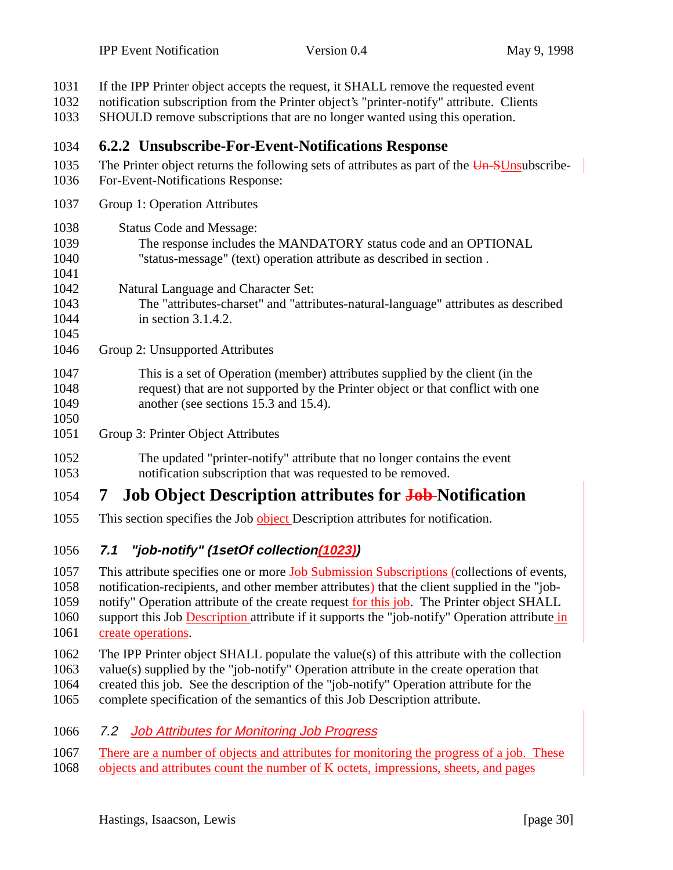| 1031<br>1032<br>1033                 | If the IPP Printer object accepts the request, it SHALL remove the requested event<br>notification subscription from the Printer object's "printer-notify" attribute. Clients<br>SHOULD remove subscriptions that are no longer wanted using this operation.                                                                                                                                                       |
|--------------------------------------|--------------------------------------------------------------------------------------------------------------------------------------------------------------------------------------------------------------------------------------------------------------------------------------------------------------------------------------------------------------------------------------------------------------------|
| 1034                                 | 6.2.2 Unsubscribe-For-Event-Notifications Response                                                                                                                                                                                                                                                                                                                                                                 |
| 1035<br>1036                         | The Printer object returns the following sets of attributes as part of the Un-SUnsubscribe-<br>For-Event-Notifications Response:                                                                                                                                                                                                                                                                                   |
| 1037                                 | Group 1: Operation Attributes                                                                                                                                                                                                                                                                                                                                                                                      |
| 1038<br>1039<br>1040<br>1041         | <b>Status Code and Message:</b><br>The response includes the MANDATORY status code and an OPTIONAL<br>"status-message" (text) operation attribute as described in section.                                                                                                                                                                                                                                         |
| 1042<br>1043<br>1044<br>1045         | Natural Language and Character Set:<br>The "attributes-charset" and "attributes-natural-language" attributes as described<br>in section $3.1.4.2$ .                                                                                                                                                                                                                                                                |
| 1046                                 | Group 2: Unsupported Attributes                                                                                                                                                                                                                                                                                                                                                                                    |
| 1047<br>1048<br>1049<br>1050         | This is a set of Operation (member) attributes supplied by the client (in the<br>request) that are not supported by the Printer object or that conflict with one<br>another (see sections 15.3 and 15.4).                                                                                                                                                                                                          |
| 1051                                 | Group 3: Printer Object Attributes                                                                                                                                                                                                                                                                                                                                                                                 |
| 1052<br>1053                         | The updated "printer-notify" attribute that no longer contains the event<br>notification subscription that was requested to be removed.                                                                                                                                                                                                                                                                            |
| 1054                                 | <b>Job Object Description attributes for Job-Notification</b><br>$\mathcal{T}$                                                                                                                                                                                                                                                                                                                                     |
| 1055                                 | This section specifies the Job object Description attributes for notification.                                                                                                                                                                                                                                                                                                                                     |
| 1056                                 | "job-notify" (1setOf collection(1023))<br>7.1                                                                                                                                                                                                                                                                                                                                                                      |
| 1057<br>1058<br>1059<br>1060<br>1061 | This attribute specifies one or more <b>Job Submission Subscriptions</b> (collections of events,<br>notification-recipients, and other member attributes) that the client supplied in the "job-<br>notify" Operation attribute of the create request for this job. The Printer object SHALL<br>support this Job Description attribute if it supports the "job-notify" Operation attribute in<br>create operations. |
| 1062<br>1063<br>1064<br>1065         | The IPP Printer object SHALL populate the value(s) of this attribute with the collection<br>value(s) supplied by the "job-notify" Operation attribute in the create operation that<br>created this job. See the description of the "job-notify" Operation attribute for the<br>complete specification of the semantics of this Job Description attribute.                                                          |
| 1066                                 | <b>Job Attributes for Monitoring Job Progress</b><br>7.2 <sub>2</sub>                                                                                                                                                                                                                                                                                                                                              |
| 1067                                 | There are a number of objects and attributes for monitoring the progress of a job. These                                                                                                                                                                                                                                                                                                                           |

1068 objects and attributes count the number of K octets, impressions, sheets, and pages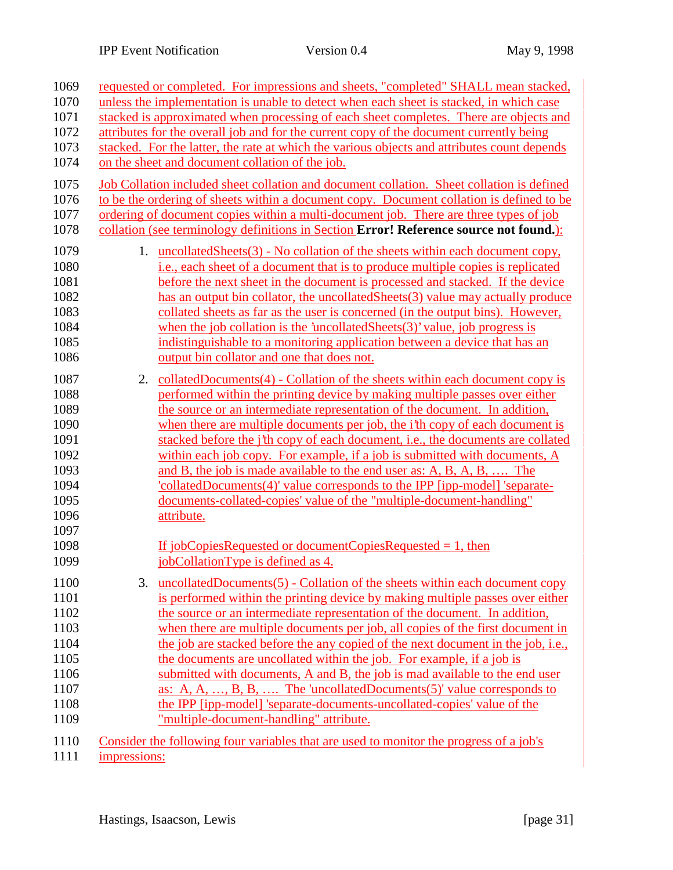| 1069                                                         |                                                                                             | requested or completed. For impressions and sheets, "completed" SHALL mean stacked,                                                                                                                                                                                                                                                                                                                                                                                                                                                                                                                                                           |  |  |  |
|--------------------------------------------------------------|---------------------------------------------------------------------------------------------|-----------------------------------------------------------------------------------------------------------------------------------------------------------------------------------------------------------------------------------------------------------------------------------------------------------------------------------------------------------------------------------------------------------------------------------------------------------------------------------------------------------------------------------------------------------------------------------------------------------------------------------------------|--|--|--|
| 1070                                                         | unless the implementation is unable to detect when each sheet is stacked, in which case     |                                                                                                                                                                                                                                                                                                                                                                                                                                                                                                                                                                                                                                               |  |  |  |
| 1071                                                         |                                                                                             | stacked is approximated when processing of each sheet completes. There are objects and                                                                                                                                                                                                                                                                                                                                                                                                                                                                                                                                                        |  |  |  |
| 1072                                                         | attributes for the overall job and for the current copy of the document currently being     |                                                                                                                                                                                                                                                                                                                                                                                                                                                                                                                                                                                                                                               |  |  |  |
| 1073                                                         | stacked. For the latter, the rate at which the various objects and attributes count depends |                                                                                                                                                                                                                                                                                                                                                                                                                                                                                                                                                                                                                                               |  |  |  |
| 1074                                                         |                                                                                             | on the sheet and document collation of the job.                                                                                                                                                                                                                                                                                                                                                                                                                                                                                                                                                                                               |  |  |  |
| 1075<br>1076                                                 |                                                                                             | Job Collation included sheet collation and document collation. Sheet collation is defined<br>to be the ordering of sheets within a document copy. Document collation is defined to be                                                                                                                                                                                                                                                                                                                                                                                                                                                         |  |  |  |
| 1077                                                         |                                                                                             | ordering of document copies within a multi-document job. There are three types of job                                                                                                                                                                                                                                                                                                                                                                                                                                                                                                                                                         |  |  |  |
| 1078                                                         |                                                                                             | collation (see terminology definitions in Section Error! Reference source not found.):                                                                                                                                                                                                                                                                                                                                                                                                                                                                                                                                                        |  |  |  |
| 1079<br>1080<br>1081<br>1082<br>1083<br>1084<br>1085<br>1086 |                                                                                             | 1. uncollatedSheets(3) - No collation of the sheets within each document copy,<br><i>i.e.</i> , each sheet of a document that is to produce multiple copies is replicated<br>before the next sheet in the document is processed and stacked. If the device<br>has an output bin collator, the uncollatedSheets(3) value may actually produce<br>collated sheets as far as the user is concerned (in the output bins). However,<br>when the job collation is the 'uncollated Sheets $(3)$ ' value, job progress is<br>indistinguishable to a monitoring application between a device that has an<br>output bin collator and one that does not. |  |  |  |
| 1087                                                         |                                                                                             | 2. collatedDocuments(4) - Collation of the sheets within each document copy is                                                                                                                                                                                                                                                                                                                                                                                                                                                                                                                                                                |  |  |  |
| 1088                                                         |                                                                                             | performed within the printing device by making multiple passes over either                                                                                                                                                                                                                                                                                                                                                                                                                                                                                                                                                                    |  |  |  |
| 1089                                                         |                                                                                             | the source or an intermediate representation of the document. In addition,                                                                                                                                                                                                                                                                                                                                                                                                                                                                                                                                                                    |  |  |  |
| 1090                                                         |                                                                                             | when there are multiple documents per job, the <i>i</i> 'th copy of each document is                                                                                                                                                                                                                                                                                                                                                                                                                                                                                                                                                          |  |  |  |
| 1091                                                         |                                                                                             | stacked before the <i>j'th</i> copy of each document, i.e., the documents are collated                                                                                                                                                                                                                                                                                                                                                                                                                                                                                                                                                        |  |  |  |
| 1092                                                         |                                                                                             | within each job copy. For example, if a job is submitted with documents, A                                                                                                                                                                                                                                                                                                                                                                                                                                                                                                                                                                    |  |  |  |
| 1093                                                         |                                                                                             | and B, the job is made available to the end user as: A, B, A, B,  The                                                                                                                                                                                                                                                                                                                                                                                                                                                                                                                                                                         |  |  |  |
| 1094                                                         |                                                                                             | collatedDocuments(4)' value corresponds to the IPP [ipp-model] 'separate-                                                                                                                                                                                                                                                                                                                                                                                                                                                                                                                                                                     |  |  |  |
| 1095                                                         |                                                                                             | documents-collated-copies' value of the "multiple-document-handling"                                                                                                                                                                                                                                                                                                                                                                                                                                                                                                                                                                          |  |  |  |
| 1096                                                         |                                                                                             | attribute.                                                                                                                                                                                                                                                                                                                                                                                                                                                                                                                                                                                                                                    |  |  |  |
| 1097                                                         |                                                                                             |                                                                                                                                                                                                                                                                                                                                                                                                                                                                                                                                                                                                                                               |  |  |  |
| 1098                                                         |                                                                                             | If jobCopiesRequested or documentCopiesRequested $= 1$ , then                                                                                                                                                                                                                                                                                                                                                                                                                                                                                                                                                                                 |  |  |  |
| 1099                                                         |                                                                                             | jobCollationType is defined as 4.                                                                                                                                                                                                                                                                                                                                                                                                                                                                                                                                                                                                             |  |  |  |
| 1100                                                         |                                                                                             | 3. uncollatedDocuments(5) - Collation of the sheets within each document copy                                                                                                                                                                                                                                                                                                                                                                                                                                                                                                                                                                 |  |  |  |
| 1101                                                         |                                                                                             | is performed within the printing device by making multiple passes over either                                                                                                                                                                                                                                                                                                                                                                                                                                                                                                                                                                 |  |  |  |
| 1102                                                         |                                                                                             | the source or an intermediate representation of the document. In addition,                                                                                                                                                                                                                                                                                                                                                                                                                                                                                                                                                                    |  |  |  |
| 1103                                                         |                                                                                             | when there are multiple documents per job, all copies of the first document in                                                                                                                                                                                                                                                                                                                                                                                                                                                                                                                                                                |  |  |  |
| 1104                                                         |                                                                                             | the job are stacked before the any copied of the next document in the job, i.e.,                                                                                                                                                                                                                                                                                                                                                                                                                                                                                                                                                              |  |  |  |
| 1105                                                         |                                                                                             | the documents are uncollated within the job. For example, if a job is                                                                                                                                                                                                                                                                                                                                                                                                                                                                                                                                                                         |  |  |  |
| 1106                                                         |                                                                                             | submitted with documents, A and B, the job is mad available to the end user                                                                                                                                                                                                                                                                                                                                                                                                                                                                                                                                                                   |  |  |  |
| 1107                                                         |                                                                                             | as: A, A, , B, B,  The 'uncollatedDocuments(5)' value corresponds to                                                                                                                                                                                                                                                                                                                                                                                                                                                                                                                                                                          |  |  |  |
| 1108                                                         |                                                                                             | the IPP [ipp-model] 'separate-documents-uncollated-copies' value of the                                                                                                                                                                                                                                                                                                                                                                                                                                                                                                                                                                       |  |  |  |
| 1109                                                         |                                                                                             | "multiple-document-handling" attribute.                                                                                                                                                                                                                                                                                                                                                                                                                                                                                                                                                                                                       |  |  |  |
| 1110                                                         |                                                                                             | Consider the following four variables that are used to monitor the progress of a job's                                                                                                                                                                                                                                                                                                                                                                                                                                                                                                                                                        |  |  |  |
| 1111                                                         | impressions:                                                                                |                                                                                                                                                                                                                                                                                                                                                                                                                                                                                                                                                                                                                                               |  |  |  |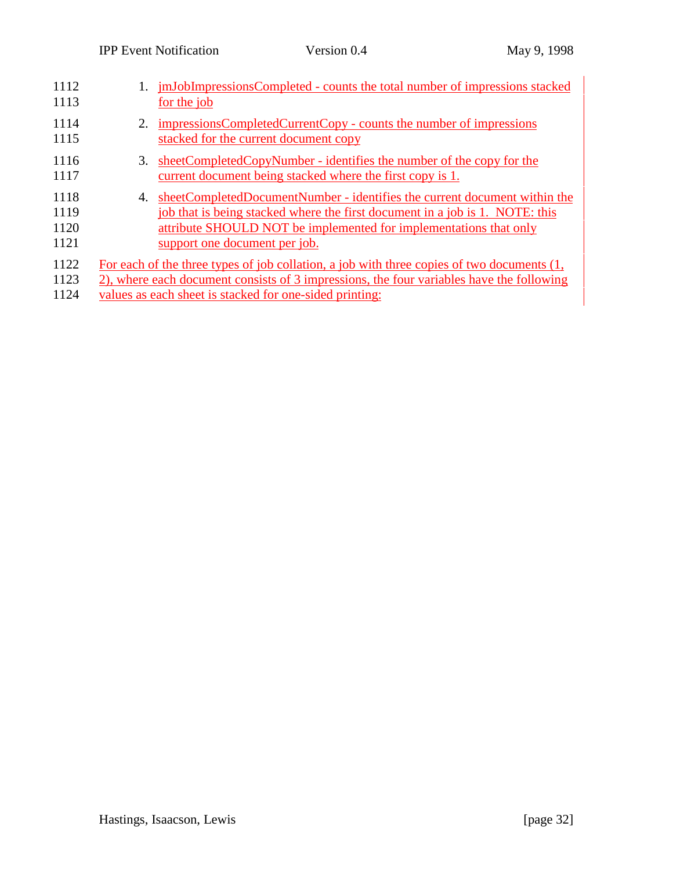| 1112<br>1113                 |    | imJobImpressionsCompleted - counts the total number of impressions stacked<br>for the job                                                                                                                                                                       |
|------------------------------|----|-----------------------------------------------------------------------------------------------------------------------------------------------------------------------------------------------------------------------------------------------------------------|
| 1114<br>1115                 | 2. | impressionsCompletedCurrentCopy - counts the number of impressions<br>stacked for the current document copy                                                                                                                                                     |
| 1116<br>1117                 | 3. | sheetCompletedCopyNumber - identifies the number of the copy for the<br>current document being stacked where the first copy is 1.                                                                                                                               |
| 1118<br>1119<br>1120<br>1121 | 4. | sheetCompletedDocumentNumber - identifies the current document within the<br>job that is being stacked where the first document in a job is 1. NOTE: this<br>attribute SHOULD NOT be implemented for implementations that only<br>support one document per job. |
| 1122<br>1123<br>1124         |    | For each of the three types of job collation, a job with three copies of two documents (1,<br>2), where each document consists of 3 impressions, the four variables have the following<br>values as each sheet is stacked for one-sided printing:               |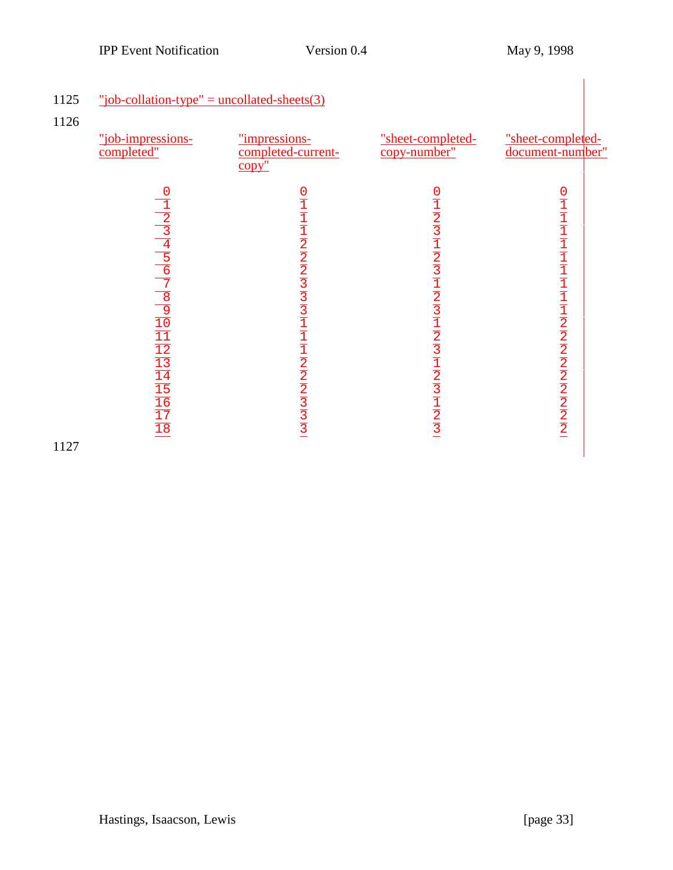| "job-impressions-<br>completed"                                                                                                                                                              | "impressions-<br>completed-current-<br>$\overline{copy}$ " | "sheet-completed-<br>copy-number" | "sheet-completed-<br>document-number" |
|----------------------------------------------------------------------------------------------------------------------------------------------------------------------------------------------|------------------------------------------------------------|-----------------------------------|---------------------------------------|
| 0<br>$\frac{1}{2}$ $\frac{2}{3}$ $\frac{3}{4}$ $\frac{4}{5}$ $\frac{6}{7}$ $\frac{9}{10}$ $\frac{1}{11}$ $\frac{1}{2}$ $\frac{1}{3}$ $\frac{1}{4}$ $\frac{1}{5}$ $\frac{1}{6}$ $\frac{1}{7}$ | $011112222331111111112222333131$                           |                                   | $011111111111111222222222222$         |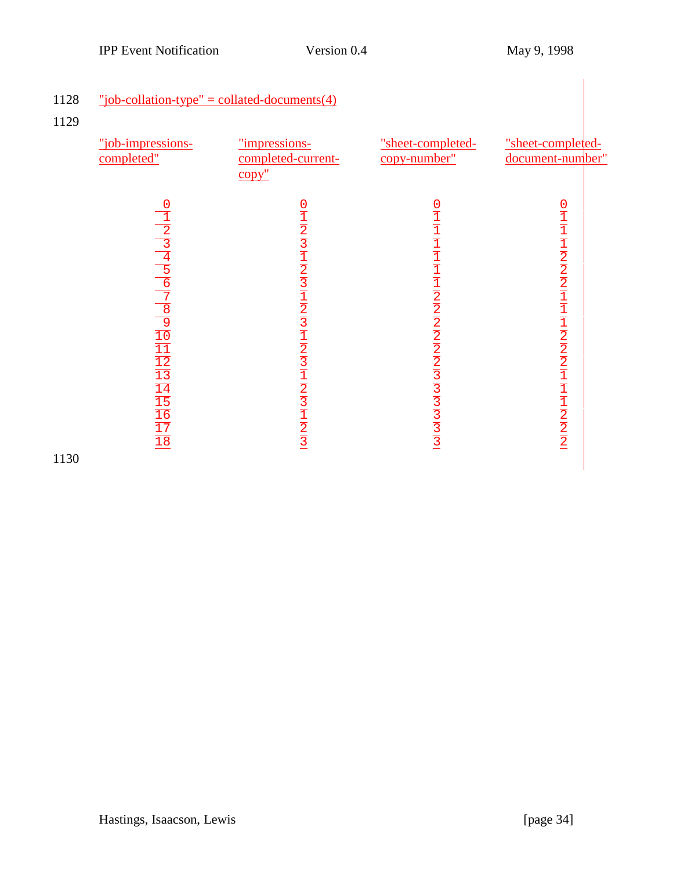| 1128<br>1129 | "job-collation-type" = collated-documents(4)<br>"job-impressions-<br>completed"                                                                                                               | "impressions-<br>completed-current-<br>$copy$ " | "sheet-completed-<br>copy-number" | "sheet-completed-<br>document-number"                                                                                                       |
|--------------|-----------------------------------------------------------------------------------------------------------------------------------------------------------------------------------------------|-------------------------------------------------|-----------------------------------|---------------------------------------------------------------------------------------------------------------------------------------------|
| 1130         | $\frac{1}{1}$ $\frac{2}{3}$ $\frac{4}{4}$ $\frac{5}{5}$ $\frac{6}{7}$ $\frac{9}{10}$ $\frac{1}{11}$ $\frac{1}{12}$ $\frac{1}{11}$ $\frac{1}{11}$ $\frac{1}{11}$ $\frac{1}{11}$ $\frac{1}{11}$ |                                                 | $011111111112222222333333$        | $\frac{0}{1}$ $\frac{1}{1}$ $\frac{1}{2}$ $\frac{1}{2}$ $\frac{1}{2}$ $\frac{1}{2}$ $\frac{1}{2}$ $\frac{1}{2}$ $\frac{1}{2}$ $\frac{1}{2}$ |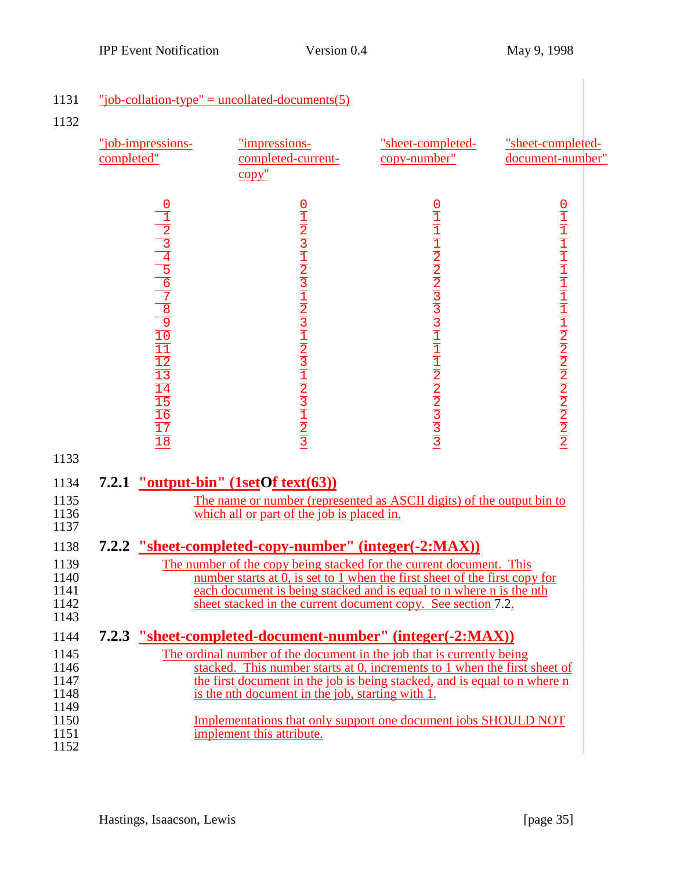| 1131<br>1132                                                                                                 |                                                                                                                                                                                                                                                                                                                                                                                                                                                                                                                                                                                                                                                                                                                                              | "job-collation-type" = uncollated-documents(5)                                                                                                                                                                               |                                   |                                                                                                                                                                                                                         |
|--------------------------------------------------------------------------------------------------------------|----------------------------------------------------------------------------------------------------------------------------------------------------------------------------------------------------------------------------------------------------------------------------------------------------------------------------------------------------------------------------------------------------------------------------------------------------------------------------------------------------------------------------------------------------------------------------------------------------------------------------------------------------------------------------------------------------------------------------------------------|------------------------------------------------------------------------------------------------------------------------------------------------------------------------------------------------------------------------------|-----------------------------------|-------------------------------------------------------------------------------------------------------------------------------------------------------------------------------------------------------------------------|
|                                                                                                              | "job-impressions-<br>completed"                                                                                                                                                                                                                                                                                                                                                                                                                                                                                                                                                                                                                                                                                                              | "impressions-<br>completed-current-<br>$\overline{copy''}$                                                                                                                                                                   | "sheet-completed-<br>copy-number" | "sheet-completed-<br>document-number"                                                                                                                                                                                   |
|                                                                                                              | $\frac{1}{2}$ $\frac{2}{3}$ $\frac{4}{4}$ $\frac{5}{5}$ $\frac{6}{7}$ $\frac{1}{8}$ $\frac{1}{2}$ $\frac{1}{2}$ $\frac{1}{2}$ $\frac{1}{2}$ $\frac{1}{2}$ $\frac{1}{2}$<br>$\overline{18}$                                                                                                                                                                                                                                                                                                                                                                                                                                                                                                                                                   | $012312312312312312121312131213$                                                                                                                                                                                             |                                   | $\frac{0}{1}{\frac{1}{1}{\frac{1}{1}{\frac{1}{1}{\frac{1}{1}{\frac{1}{1}{\frac{1}{1}{\frac{1}{1}{\frac{1}{1}{\frac{1}{2}{\frac{1}{2}{\frac{2}{2}{\frac{2}{2}{\frac{2}{2}{\frac{2}{2}{\frac{2}{2}}{\frac{2}{2}}}}}}}}}}$ |
| 1133<br>1134<br>1135<br>1136<br>1137<br>1138<br>1139<br>1140<br>1141<br>1142<br>1143<br>1144<br>1145<br>1146 | 7.2.1 "output-bin" (1setOf text(63))<br>The name or number (represented as ASCII digits) of the output bin to<br>which all or part of the job is placed in.<br>7.2.2 "sheet-completed-copy-number" (integer(-2:MAX))<br>The number of the copy being stacked for the current document. This<br>number starts at $\hat{0}$ , is set to 1 when the first sheet of the first copy for<br>each document is being stacked and is equal to n where n is the nth<br>sheet stacked in the current document copy. See section 7.2.<br>7.2.3 "sheet-completed-document-number" (integer(-2:MAX))<br>The ordinal number of the document in the job that is currently being<br>stacked. This number starts at 0, increments to 1 when the first sheet of |                                                                                                                                                                                                                              |                                   |                                                                                                                                                                                                                         |
| 1147<br>1148<br>1149<br>1150<br>1151<br>1152                                                                 |                                                                                                                                                                                                                                                                                                                                                                                                                                                                                                                                                                                                                                                                                                                                              | the first document in the job is being stacked, and is equal to n where n<br>is the nth document in the job, starting with 1.<br>Implementations that only support one document jobs SHOULD NOT<br>implement this attribute. |                                   |                                                                                                                                                                                                                         |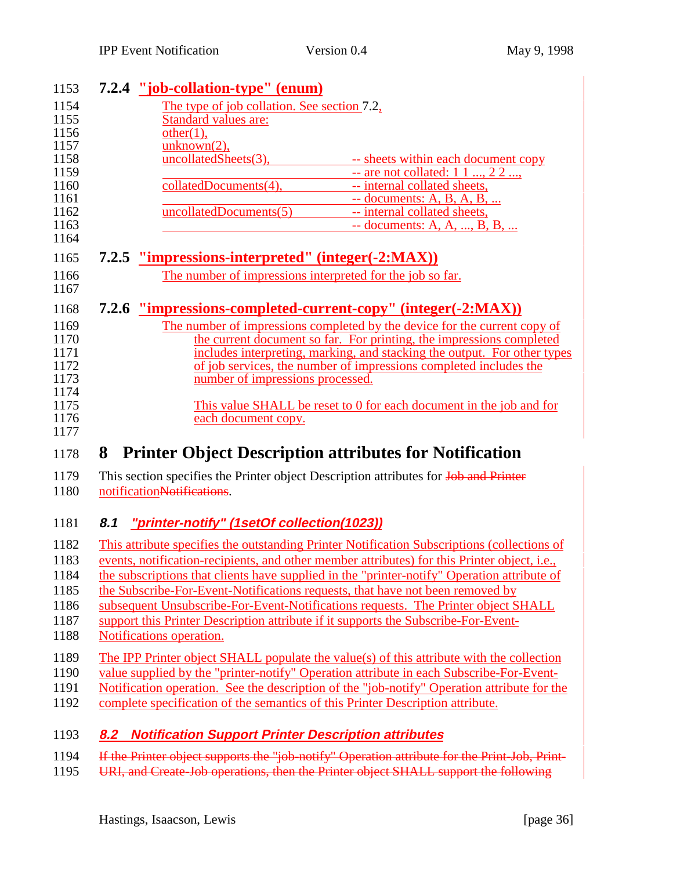|     | 7.2.4 "job-collation-type" (enum)                         |                                                                                               |
|-----|-----------------------------------------------------------|-----------------------------------------------------------------------------------------------|
|     | The type of job collation. See section 7.2,               |                                                                                               |
|     | <b>Standard values are:</b>                               |                                                                                               |
|     | other(1),                                                 |                                                                                               |
|     | unknown(2),                                               |                                                                                               |
|     | uncollatedSheets(3),                                      | -- sheets within each document copy                                                           |
|     |                                                           | $-$ are not collated: 1 1 , 2 2 ,                                                             |
|     | collatedDocuments(4),                                     | -- internal collated sheets,                                                                  |
|     |                                                           | <u>-- documents: A, B, A, B, </u>                                                             |
|     | uncollatedDocuments(5)                                    | -- internal collated sheets,                                                                  |
|     |                                                           | $-$ documents: A, A, , B, B,                                                                  |
|     | 7.2.5 <u>"impressions-interpreted" (integer(-2:MAX)</u>   |                                                                                               |
|     | The number of impressions interpreted for the job so far. |                                                                                               |
|     |                                                           |                                                                                               |
|     |                                                           | 7.2.6 <u>"impressions-completed-current-copy" (integer(-2:MAX)</u> )                          |
|     |                                                           | The number of impressions completed by the device for the current copy of                     |
|     |                                                           | the current document so far. For printing, the impressions completed                          |
|     |                                                           | includes interpreting, marking, and stacking the output. For other types                      |
|     |                                                           | of job services, the number of impressions completed includes the                             |
|     | number of impressions processed.                          |                                                                                               |
|     |                                                           |                                                                                               |
|     |                                                           | This value SHALL be reset to 0 for each document in the job and for                           |
|     | each document copy.                                       |                                                                                               |
|     |                                                           |                                                                                               |
| 8   |                                                           | <b>Printer Object Description attributes for Notification</b>                                 |
|     |                                                           | This section specifies the Printer object Description attributes for Job and Printer          |
|     | notificationNotifications.                                |                                                                                               |
|     |                                                           |                                                                                               |
| 8.1 | "printer-notify" (1setOf collection(1023))                |                                                                                               |
|     |                                                           |                                                                                               |
|     |                                                           |                                                                                               |
|     |                                                           | This attribute specifies the outstanding Printer Notification Subscriptions (collections of   |
|     |                                                           | events, notification-recipients, and other member attributes) for this Printer object, i.e.,  |
|     |                                                           | the subscriptions that clients have supplied in the "printer-notify" Operation attribute of   |
|     |                                                           | the Subscribe-For-Event-Notifications requests, that have not been removed by                 |
|     |                                                           | subsequent Unsubscribe-For-Event-Notifications requests. The Printer object SHALL             |
|     |                                                           | support this Printer Description attribute if it supports the Subscribe-For-Event-            |
|     | Notifications operation.                                  |                                                                                               |
|     |                                                           |                                                                                               |
|     |                                                           | The IPP Printer object SHALL populate the value(s) of this attribute with the collection      |
|     |                                                           | value supplied by the "printer-notify" Operation attribute in each Subscribe-For-Event-       |
|     |                                                           | Notification operation. See the description of the "job-notify" Operation attribute for the   |
|     |                                                           | complete specification of the semantics of this Printer Description attribute.                |
|     | 8.2 Notification Support Printer Description attributes   |                                                                                               |
|     |                                                           |                                                                                               |
|     |                                                           | If the Printer object supports the "job-notify" Operation attribute for the Print-Job, Print- |
|     |                                                           | URI, and Create-Job operations, then the Printer object SHALL support the following           |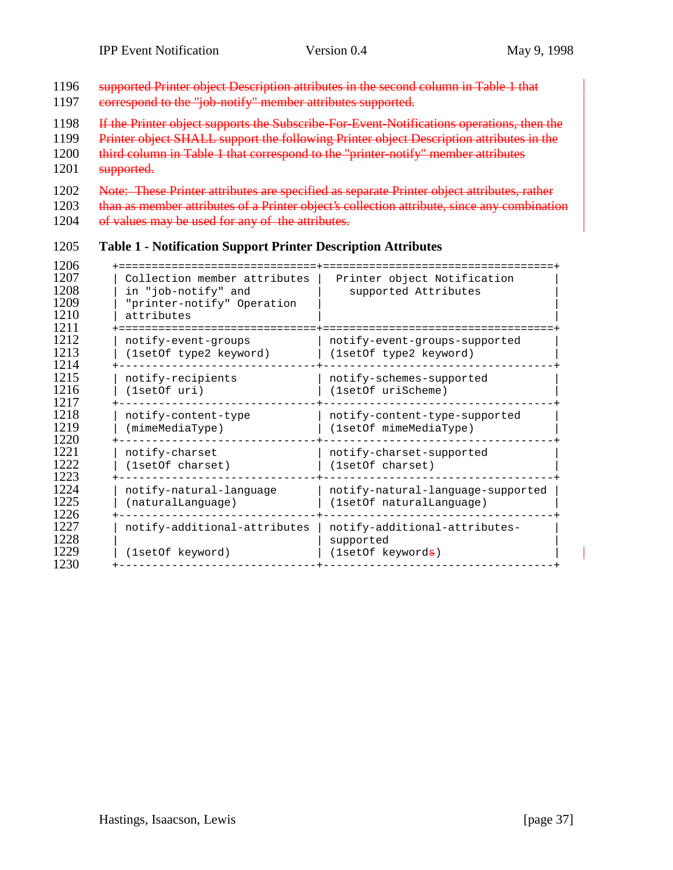| 1196<br>1197                         | supported Printer object Description attributes in the second column in Table 1 that<br>correspond to the "job-notify" member attributes supported.                                                                                                                                     |                                                         |  |  |  |  |
|--------------------------------------|-----------------------------------------------------------------------------------------------------------------------------------------------------------------------------------------------------------------------------------------------------------------------------------------|---------------------------------------------------------|--|--|--|--|
| 1198<br>1199<br>1200<br>1201         | If the Printer object supports the Subscribe For Event-Notifications operations, then the<br>Printer object SHALL support the following Printer object Description attributes in the<br>third column in Table 1 that correspond to the "printer-notify" member attributes<br>supported. |                                                         |  |  |  |  |
| 1202<br>1203<br>1204                 | Note: These Printer attributes are specified as separate Printer object attributes, rather<br>than as member attributes of a Printer object's collection attribute, since any combin<br>of values may be used for any of the attributes.                                                |                                                         |  |  |  |  |
| 1205                                 | <b>Table 1 - Notification Support Printer Description Attributes</b>                                                                                                                                                                                                                    |                                                         |  |  |  |  |
| 1206<br>1207<br>1208<br>1209<br>1210 | Collection member attributes<br>in "job-notify" and<br>"printer-notify" Operation<br>attributes                                                                                                                                                                                         | Printer object Notification<br>supported Attributes     |  |  |  |  |
| 1211<br>1212<br>1213<br>1214         | notify-event-groups<br>(1setOf type2 keyword)                                                                                                                                                                                                                                           | notify-event-groups-supported<br>(1setOf type2 keyword) |  |  |  |  |
| 1215<br>1216<br>1217                 | notify-recipients<br>(1setOf uri)                                                                                                                                                                                                                                                       | notify-schemes-supported<br>(1setOf uriScheme)          |  |  |  |  |
| 1218<br>1219<br>1220                 | notify-content-type<br>(mimeMediaType)                                                                                                                                                                                                                                                  | notify-content-type-supported<br>(1setOf mimeMediaType) |  |  |  |  |
|                                      |                                                                                                                                                                                                                                                                                         |                                                         |  |  |  |  |

1221 | notify-charset | notify-charset-supported | 1222 | (1setOf charset) | (1setOf charset) | (1setOf charset) 1223 +------------------------------+-----------------------------------+ 1224 | notify-natural-language | notify-natural-language-supported | 1225 | (naturalLanguage) | (1setOf naturalLanguage) | 1226 +------------------------------+-----------------------------------+ 1227 | notify-additional-attributes | notify-additional-attributes- | 1228 | supported | supported |  $\frac{1}{2}$ 1229 | (1setOf keyword) | (1setOf keywords) | (1setOf keywords) 1230 +------------------------------+-----------------------------------+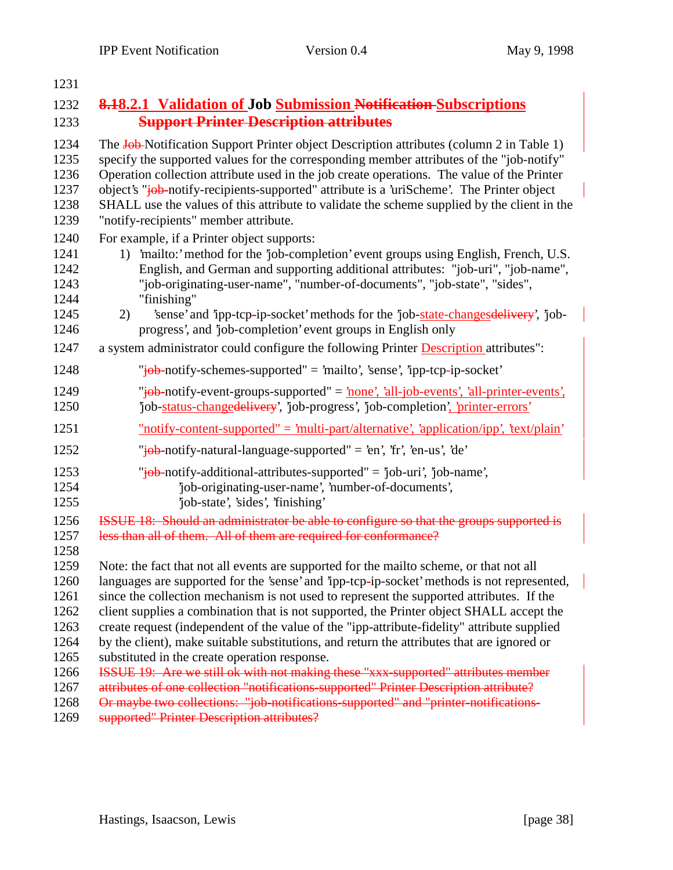| 1231                                                         |                                                                                                                                                                                                                                                                                                                                                                                                                                                                                                                                                                                                                                                                                                                   |
|--------------------------------------------------------------|-------------------------------------------------------------------------------------------------------------------------------------------------------------------------------------------------------------------------------------------------------------------------------------------------------------------------------------------------------------------------------------------------------------------------------------------------------------------------------------------------------------------------------------------------------------------------------------------------------------------------------------------------------------------------------------------------------------------|
| 1232                                                         | <b>8.18.2.1 Validation of Job Submission Notification-Subscriptions</b>                                                                                                                                                                                                                                                                                                                                                                                                                                                                                                                                                                                                                                           |
| 1233                                                         | <b>Support Printer Description attributes</b>                                                                                                                                                                                                                                                                                                                                                                                                                                                                                                                                                                                                                                                                     |
| 1234<br>1235<br>1236<br>1237<br>1238<br>1239                 | The Job-Notification Support Printer object Description attributes (column 2 in Table 1)<br>specify the supported values for the corresponding member attributes of the "job-notify"<br>Operation collection attribute used in the job create operations. The value of the Printer<br>object's "job-notify-recipients-supported" attribute is a 'uriScheme'. The Printer object<br>SHALL use the values of this attribute to validate the scheme supplied by the client in the<br>"notify-recipients" member attribute.                                                                                                                                                                                           |
| 1240<br>1241<br>1242<br>1243<br>1244<br>1245<br>1246         | For example, if a Printer object supports:<br>1) 'mailto:' method for the 'job-completion' event groups using English, French, U.S.<br>English, and German and supporting additional attributes: "job-uri", "job-name",<br>"job-originating-user-name", "number-of-documents", "job-state", "sides",<br>"finishing"<br>'sense' and 'ipp-tcp-ip-socket' methods for the 'job-state-changes delivery', 'job-<br>2)<br>progress', and 'job-completion' event groups in English only                                                                                                                                                                                                                                  |
| 1247                                                         | a system administrator could configure the following Printer Description attributes":                                                                                                                                                                                                                                                                                                                                                                                                                                                                                                                                                                                                                             |
| 1248                                                         | "job-notify-schemes-supported" = 'mailto', 'sense', 'ipp-tcp-ip-socket'                                                                                                                                                                                                                                                                                                                                                                                                                                                                                                                                                                                                                                           |
| 1249<br>1250                                                 | "job-notify-event-groups-supported" = <u>'none', 'all-job-events', 'all-printer-events'</u><br>'job-status-changedelivery', 'job-progress', 'job-completion', 'printer-errors'                                                                                                                                                                                                                                                                                                                                                                                                                                                                                                                                    |
| 1251                                                         | $"notify content-supported" = 'multi-part/alternative', 'application/ipp', 'text/plain'$                                                                                                                                                                                                                                                                                                                                                                                                                                                                                                                                                                                                                          |
| 1252                                                         | "iob-notify-natural-language-supported" = 'en', 'fr', 'en-us', 'de'                                                                                                                                                                                                                                                                                                                                                                                                                                                                                                                                                                                                                                               |
| 1253<br>1254<br>1255                                         | "job-notify-additional-attributes-supported" = 'job-uri', 'job-name',<br>'job-originating-user-name', 'number-of-documents',<br>'job-state', 'sides', 'finishing'                                                                                                                                                                                                                                                                                                                                                                                                                                                                                                                                                 |
| 1256<br>1257<br>1258                                         | ISSUE 18: Should an administrator be able to configure so that the groups supported is<br>less than all of them. All of them are required for conformance?                                                                                                                                                                                                                                                                                                                                                                                                                                                                                                                                                        |
| 1259<br>1260<br>1261<br>1262<br>1263<br>1264<br>1265<br>1266 | Note: the fact that not all events are supported for the mailto scheme, or that not all<br>languages are supported for the 'sense' and 'ipp-tcp-ip-socket' methods is not represented,<br>since the collection mechanism is not used to represent the supported attributes. If the<br>client supplies a combination that is not supported, the Printer object SHALL accept the<br>create request (independent of the value of the "ipp-attribute-fidelity" attribute supplied<br>by the client), make suitable substitutions, and return the attributes that are ignored or<br>substituted in the create operation response.<br>ISSUE 19: Are we still ok with not making these "xxx-supported" attributes member |
| 1267<br>1268<br>1269                                         | attributes of one collection "notifications-supported" Printer Description attribute?<br>Or maybe two collections: "job-notifications-supported" and "printer-notifications-<br>supported" Printer Description attributes?                                                                                                                                                                                                                                                                                                                                                                                                                                                                                        |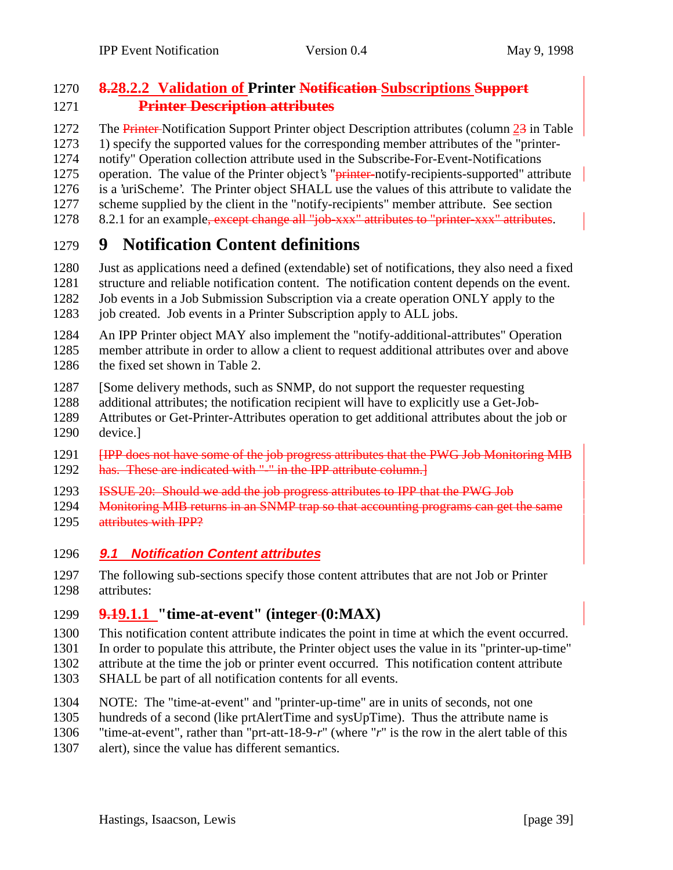## **8.28.2.2 Validation of Printer Notification Subscriptions Support Printer Description attributes**

1272 The Printer-Notification Support Printer object Description attributes (column 23 in Table 1) specify the supported values for the corresponding member attributes of the "printer- notify" Operation collection attribute used in the Subscribe-For-Event-Notifications 1275 operation. The value of the Printer object's "<del>printer</del>-notify-recipients-supported" attribute is a 'uriScheme'. The Printer object SHALL use the values of this attribute to validate the scheme supplied by the client in the "notify-recipients" member attribute. See section 1278 8.2.1 for an example, except change all "job-xxx" attributes to "printer-xxx" attributes.

# **9 Notification Content definitions**

 Just as applications need a defined (extendable) set of notifications, they also need a fixed structure and reliable notification content. The notification content depends on the event.

 Job events in a Job Submission Subscription via a create operation ONLY apply to the 1283 job created. Job events in a Printer Subscription apply to ALL jobs.

 An IPP Printer object MAY also implement the "notify-additional-attributes" Operation member attribute in order to allow a client to request additional attributes over and above the fixed set shown in Table 2.

[Some delivery methods, such as SNMP, do not support the requester requesting

additional attributes; the notification recipient will have to explicitly use a Get-Job-

 Attributes or Get-Printer-Attributes operation to get additional attributes about the job or device.]

**IFP does not have some of the job progress attributes that the PWG Job Monitoring MIB** 1292 has. These are indicated with "-" in the IPP attribute column.

ISSUE 20: Should we add the job progress attributes to IPP that the PWG Job

1294 Monitoring MIB returns in an SNMP trap so that accounting programs can get the same

- attributes with IPP?
- **9.1 Notification Content attributes**

 The following sub-sections specify those content attributes that are not Job or Printer attributes:

**9.19.1.1 "time-at-event" (integer (0:MAX)**

This notification content attribute indicates the point in time at which the event occurred.

In order to populate this attribute, the Printer object uses the value in its "printer-up-time"

attribute at the time the job or printer event occurred. This notification content attribute

- SHALL be part of all notification contents for all events.
- NOTE: The "time-at-event" and "printer-up-time" are in units of seconds, not one
- hundreds of a second (like prtAlertTime and sysUpTime). Thus the attribute name is

"time-at-event", rather than "prt-att-18-9-*r*" (where "*r*" is the row in the alert table of this

alert), since the value has different semantics.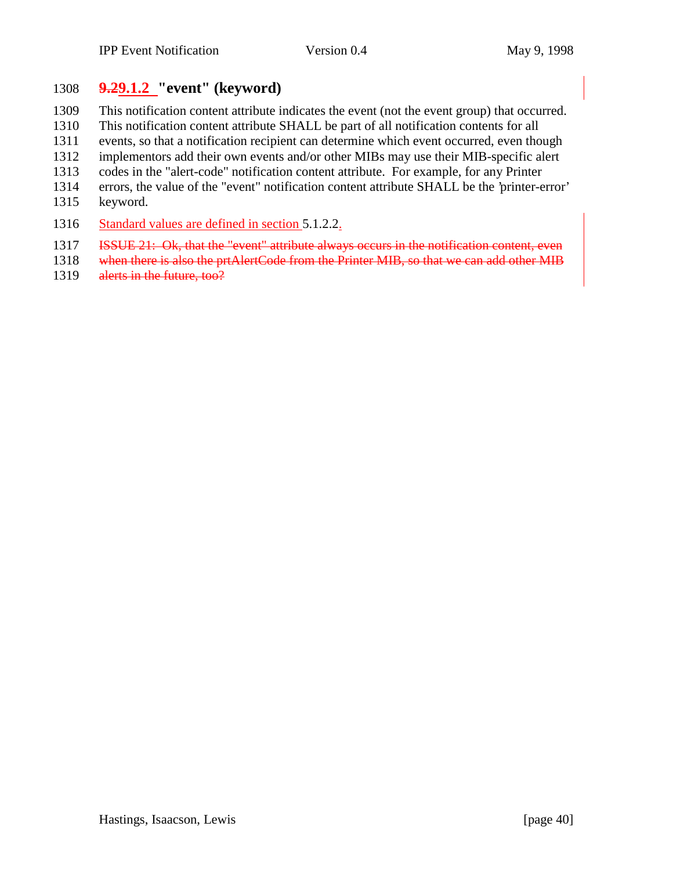## **9.29.1.2 "event" (keyword)**

This notification content attribute indicates the event (not the event group) that occurred.

This notification content attribute SHALL be part of all notification contents for all

events, so that a notification recipient can determine which event occurred, even though

implementors add their own events and/or other MIBs may use their MIB-specific alert

- codes in the "alert-code" notification content attribute. For example, for any Printer
- errors, the value of the "event" notification content attribute SHALL be the 'printer-error'
- keyword.
- 1316 Standard values are defined in section 5.1.2.2.
- **ISSUE 21:** Ok, that the "event" attribute always occurs in the notification content, even
- 1318 when there is also the prtAlertCode from the Printer MIB, so that we can add other MIB 1319 alerts in the future, too?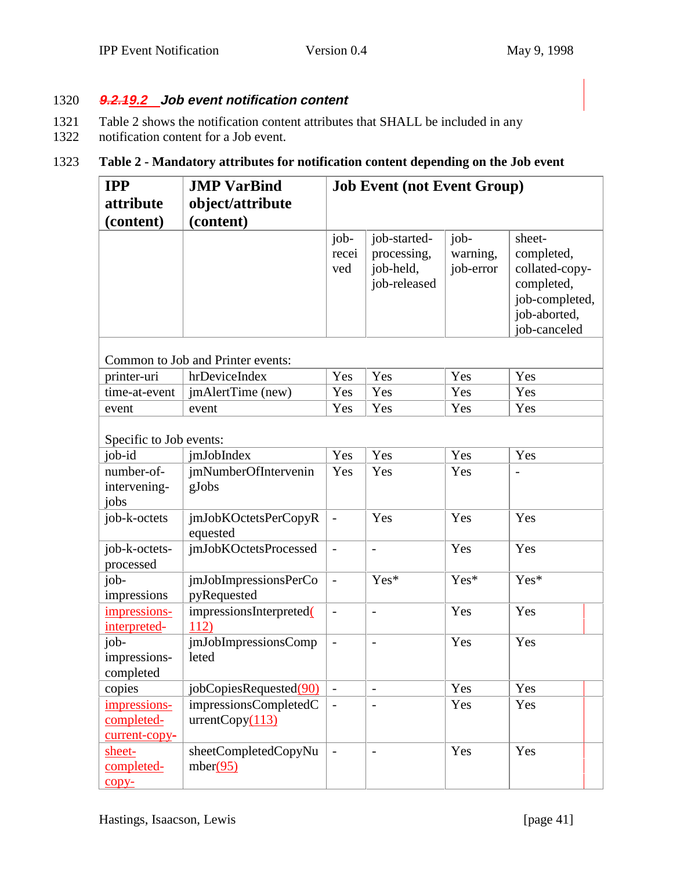#### 1320 **9.2.19.2 Job event notification content**

- 1321 Table 2 shows the notification content attributes that SHALL be included in any
- 1322 notification content for a Job event.

#### 1323 **Table 2 - Mandatory attributes for notification content depending on the Job event**

| <b>IPP</b>                                  | <b>JMP VarBind</b>                        | <b>Job Event (not Event Group)</b> |                                                          |                               |                                                                                                        |
|---------------------------------------------|-------------------------------------------|------------------------------------|----------------------------------------------------------|-------------------------------|--------------------------------------------------------------------------------------------------------|
| attribute                                   | object/attribute                          |                                    |                                                          |                               |                                                                                                        |
| (content)                                   | (content)                                 |                                    |                                                          |                               |                                                                                                        |
|                                             |                                           | job-<br>recei<br>ved               | job-started-<br>processing,<br>job-held,<br>job-released | job-<br>warning,<br>job-error | sheet-<br>completed,<br>collated-copy-<br>completed,<br>job-completed,<br>job-aborted,<br>job-canceled |
|                                             | Common to Job and Printer events:         |                                    |                                                          |                               |                                                                                                        |
| printer-uri                                 | hrDeviceIndex                             | Yes                                | Yes                                                      | Yes                           | Yes                                                                                                    |
| time-at-event                               | jmAlertTime (new)                         | Yes                                | Yes                                                      | Yes                           | Yes                                                                                                    |
| event                                       | event                                     | Yes                                | Yes                                                      | Yes                           | Yes                                                                                                    |
| Specific to Job events:                     |                                           |                                    |                                                          |                               |                                                                                                        |
| job-id                                      | jmJobIndex                                | Yes                                | Yes                                                      | Yes                           | Yes                                                                                                    |
| number-of-<br>intervening-<br>jobs          | <i>jmNumberOfIntervenin</i><br>gJobs      | Yes                                | Yes                                                      | Yes                           |                                                                                                        |
| job-k-octets                                | jmJobKOctetsPerCopyR<br>equested          | $\frac{1}{2}$                      | Yes                                                      | Yes                           | Yes                                                                                                    |
| job-k-octets-<br>processed                  | jmJobKOctetsProcessed                     | $\overline{a}$                     | $\overline{a}$                                           | Yes                           | Yes                                                                                                    |
| $job-$<br>impressions                       | jmJobImpressionsPerCo<br>pyRequested      | $\overline{\phantom{a}}$           | Yes*                                                     | Yes*                          | Yes*                                                                                                   |
| impressions-<br>interpreted-                | impressionsInterpreted(<br>112)           | $\overline{\phantom{0}}$           | $\overline{\phantom{m}}$                                 | Yes                           | Yes                                                                                                    |
| job-<br>impressions-<br>completed           | jmJobImpressionsComp<br>leted             |                                    | $\overline{a}$                                           | Yes                           | Yes                                                                                                    |
| copies                                      | jobCopiesRequested(90)                    |                                    | $\overline{\phantom{0}}$                                 | Yes                           | Yes                                                                                                    |
| impressions-<br>completed-<br>current-copy- | impressionsCompletedC<br>urrentCopy (113) |                                    | $\overline{\phantom{a}}$                                 | Yes                           | Yes                                                                                                    |
| sheet-<br>completed-<br>$copy-$             | sheetCompletedCopyNu<br>mber(95)          | $\overline{a}$                     | $\overline{\phantom{0}}$                                 | Yes                           | Yes                                                                                                    |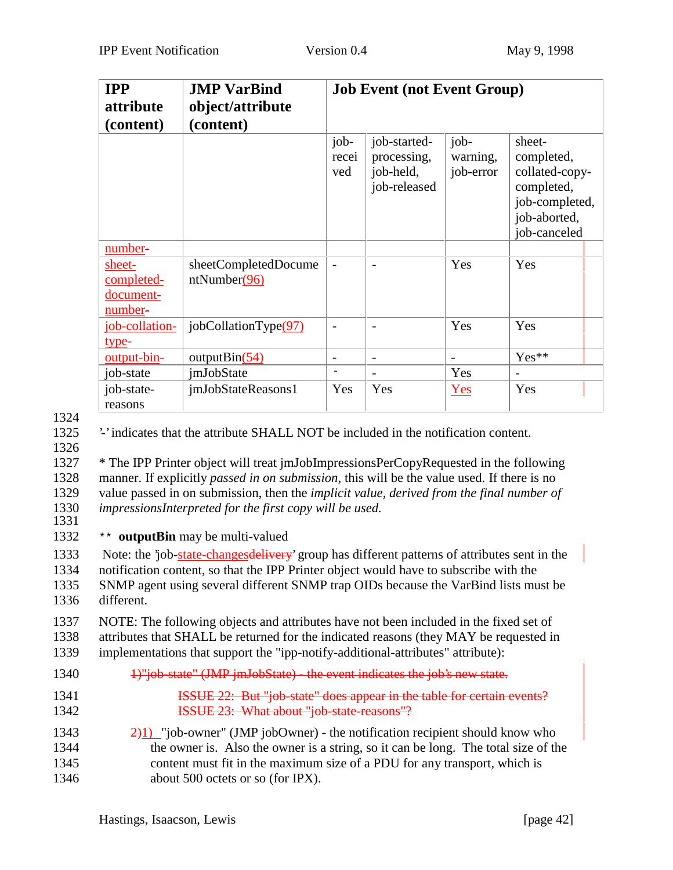| <b>IPP</b><br>attribute<br>(content)         | <b>JMP</b> VarBind<br><b>Job Event (not Event Group)</b><br>object/attribute<br>(content) |                          |                                                          |                               |                                                                                                        |
|----------------------------------------------|-------------------------------------------------------------------------------------------|--------------------------|----------------------------------------------------------|-------------------------------|--------------------------------------------------------------------------------------------------------|
|                                              |                                                                                           | job-<br>recei<br>ved     | job-started-<br>processing,<br>job-held,<br>job-released | job-<br>warning,<br>job-error | sheet-<br>completed,<br>collated-copy-<br>completed,<br>job-completed,<br>job-aborted,<br>job-canceled |
| number-                                      |                                                                                           |                          |                                                          |                               |                                                                                                        |
| sheet-<br>completed-<br>document-<br>number- | sheetCompletedDocume<br>ntNumber(96)                                                      |                          |                                                          | Yes                           | Yes                                                                                                    |
| job-collation-<br>type-                      | jobCollationType(97)                                                                      |                          |                                                          | Yes                           | Yes                                                                                                    |
| $output \rightarrow bin$ -                   | output $\text{Bin}(54)$                                                                   | $\overline{\phantom{0}}$ | $\overline{\phantom{a}}$                                 | $\overline{\phantom{0}}$      | Yes**                                                                                                  |
| job-state                                    | <i>imJobState</i>                                                                         | $\overline{\phantom{0}}$ | $\overline{\phantom{a}}$                                 | Yes                           |                                                                                                        |
| job-state-<br>reasons                        | jmJobStateReasons1                                                                        | Yes                      | Yes                                                      | Yes                           | Yes                                                                                                    |

1324

1325 '-' indicates that the attribute SHALL NOT be included in the notification content.

1326

 \* The IPP Printer object will treat jmJobImpressionsPerCopyRequested in the following manner. If explicitly *passed in on submission,* this will be the value used. If there is no value passed in on submission, then the *implicit value, derived from the final number of impressionsInterpreted for the first copy will be used.* 1331

1332 \*\* **outputBin** may be multi-valued

1333 Note: the 'job-state-changes delivery' group has different patterns of attributes sent in the notification content, so that the IPP Printer object would have to subscribe with the SNMP agent using several different SNMP trap OIDs because the VarBind lists must be different.

1337 NOTE: The following objects and attributes have not been included in the fixed set of 1338 attributes that SHALL be returned for the indicated reasons (they MAY be requested in 1339 implementations that support the "ipp-notify-additional-attributes" attribute):

- 1340 1)"job-state" (JMP jmJobState) the event indicates the job's new state.
- 1341 **ISSUE 22:** But "job-state" does appear in the table for certain events? 1342 **ISSUE 23: What about "job-state-reasons"?**
- 1343  $\frac{2}{1}$  "job-owner" (JMP jobOwner) the notification recipient should know who 1344 the owner is. Also the owner is a string, so it can be long. The total size of the 1345 content must fit in the maximum size of a PDU for any transport, which is 1346 about 500 octets or so (for IPX).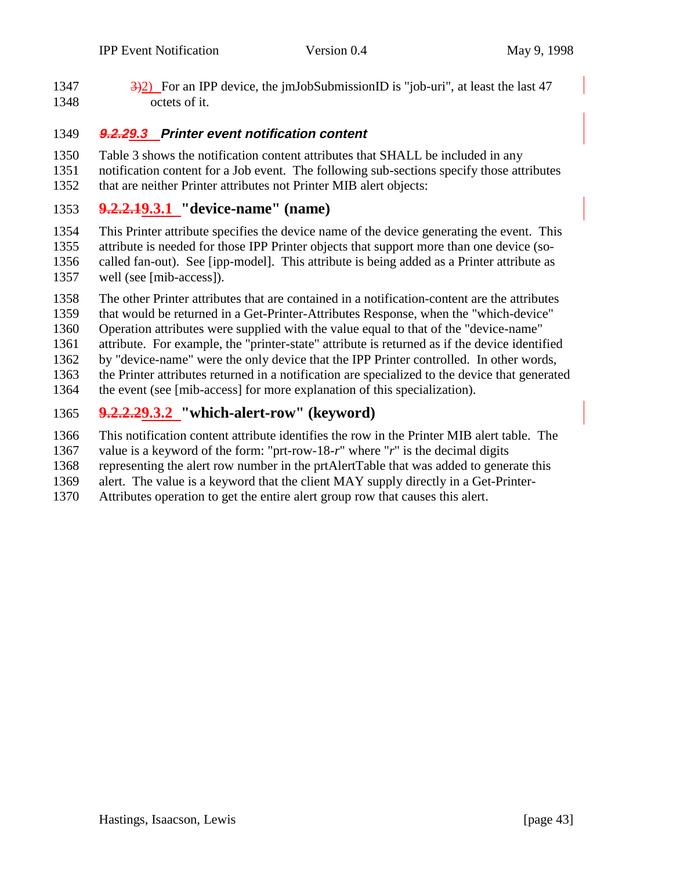1347  $\frac{3}{2}$  For an IPP device, the jmJobSubmissionID is "job-uri", at least the last 47 octets of it.

#### **9.2.29.3 Printer event notification content**

 Table 3 shows the notification content attributes that SHALL be included in any notification content for a Job event. The following sub-sections specify those attributes that are neither Printer attributes not Printer MIB alert objects:

#### **9.2.2.19.3.1 "device-name" (name)**

 This Printer attribute specifies the device name of the device generating the event. This attribute is needed for those IPP Printer objects that support more than one device (so- called fan-out). See [ipp-model]. This attribute is being added as a Printer attribute as well (see [mib-access]).

The other Printer attributes that are contained in a notification-content are the attributes

that would be returned in a Get-Printer-Attributes Response, when the "which-device"

Operation attributes were supplied with the value equal to that of the "device-name"

attribute. For example, the "printer-state" attribute is returned as if the device identified

by "device-name" were the only device that the IPP Printer controlled. In other words,

the Printer attributes returned in a notification are specialized to the device that generated

the event (see [mib-access] for more explanation of this specialization).

## **9.2.2.29.3.2 "which-alert-row" (keyword)**

This notification content attribute identifies the row in the Printer MIB alert table. The

value is a keyword of the form: "prt-row-18-*r*" where "*r*" is the decimal digits

representing the alert row number in the prtAlertTable that was added to generate this

alert. The value is a keyword that the client MAY supply directly in a Get-Printer-

Attributes operation to get the entire alert group row that causes this alert.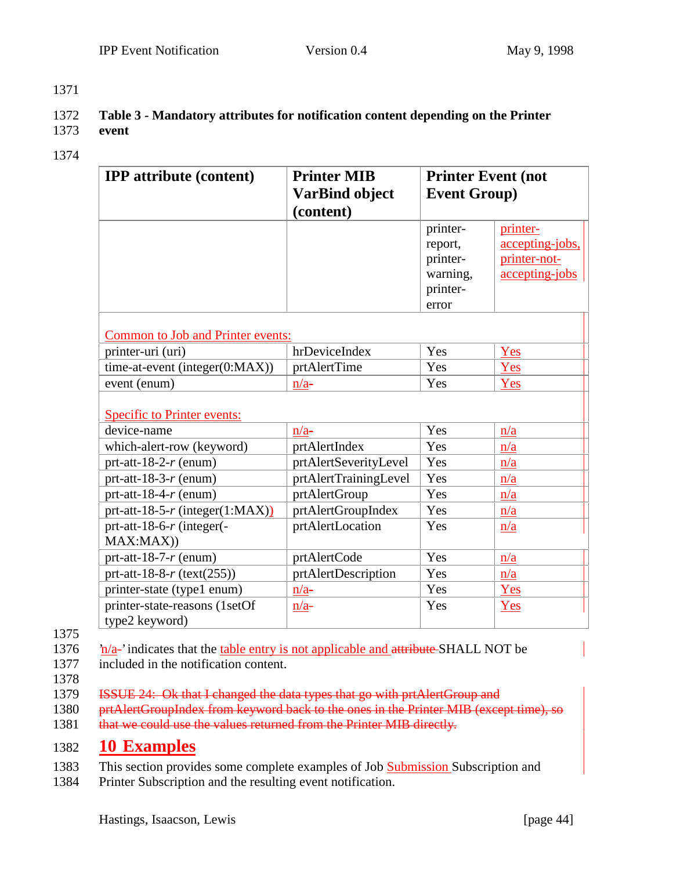1371

#### 1372 **Table 3 - Mandatory attributes for notification content depending on the Printer** 1373 **event**

1374

| <b>IPP</b> attribute (content)     | <b>Printer MIB</b>    | <b>Printer Event (not</b> |                 |  |
|------------------------------------|-----------------------|---------------------------|-----------------|--|
|                                    | <b>VarBind object</b> | <b>Event Group)</b>       |                 |  |
|                                    | (content)             |                           |                 |  |
|                                    |                       | printer-                  | printer-        |  |
|                                    |                       | report,                   | accepting-jobs, |  |
|                                    |                       | printer-                  | printer-not-    |  |
|                                    |                       | warning,                  | accepting-jobs  |  |
|                                    |                       | printer-                  |                 |  |
|                                    |                       | error                     |                 |  |
|                                    |                       |                           |                 |  |
| Common to Job and Printer events:  |                       |                           |                 |  |
| printer-uri (uri)                  | hrDeviceIndex         | Yes                       | Yes             |  |
| time-at-event (integer(0:MAX))     | prtAlertTime          | Yes                       | Yes             |  |
| event (enum)                       | $n/a-$                | Yes                       | Yes             |  |
| <b>Specific to Printer events:</b> |                       |                           |                 |  |
| device-name                        | $n/a-$                | Yes                       | n/a             |  |
| which-alert-row (keyword)          | prtAlertIndex         | Yes                       | n/a             |  |
| prt-att-18-2- $r$ (enum)           | prtAlertSeverityLevel | Yes                       | n/a             |  |
| prt-att-18-3- $r$ (enum)           | prtAlertTrainingLevel | Yes                       | n/a             |  |
|                                    |                       |                           |                 |  |
| prt-att-18-4- $r$ (enum)           | prtAlertGroup         | Yes                       | n/a             |  |
| prt-att-18-5-r (integer(1:MAX))    | prtAlertGroupIndex    | Yes                       | n/a             |  |
| prt-att-18-6- $r$ (integer(-       | prtAlertLocation      | Yes                       | n/a             |  |
| MAX:MAX()                          |                       |                           |                 |  |
| prt-att-18-7- $r$ (enum)           | prtAlertCode          | Yes                       | n/a             |  |
| prt-att-18-8- $r$ (text(255))      | prtAlertDescription   | Yes                       | n/a             |  |
| printer-state (type1 enum)         | $n/a-$                | Yes                       | Yes             |  |
| printer-state-reasons (1setOf      | $n/a-$                | Yes                       | Yes             |  |
| type2 keyword)                     |                       |                           |                 |  |

- 1375
- 1376  $\frac{\partial \mathbf{n}}{\partial \mathbf{a}}$ -' indicates that the table entry is not applicable and attribute SHALL NOT be
- 1377 included in the notification content.
- 1378
- 1379 ISSUE 24: Ok that I changed the data types that go with prtAlertGroup and
- 1380 prtAlertGroupIndex from keyword back to the ones in the Printer MIB (except time), so 1381 that we could use the values returned from the Printer MIB directly.

## 1382 **10 Examples**

- 1383 This section provides some complete examples of Job Submission Subscription and
- 1384 Printer Subscription and the resulting event notification.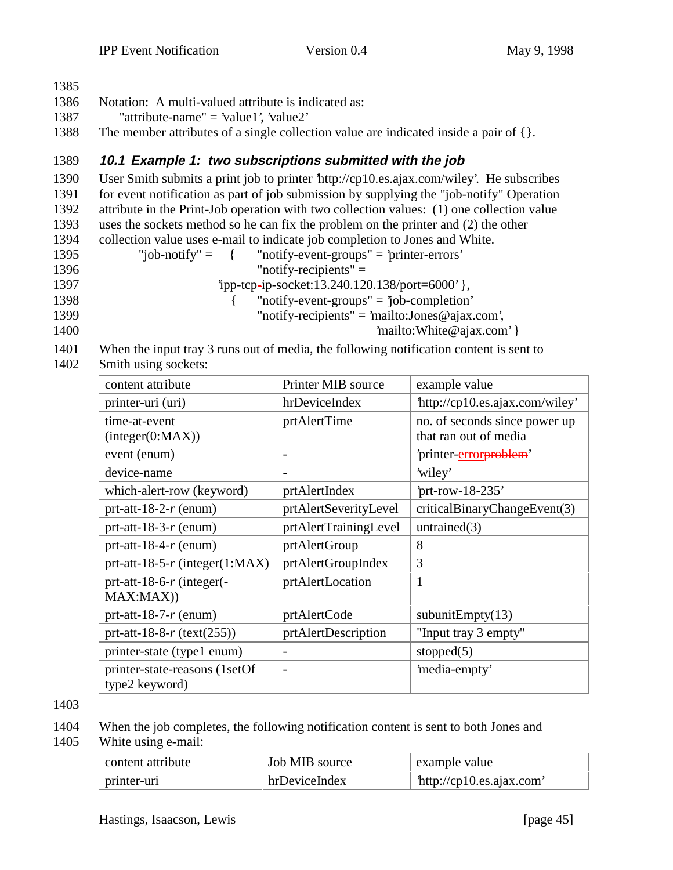| 1385 |                                                                                            |
|------|--------------------------------------------------------------------------------------------|
| 1386 | Notation: A multi-valued attribute is indicated as:                                        |
| 1387 | "attribute-name" = 'value1', 'value2'                                                      |
| 1388 | The member attributes of a single collection value are indicated inside a pair of $\{\}$ . |
|      |                                                                                            |

#### 1389 **10.1 Example 1: two subscriptions submitted with the job**

 User Smith submits a print job to printer 'http://cp10.es.ajax.com/wiley'. He subscribes for event notification as part of job submission by supplying the "job-notify" Operation attribute in the Print-Job operation with two collection values: (1) one collection value uses the sockets method so he can fix the problem on the printer and (2) the other

1394 collection value uses e-mail to indicate job completion to Jones and White.

- 1395 "job-notify" = { "notify-event-groups" = 'printer-errors' 1396 "notify-recipients" = 1397 'ipp-tcp-ip-socket:13.240.120.138/port=6000' }, 1398 { "notify-event-groups" = 'job-completion'
- 1399 "notify-recipients" = 'mailto:Jones@ajax.com',
- 1400  $\text{}'$  mailto:White @ajax.com' }
- 1401 When the input tray 3 runs out of media, the following notification content is sent to 1402 Smith using sockets:

| content attribute                                | Printer MIB source       | example value                                          |
|--------------------------------------------------|--------------------------|--------------------------------------------------------|
| printer-uri (uri)                                | hrDeviceIndex            | http://cp10.es.ajax.com/wiley'                         |
| time-at-event<br>interger(0:MAX))                | prtAlertTime             | no. of seconds since power up<br>that ran out of media |
| event (enum)                                     | $\overline{a}$           | 'printer- <b>errorproblem</b> '                        |
| device-name                                      | $\overline{\phantom{a}}$ | 'wiley'                                                |
| which-alert-row (keyword)                        | prtAlertIndex            | 'prt-row- $18-235$ '                                   |
| prt-att-18-2- $r$ (enum)                         | prtAlertSeverityLevel    | criticalBinaryChangeEvent(3)                           |
| prt-att-18-3- $r$ (enum)                         | prtAlertTrainingLevel    | untrained $(3)$                                        |
| prt-att-18-4- $r$ (enum)                         | prtAlertGroup            | 8                                                      |
| prt-att-18-5- $r$ (integer(1:MAX)                | prtAlertGroupIndex       | 3                                                      |
| prt-att-18-6-r (integer(-<br>MAX:MAX)            | prtAlertLocation         | 1                                                      |
| prt-att-18-7- $r$ (enum)                         | prtAlertCode             | subunit $Empty(13)$                                    |
| prt-att-18-8- $r$ (text(255))                    | prtAlertDescription      | "Input tray 3 empty"                                   |
| printer-state (type1 enum)                       | $\overline{a}$           | stopped $(5)$                                          |
| printer-state-reasons (1setOf)<br>type2 keyword) | $\overline{\phantom{a}}$ | 'media-empty'                                          |

1403

1404 When the job completes, the following notification content is sent to both Jones and 1405 White using e-mail:

| content attribute | Job MIB source | example value           |
|-------------------|----------------|-------------------------|
| printer-uri       | hrDeviceIndex  | http://cp10.es.ajax.com |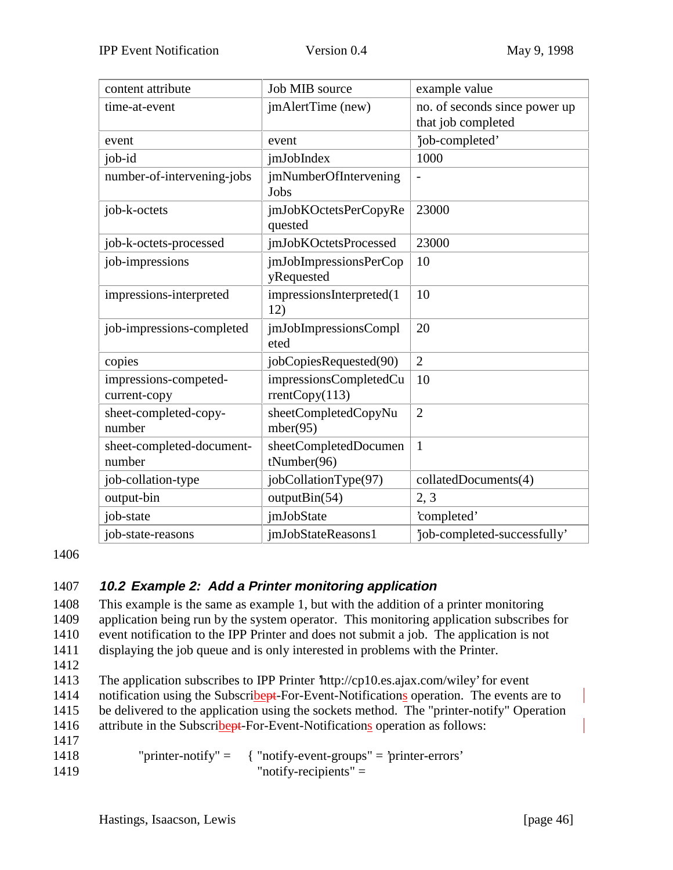| content attribute                     | Job MIB source                           | example value                 |
|---------------------------------------|------------------------------------------|-------------------------------|
| time-at-event                         | jmAlertTime (new)                        | no. of seconds since power up |
|                                       |                                          | that job completed            |
| event                                 | event                                    | job-completed'                |
| job-id                                | <i>imJobIndex</i>                        | 1000                          |
| number-of-intervening-jobs            | <i>jmNumberOfIntervening</i><br>Jobs     |                               |
| job-k-octets                          | jmJobKOctetsPerCopyRe<br>quested         | 23000                         |
| job-k-octets-processed                | jmJobKOctetsProcessed                    | 23000                         |
| job-impressions                       | jmJobImpressionsPerCop<br>yRequested     | 10                            |
| impressions-interpreted               | impressionsInterpreted(1<br>12)          | 10                            |
| job-impressions-completed             | jmJobImpressionsCompl<br>eted            | 20                            |
| copies                                | jobCopiesRequested(90)                   | $\overline{2}$                |
| impressions-competed-<br>current-copy | impressionsCompletedCu<br>rrentCopy(113) | 10                            |
| sheet-completed-copy-<br>number       | sheetCompletedCopyNu<br>mber(95)         | $\overline{2}$                |
| sheet-completed-document-<br>number   | sheetCompletedDocumen<br>tNumber(96)     | 1                             |
| job-collation-type                    | jobCollationType(97)                     | collatedDocuments(4)          |
| output-bin                            | outputBin(54)                            | 2, 3                          |
| job-state                             | <i>imJobState</i>                        | 'completed'                   |
| job-state-reasons                     | jmJobStateReasons1                       | 'job-completed-successfully'  |

1406

## 1407 **10.2 Example 2: Add a Printer monitoring application**

 This example is the same as example 1, but with the addition of a printer monitoring application being run by the system operator. This monitoring application subscribes for event notification to the IPP Printer and does not submit a job. The application is not displaying the job queue and is only interested in problems with the Printer.

1412

1413 The application subscribes to IPP Printer 'http://cp10.es.ajax.com/wiley' for event 1414 notification using the Subscribert-For-Event-Notifications operation. The events are to 1415 be delivered to the application using the sockets method. The "printer-notify" Operation 1416 attribute in the Subscribert-For-Event-Notifications operation as follows:

1417

1418 "printer-notify" = { "notify-event-groups" = 'printer-errors' 1419 "notify-recipients" =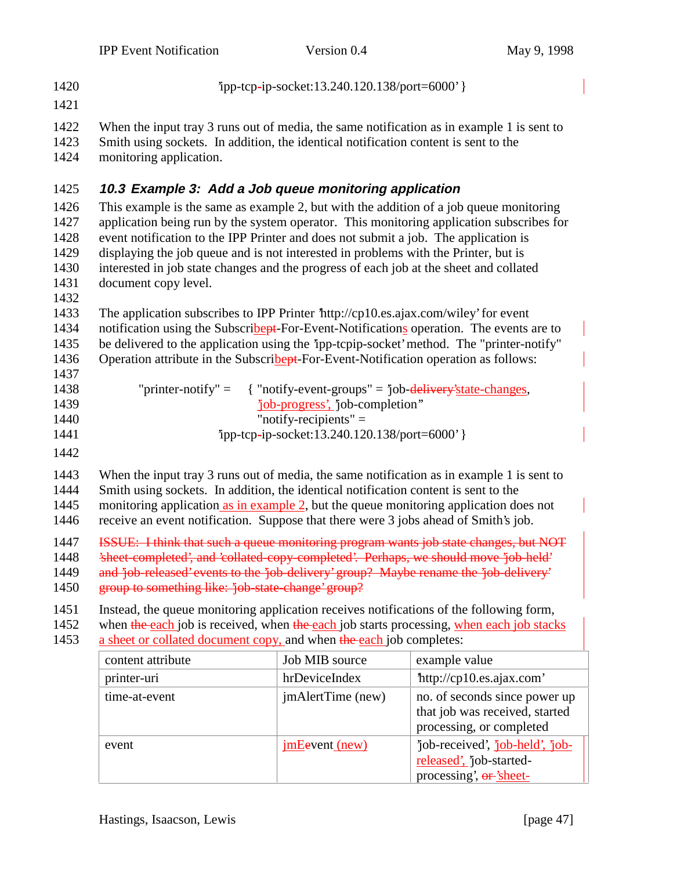'ipp-tcp-ip-socket:13.240.120.138/port=6000' } 1421 When the input tray 3 runs out of media, the same notification as in example 1 is sent to Smith using sockets. In addition, the identical notification content is sent to the monitoring application. **10.3 Example 3: Add a Job queue monitoring application** This example is the same as example 2, but with the addition of a job queue monitoring 1427 application being run by the system operator. This monitoring application subscribes for event notification to the IPP Printer and does not submit a job. The application is displaying the job queue and is not interested in problems with the Printer, but is interested in job state changes and the progress of each job at the sheet and collated document copy level. 1432 The application subscribes to IPP Printer 'http://cp10.es.ajax.com/wiley' for event 1434 notification using the Subscribert-For-Event-Notifications operation. The events are to be delivered to the application using the 'ipp-tcpip-socket' method. The "printer-notify" 1436 Operation attribute in the Subscribert-For-Event-Notification operation as follows: 1437 "printer-notify" = { "notify-event-groups" = 'job-delivery'state-changes, 'job-progress', 'job-completion'' 1440 "notify-recipients" =

- 1441 'ipp-tcp-ip-socket:13.240.120.138/port=6000' }
- 1442

 When the input tray 3 runs out of media, the same notification as in example 1 is sent to Smith using sockets. In addition, the identical notification content is sent to the monitoring application as in example 2, but the queue monitoring application does not receive an event notification. Suppose that there were 3 jobs ahead of Smith's job.

- 1447 ISSUE: I think that such a queue monitoring program wants job state changes, but NOT
- 1448 'sheet-completed', and 'collated-copy-completed'. Perhaps, we should move 'job-held'
- 1449 and 'job-released' events to the 'job-delivery' group? Maybe rename the 'job-delivery'
- 1450 group to something like: 'job-state-change' group?
- 1451 Instead, the queue monitoring application receives notifications of the following form,
- 1452 when the each job is received, when the each job starts processing, when each job stacks 1453 a sheet or collated document copy, and when the each job completes:

| content attribute | Job MIB source        | example value                                                                               |
|-------------------|-----------------------|---------------------------------------------------------------------------------------------|
| printer-uri       | hrDeviceIndex         | http://cp10.es.ajax.com'                                                                    |
| time-at-event     | jmAlertTime (new)     | no. of seconds since power up<br>that job was received, started<br>processing, or completed |
| event             | <u>imEevent</u> (new) | job-received', job-held', job-<br>released', job-started-<br>processing', or 'sheet-        |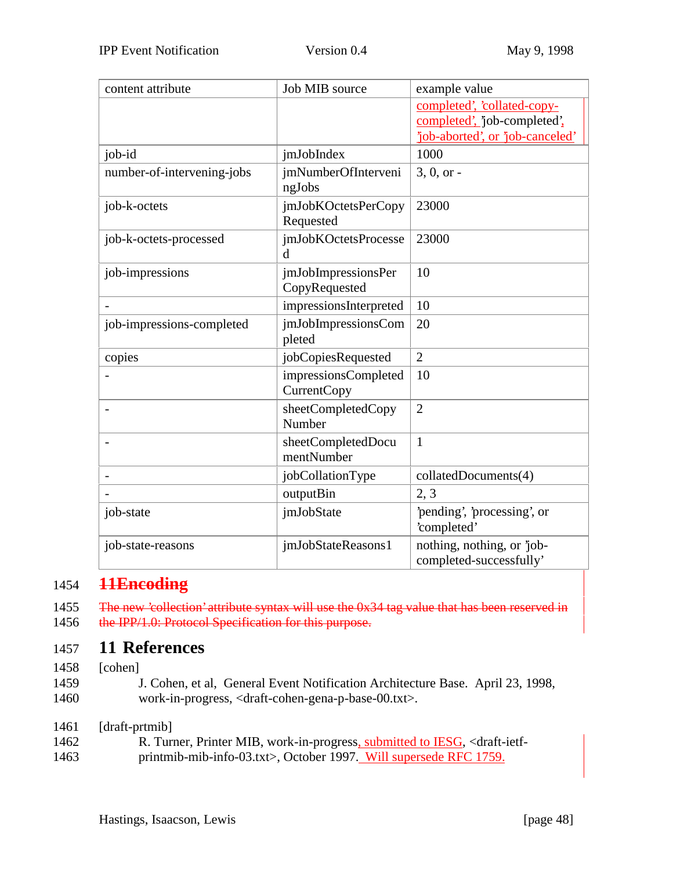| content attribute          | Job MIB source                             | example value                                                   |
|----------------------------|--------------------------------------------|-----------------------------------------------------------------|
|                            |                                            | completed', 'collated-copy-                                     |
|                            |                                            | completed', 'job-completed',<br>job-aborted', or 'job-canceled' |
| job-id                     | jmJobIndex                                 | 1000                                                            |
| number-of-intervening-jobs | jmNumberOfInterveni                        | $3, 0, or -$                                                    |
|                            | ngJobs                                     |                                                                 |
| job-k-octets               | jmJobKOctetsPerCopy                        | 23000                                                           |
|                            | Requested                                  |                                                                 |
| job-k-octets-processed     | jmJobKOctetsProcesse<br>d                  | 23000                                                           |
| job-impressions            | jmJobImpressionsPer                        | 10                                                              |
|                            | CopyRequested                              |                                                                 |
|                            | impressionsInterpreted                     | 10                                                              |
| job-impressions-completed  | jmJobImpressionsCom<br>pleted              | 20                                                              |
| copies                     | jobCopiesRequested                         | $\overline{2}$                                                  |
|                            | impressionsCompleted<br><b>CurrentCopy</b> | 10                                                              |
|                            | sheetCompletedCopy<br>Number               | $\overline{2}$                                                  |
|                            | sheetCompletedDocu<br>mentNumber           | $\mathbf{1}$                                                    |
|                            | jobCollationType                           | collatedDocuments(4)                                            |
|                            | outputBin                                  | 2, 3                                                            |
| job-state                  | jmJobState                                 | 'pending', 'processing', or<br>'completed'                      |
| job-state-reasons          | jmJobStateReasons1                         | nothing, nothing, or 'job-<br>completed-successfully'           |

## 1454 **11Encoding**

1455 The new 'collection' attribute syntax will use the 0x34 tag value that has been reserved in 1456 the IPP/1.0: Protocol Specification for this purpose.

## 1457 **11 References**

1458 [cohen]

1459 J. Cohen, et al, General Event Notification Architecture Base. April 23, 1998, 1460 work-in-progress, <draft-cohen-gena-p-base-00.txt>.

1461 [draft-prtmib]

| 1462 |  |  | R. Turner, Printer MIB, work-in-progress, submitted to IESG, <draft-ietf-< th=""><th></th></draft-ietf-<> |  |
|------|--|--|-----------------------------------------------------------------------------------------------------------|--|
| 1172 |  |  |                                                                                                           |  |

1463 printmib-mib-info-03.txt>, October 1997. Will supersede RFC 1759.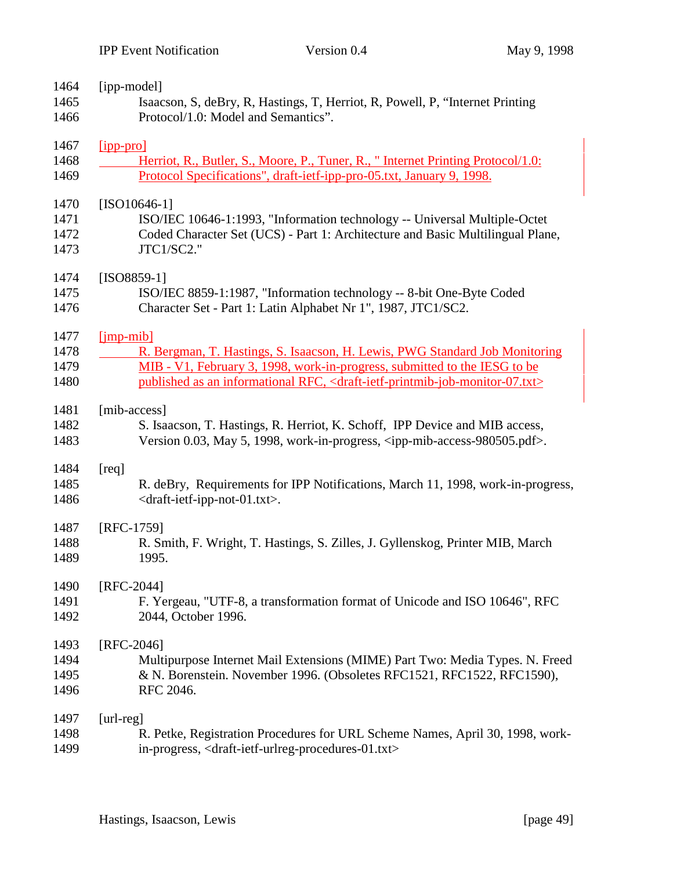| 1464 | [ipp-model]                                                                                                          |
|------|----------------------------------------------------------------------------------------------------------------------|
| 1465 | Isaacson, S, deBry, R, Hastings, T, Herriot, R, Powell, P, "Internet Printing                                        |
| 1466 | Protocol/1.0: Model and Semantics".                                                                                  |
| 1467 | [ipp-pro]                                                                                                            |
| 1468 | Herriot, R., Butler, S., Moore, P., Tuner, R., "Internet Printing Protocol/1.0:                                      |
| 1469 | Protocol Specifications", draft-ietf-ipp-pro-05.txt, January 9, 1998.                                                |
| 1470 | $[ISO10646-1]$                                                                                                       |
| 1471 | ISO/IEC 10646-1:1993, "Information technology -- Universal Multiple-Octet                                            |
| 1472 | Coded Character Set (UCS) - Part 1: Architecture and Basic Multilingual Plane,                                       |
| 1473 | JTC1/SC2."                                                                                                           |
| 1474 | $[ISO8859-1]$                                                                                                        |
| 1475 | ISO/IEC 8859-1:1987, "Information technology -- 8-bit One-Byte Coded                                                 |
| 1476 | Character Set - Part 1: Latin Alphabet Nr 1", 1987, JTC1/SC2.                                                        |
| 1477 | $[imp-mib]$                                                                                                          |
| 1478 | R. Bergman, T. Hastings, S. Isaacson, H. Lewis, PWG Standard Job Monitoring                                          |
| 1479 | MIB - V1, February 3, 1998, work-in-progress, submitted to the IESG to be                                            |
| 1480 | published as an informational RFC, <draft-ietf-printmib-job-monitor-07.txt></draft-ietf-printmib-job-monitor-07.txt> |
| 1481 | [mib-access]                                                                                                         |
| 1482 | S. Isaacson, T. Hastings, R. Herriot, K. Schoff, IPP Device and MIB access,                                          |
| 1483 | Version 0.03, May 5, 1998, work-in-progress, <ipp-mib-access-980505.pdf>.</ipp-mib-access-980505.pdf>                |
| 1484 | [req]                                                                                                                |
| 1485 | R. deBry, Requirements for IPP Notifications, March 11, 1998, work-in-progress,                                      |
| 1486 | <draft-ietf-ipp-not-01.txt>.</draft-ietf-ipp-not-01.txt>                                                             |
| 1487 | [RFC-1759]                                                                                                           |
| 1488 | R. Smith, F. Wright, T. Hastings, S. Zilles, J. Gyllenskog, Printer MIB, March                                       |
| 1489 | 1995.                                                                                                                |
| 1490 | [RFC-2044]                                                                                                           |
| 1491 | F. Yergeau, "UTF-8, a transformation format of Unicode and ISO 10646", RFC                                           |
| 1492 | 2044, October 1996.                                                                                                  |
| 1493 | [RFC-2046]                                                                                                           |
| 1494 | Multipurpose Internet Mail Extensions (MIME) Part Two: Media Types. N. Freed                                         |
| 1495 | & N. Borenstein. November 1996. (Obsoletes RFC1521, RFC1522, RFC1590),                                               |
| 1496 | RFC 2046.                                                                                                            |
| 1497 | $[url-reg]$                                                                                                          |
| 1498 | R. Petke, Registration Procedures for URL Scheme Names, April 30, 1998, work-                                        |

in-progress, <draft-ietf-urlreg-procedures-01.txt>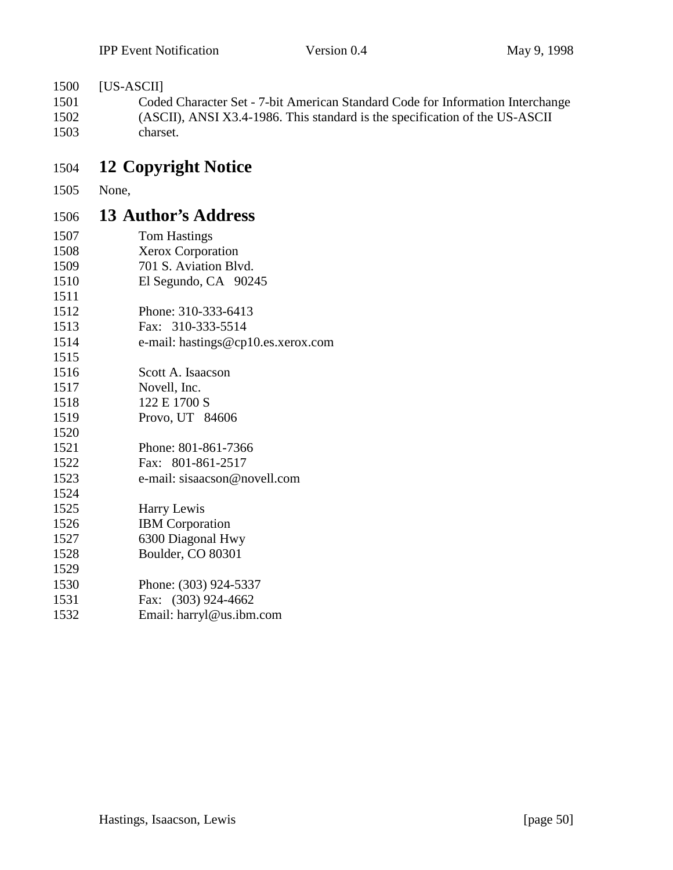## [US-ASCII]

 Coded Character Set - 7-bit American Standard Code for Information Interchange (ASCII), ANSI X3.4-1986. This standard is the specification of the US-ASCII charset.

# **12 Copyright Notice**

None,

## **13 Author's Address**

| 1507 | <b>Tom Hastings</b>                |
|------|------------------------------------|
| 1508 | Xerox Corporation                  |
| 1509 | 701 S. Aviation Blvd.              |
| 1510 | El Segundo, CA 90245               |
| 1511 |                                    |
| 1512 | Phone: 310-333-6413                |
| 1513 | Fax: 310-333-5514                  |
| 1514 | e-mail: hastings@cp10.es.xerox.com |
| 1515 |                                    |
| 1516 | Scott A. Isaacson                  |
| 1517 | Novell, Inc.                       |
| 1518 | 122 E 1700 S                       |
| 1519 | Provo, UT 84606                    |
| 1520 |                                    |
| 1521 | Phone: 801-861-7366                |
| 1522 | Fax: 801-861-2517                  |
| 1523 | e-mail: sisaacson@novell.com       |
| 1524 |                                    |
| 1525 | Harry Lewis                        |
| 1526 | <b>IBM</b> Corporation             |
| 1527 | 6300 Diagonal Hwy                  |
| 1528 | Boulder, CO 80301                  |
| 1529 |                                    |
| 1530 | Phone: (303) 924-5337              |
| 1531 | Fax: (303) 924-4662                |
| 1532 | Email: harryl@us.ibm.com           |
|      |                                    |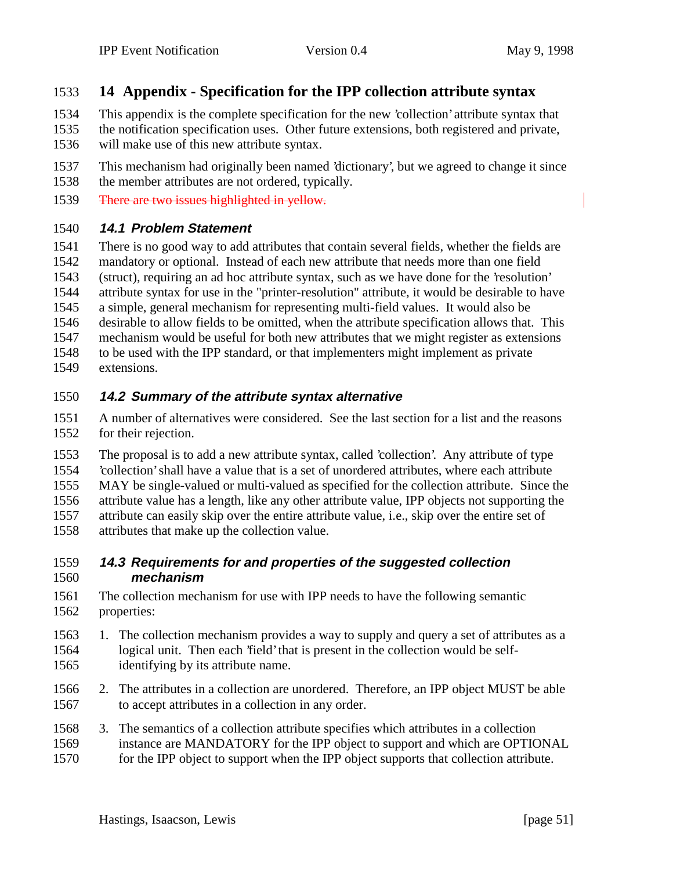## **14 Appendix - Specification for the IPP collection attribute syntax**

- This appendix is the complete specification for the new 'collection' attribute syntax that the notification specification uses. Other future extensions, both registered and private,
- will make use of this new attribute syntax.
- This mechanism had originally been named 'dictionary', but we agreed to change it since the member attributes are not ordered, typically.
- 1539 There are two issues highlighted in yellow.

#### **14.1 Problem Statement**

 There is no good way to add attributes that contain several fields, whether the fields are mandatory or optional. Instead of each new attribute that needs more than one field (struct), requiring an ad hoc attribute syntax, such as we have done for the 'resolution' attribute syntax for use in the "printer-resolution" attribute, it would be desirable to have a simple, general mechanism for representing multi-field values. It would also be desirable to allow fields to be omitted, when the attribute specification allows that. This mechanism would be useful for both new attributes that we might register as extensions to be used with the IPP standard, or that implementers might implement as private extensions.

#### **14.2 Summary of the attribute syntax alternative**

 A number of alternatives were considered. See the last section for a list and the reasons for their rejection.

 The proposal is to add a new attribute syntax, called 'collection'. Any attribute of type 'collection' shall have a value that is a set of unordered attributes, where each attribute MAY be single-valued or multi-valued as specified for the collection attribute. Since the attribute value has a length, like any other attribute value, IPP objects not supporting the attribute can easily skip over the entire attribute value, i.e., skip over the entire set of

attributes that make up the collection value.

#### **14.3 Requirements for and properties of the suggested collection mechanism**

- The collection mechanism for use with IPP needs to have the following semantic properties:
- 1. The collection mechanism provides a way to supply and query a set of attributes as a logical unit. Then each 'field' that is present in the collection would be self-
- identifying by its attribute name.
- 2. The attributes in a collection are unordered. Therefore, an IPP object MUST be able to accept attributes in a collection in any order.
- 3. The semantics of a collection attribute specifies which attributes in a collection instance are MANDATORY for the IPP object to support and which are OPTIONAL 1570 for the IPP object to support when the IPP object supports that collection attribute.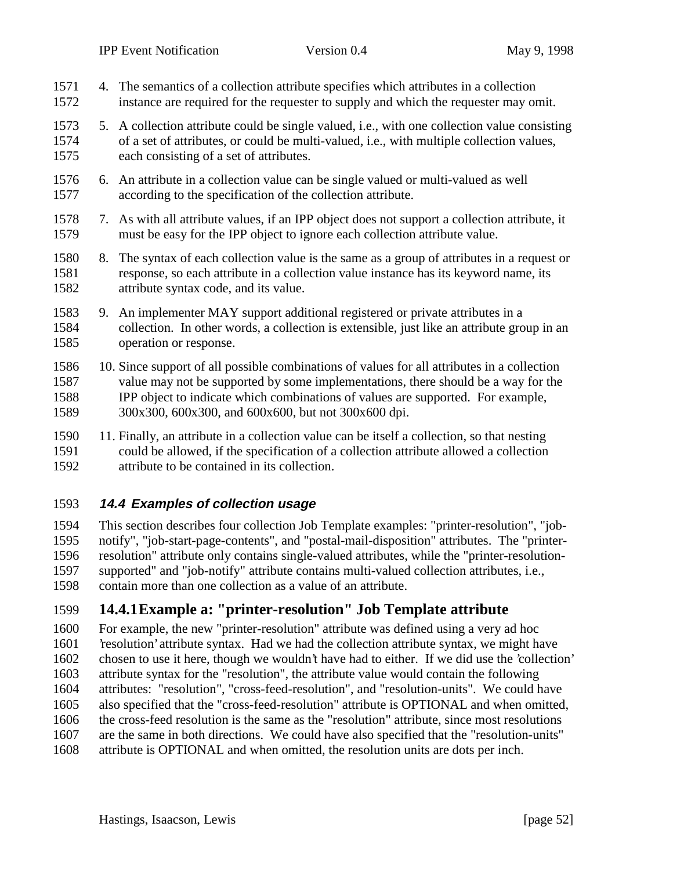| 1571<br>1572                 |    | 4. The semantics of a collection attribute specifies which attributes in a collection<br>instance are required for the requester to supply and which the requester may omit.                                                                                                                                               |
|------------------------------|----|----------------------------------------------------------------------------------------------------------------------------------------------------------------------------------------------------------------------------------------------------------------------------------------------------------------------------|
| 1573<br>1574<br>1575         |    | 5. A collection attribute could be single valued, i.e., with one collection value consisting<br>of a set of attributes, or could be multi-valued, i.e., with multiple collection values,<br>each consisting of a set of attributes.                                                                                        |
| 1576<br>1577                 |    | 6. An attribute in a collection value can be single valued or multi-valued as well<br>according to the specification of the collection attribute.                                                                                                                                                                          |
| 1578<br>1579                 |    | 7. As with all attribute values, if an IPP object does not support a collection attribute, it<br>must be easy for the IPP object to ignore each collection attribute value.                                                                                                                                                |
| 1580<br>1581<br>1582         | 8. | The syntax of each collection value is the same as a group of attributes in a request or<br>response, so each attribute in a collection value instance has its keyword name, its<br>attribute syntax code, and its value.                                                                                                  |
| 1583<br>1584<br>1585         |    | 9. An implementer MAY support additional registered or private attributes in a<br>collection. In other words, a collection is extensible, just like an attribute group in an<br>operation or response.                                                                                                                     |
| 1586<br>1587<br>1588<br>1589 |    | 10. Since support of all possible combinations of values for all attributes in a collection<br>value may not be supported by some implementations, there should be a way for the<br>IPP object to indicate which combinations of values are supported. For example,<br>300x300, 600x300, and 600x600, but not 300x600 dpi. |
| 1590                         |    | 11. Finally, an attribute in a collection value can be itself a collection, so that nesting                                                                                                                                                                                                                                |

 could be allowed, if the specification of a collection attribute allowed a collection attribute to be contained in its collection.

#### **14.4 Examples of collection usage**

 This section describes four collection Job Template examples: "printer-resolution", "job- notify", "job-start-page-contents", and "postal-mail-disposition" attributes. The "printer- resolution" attribute only contains single-valued attributes, while the "printer-resolution- supported" and "job-notify" attribute contains multi-valued collection attributes, i.e., contain more than one collection as a value of an attribute.

## **14.4.1Example a: "printer-resolution" Job Template attribute**

 For example, the new "printer-resolution" attribute was defined using a very ad hoc 'resolution' attribute syntax. Had we had the collection attribute syntax, we might have chosen to use it here, though we wouldn't have had to either. If we did use the 'collection' attribute syntax for the "resolution", the attribute value would contain the following attributes: "resolution", "cross-feed-resolution", and "resolution-units". We could have also specified that the "cross-feed-resolution" attribute is OPTIONAL and when omitted, the cross-feed resolution is the same as the "resolution" attribute, since most resolutions are the same in both directions. We could have also specified that the "resolution-units" attribute is OPTIONAL and when omitted, the resolution units are dots per inch.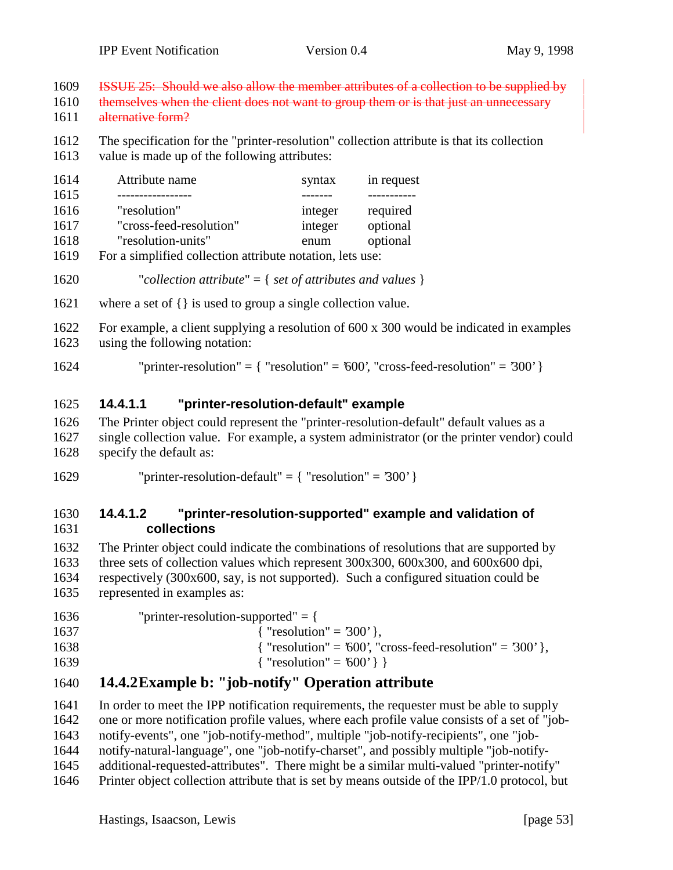ISSUE 25: Should we also allow the member attributes of a collection to be supplied by

- 1610 themselves when the client does not want to group them or is that just an unnecessary
- alternative form?
- The specification for the "printer-resolution" collection attribute is that its collection
- value is made up of the following attributes:

| 1614       | Attribute name          | syntax                                                                                                          | in request |
|------------|-------------------------|-----------------------------------------------------------------------------------------------------------------|------------|
| 1615       |                         |                                                                                                                 |            |
| 1616       | "resolution"            | integer                                                                                                         | required   |
| 1617       | "cross-feed-resolution" | integer                                                                                                         | optional   |
| 1618       | "resolution-units"      | enum                                                                                                            | optional   |
| 1, 2, 4, 0 |                         | the contract of the contract of the contract of the contract of the contract of the contract of the contract of |            |

For a simplified collection attribute notation, lets use:

```
1620 "collection attribute" = { set of attributes and values }
```
- where a set of {} is used to group a single collection value.
- For example, a client supplying a resolution of 600 x 300 would be indicated in examples using the following notation:
- 1624 "printer-resolution" =  $\{$  "resolution" = '600', "cross-feed-resolution" = '300'  $\}$

## **14.4.1.1 "printer-resolution-default" example**

- The Printer object could represent the "printer-resolution-default" default values as a single collection value. For example, a system administrator (or the printer vendor) could specify the default as:
- 1629 "printer-resolution-default" =  ${$  "resolution" = '300' }

#### **14.4.1.2 "printer-resolution-supported" example and validation of collections**

 The Printer object could indicate the combinations of resolutions that are supported by three sets of collection values which represent 300x300, 600x300, and 600x600 dpi, respectively (300x600, say, is not supported). Such a configured situation could be represented in examples as:

 "printer-resolution-supported" = {  $\{$  "resolution" = '300' },  ${$  "resolution" = '600', "cross-feed-resolution" = '300' },  $\{$  "resolution" = '600' } }

# **14.4.2Example b: "job-notify" Operation attribute**

 In order to meet the IPP notification requirements, the requester must be able to supply one or more notification profile values, where each profile value consists of a set of "job- notify-events", one "job-notify-method", multiple "job-notify-recipients", one "job- notify-natural-language", one "job-notify-charset", and possibly multiple "job-notify-additional-requested-attributes". There might be a similar multi-valued "printer-notify"

Printer object collection attribute that is set by means outside of the IPP/1.0 protocol, but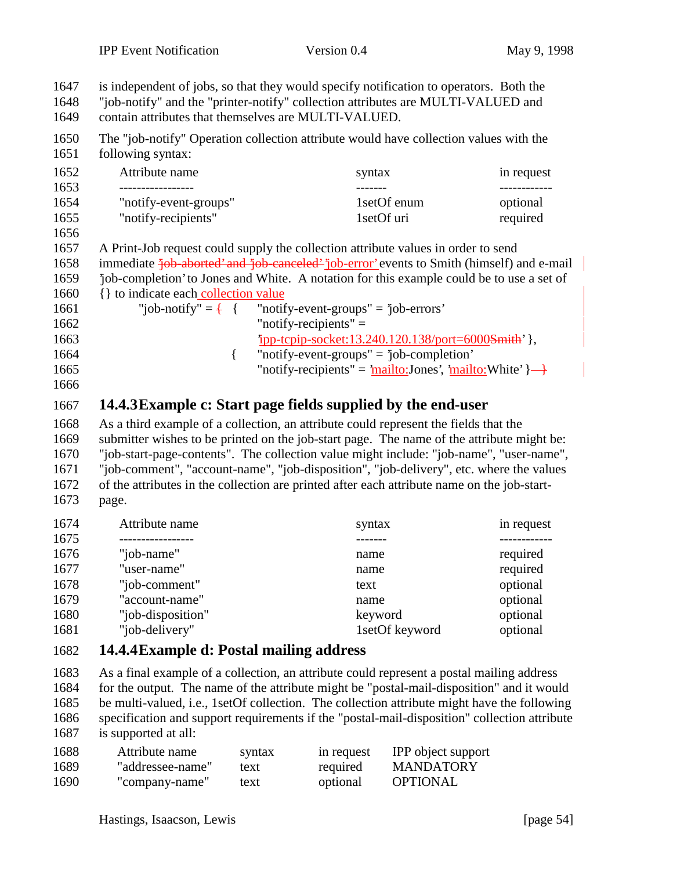| 1648<br>1649 | "job-notify" and the "printer-notify" collection attributes are MULTI-VALUED and<br>contain attributes that themselves are MULTI-VALUED. |             |            |  |
|--------------|------------------------------------------------------------------------------------------------------------------------------------------|-------------|------------|--|
| 1650<br>1651 | The "job-notify" Operation collection attribute would have collection values with the<br>following syntax:                               |             |            |  |
| 1652         | Attribute name                                                                                                                           | syntax      | in request |  |
| 1653         | . _ _ _ _ _ _ _ _ _ _ _ _ _ _ _                                                                                                          |             |            |  |
| 1654         | "notify-event-groups"                                                                                                                    | 1setOf enum | optional   |  |
| 1655         | "notify-recipients"                                                                                                                      | 1setOf uri  | required   |  |
| 1656         |                                                                                                                                          |             |            |  |
| 1657         | A Print-Job request could supply the collection attribute values in order to send                                                        |             |            |  |
| 1658         | immediate <i>job-aborted'</i> and <i>job-canceled' job-error'</i> events to Smith (himself) and e-mail                                   |             |            |  |
| 1659         | job-completion' to Jones and White. A notation for this example could be to use a set of                                                 |             |            |  |
| 1660         | {} to indicate each collection value                                                                                                     |             |            |  |
| 1661         | "job-notify" = $\frac{1}{2}$ { "notify-event-groups" = 'job-errors'                                                                      |             |            |  |

is independent of jobs, so that they would specify notification to operators. Both the

- "notify-recipients" =
- 'ipp-tcpip-socket:13.240.120.138/port=6000Smith' }, 1664 { "notify-event-groups" = 'job-completion' 1665 "notify-recipients" = 'mailto:Jones', 'mailto:White'  $\rightarrow$
- 

## **14.4.3Example c: Start page fields supplied by the end-user**

 As a third example of a collection, an attribute could represent the fields that the submitter wishes to be printed on the job-start page. The name of the attribute might be: "job-start-page-contents". The collection value might include: "job-name", "user-name", "job-comment", "account-name", "job-disposition", "job-delivery", etc. where the values of the attributes in the collection are printed after each attribute name on the job-start-page.

| 1674 | Attribute name    | syntax         | in request |
|------|-------------------|----------------|------------|
| 1675 |                   |                |            |
| 1676 | "job-name"        | name           | required   |
| 1677 | "user-name"       | name           | required   |
| 1678 | "job-comment"     | text           | optional   |
| 1679 | "account-name"    | name           | optional   |
| 1680 | "job-disposition" | keyword        | optional   |
| 1681 | "job-delivery"    | 1setOf keyword | optional   |

## **14.4.4Example d: Postal mailing address**

 As a final example of a collection, an attribute could represent a postal mailing address for the output. The name of the attribute might be "postal-mail-disposition" and it would be multi-valued, i.e., 1setOf collection. The collection attribute might have the following specification and support requirements if the "postal-mail-disposition" collection attribute is supported at all:

| 1688 | Attribute name   | syntax | in request | <b>IPP</b> object support |
|------|------------------|--------|------------|---------------------------|
| 1689 | "addressee-name" | text   | required   | MANDATORY                 |
| 1690 | "company-name"   | text   | optional   | <b>OPTIONAL</b>           |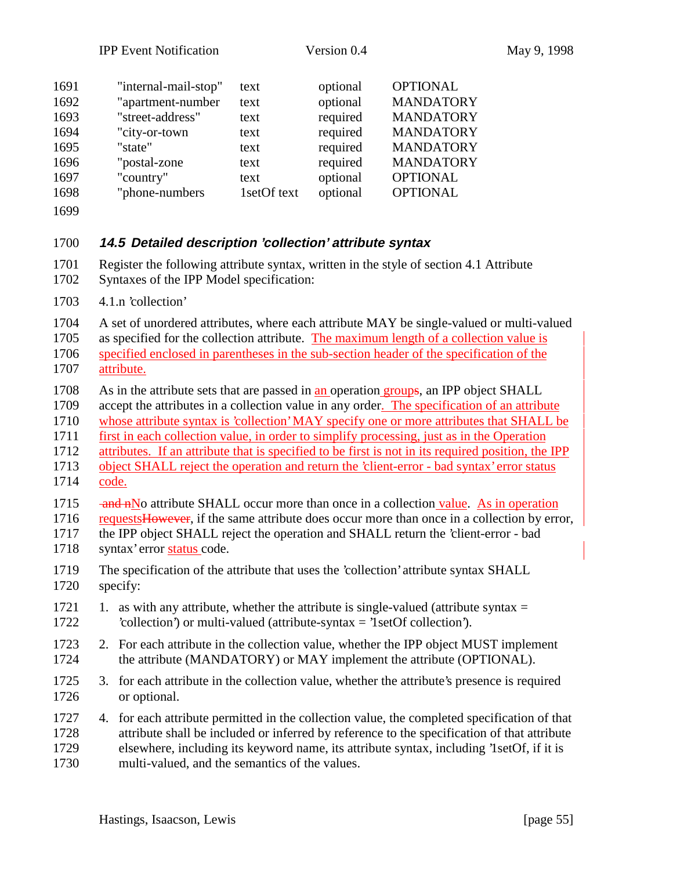| <b>OPTIONAL</b><br>optional<br>"country"<br>1697<br>text<br>optional<br><b>OPTIONAL</b><br>"phone-numbers<br>1setOf text<br>1698 | 1691<br>1692<br>1693<br>1694<br>1695 | "internal-mail-stop"<br>"apartment-number<br>"street-address"<br>"city-or-town<br>"state" | text<br>text<br>text<br>text<br>text | optional<br>optional<br>required<br>required<br>required | <b>OPTIONAL</b><br><b>MANDATORY</b><br><b>MANDATORY</b><br><b>MANDATORY</b><br><b>MANDATORY</b> |
|----------------------------------------------------------------------------------------------------------------------------------|--------------------------------------|-------------------------------------------------------------------------------------------|--------------------------------------|----------------------------------------------------------|-------------------------------------------------------------------------------------------------|
| <b>MANDATORY</b><br>"postal-zone"<br>required<br>text                                                                            |                                      |                                                                                           |                                      |                                                          |                                                                                                 |
| 1696                                                                                                                             |                                      |                                                                                           |                                      |                                                          |                                                                                                 |
|                                                                                                                                  |                                      |                                                                                           |                                      |                                                          |                                                                                                 |
|                                                                                                                                  |                                      |                                                                                           |                                      |                                                          |                                                                                                 |
|                                                                                                                                  |                                      |                                                                                           |                                      |                                                          |                                                                                                 |
|                                                                                                                                  |                                      |                                                                                           |                                      |                                                          |                                                                                                 |

#### **14.5 Detailed description 'collection' attribute syntax**

- Register the following attribute syntax, written in the style of section 4.1 Attribute
- Syntaxes of the IPP Model specification:
- 4.1.n 'collection'
- A set of unordered attributes, where each attribute MAY be single-valued or multi-valued as specified for the collection attribute. The maximum length of a collection value is
- specified enclosed in parentheses in the sub-section header of the specification of the attribute.
- As in the attribute sets that are passed in an operation groups, an IPP object SHALL
- accept the attributes in a collection value in any order. The specification of an attribute
- whose attribute syntax is 'collection' MAY specify one or more attributes that SHALL be
- first in each collection value, in order to simplify processing, just as in the Operation
- attributes. If an attribute that is specified to be first is not in its required position, the IPP
- object SHALL reject the operation and return the 'client-error bad syntax' error status code.
- 1715 and nNo attribute SHALL occur more than once in a collection value. As in operation
- 1716 requests However, if the same attribute does occur more than once in a collection by error,
- the IPP object SHALL reject the operation and SHALL return the 'client-error bad syntax' error status code.
- The specification of the attribute that uses the 'collection' attribute syntax SHALL specify:
- 1721 1. as with any attribute, whether the attribute is single-valued (attribute syntax  $=$ 'collection') or multi-valued (attribute-syntax = '1setOf collection').
- 2. For each attribute in the collection value, whether the IPP object MUST implement 1724 the attribute (MANDATORY) or MAY implement the attribute (OPTIONAL).
- 3. for each attribute in the collection value, whether the attribute's presence is required or optional.
- 4. for each attribute permitted in the collection value, the completed specification of that attribute shall be included or inferred by reference to the specification of that attribute elsewhere, including its keyword name, its attribute syntax, including '1setOf, if it is multi-valued, and the semantics of the values.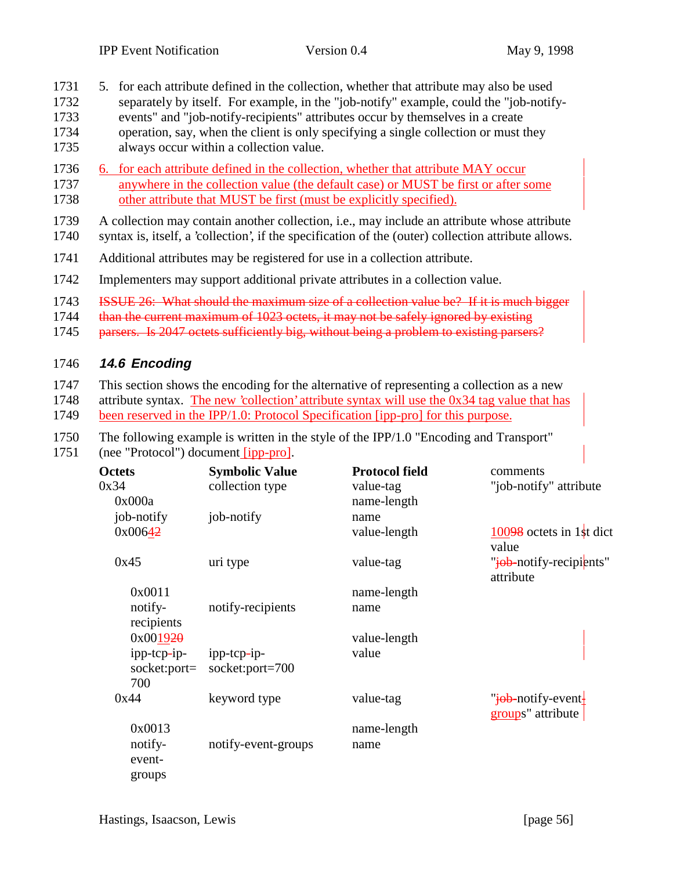- 1731 5. for each attribute defined in the collection, whether that attribute may also be used
- 1732 separately by itself. For example, in the "job-notify" example, could the "job-notify-
- 1733 events" and "job-notify-recipients" attributes occur by themselves in a create 1734 operation, say, when the client is only specifying a single collection or must they
- 1735 always occur within a collection value.
- 1736 6. for each attribute defined in the collection, whether that attribute MAY occur 1737 anywhere in the collection value (the default case) or MUST be first or after some 1738 other attribute that MUST be first (must be explicitly specified).
- 1739 A collection may contain another collection, i.e., may include an attribute whose attribute 1740 syntax is, itself, a 'collection', if the specification of the (outer) collection attribute allows.
- 1741 Additional attributes may be registered for use in a collection attribute.
- 1742 Implementers may support additional private attributes in a collection value.
- 1743 ISSUE 26: What should the maximum size of a collection value be? If it is much bigger
- 1744 than the current maximum of 1023 octets, it may not be safely ignored by existing
- 1745 parsers. Is 2047 octets sufficiently big, without being a problem to existing parsers?

#### 1746 **14.6 Encoding**

- 1747 This section shows the encoding for the alternative of representing a collection as a new
- 1748 attribute syntax. The new 'collection' attribute syntax will use the 0x34 tag value that has
- 1749 been reserved in the IPP/1.0: Protocol Specification [ipp-pro] for this purpose.
- 1750 The following example is written in the style of the IPP/1.0 "Encoding and Transport"
- 1751 (nee "Protocol") document [ipp-pro].

| <b>Octets</b><br>0x34<br>0x000a    | <b>Symbolic Value</b><br>collection type | <b>Protocol field</b><br>value-tag<br>name-length | comments<br>"job-notify" attribute                               |
|------------------------------------|------------------------------------------|---------------------------------------------------|------------------------------------------------------------------|
| job-notify<br>0x00642              | job-notify                               | name<br>value-length                              | $10098$ octets in 1st dict<br>value                              |
| 0x45                               | uri type                                 | value-tag                                         | "iob-notify-recipients"<br>attribute                             |
| 0x0011                             |                                          | name-length                                       |                                                                  |
| notify-<br>recipients              | notify-recipients                        | name                                              |                                                                  |
| 0x001920                           |                                          | value-length                                      |                                                                  |
| ipp-tcp-ip-<br>socket:port=<br>700 | ipp-tcp-ip-<br>socket:port=700           | value                                             |                                                                  |
| 0x44                               | keyword type                             | value-tag                                         | " <del>job-</del> notify-event <del> </del><br>groups" attribute |
| 0x0013                             |                                          | name-length                                       |                                                                  |
| notify-<br>event-<br>groups        | notify-event-groups                      | name                                              |                                                                  |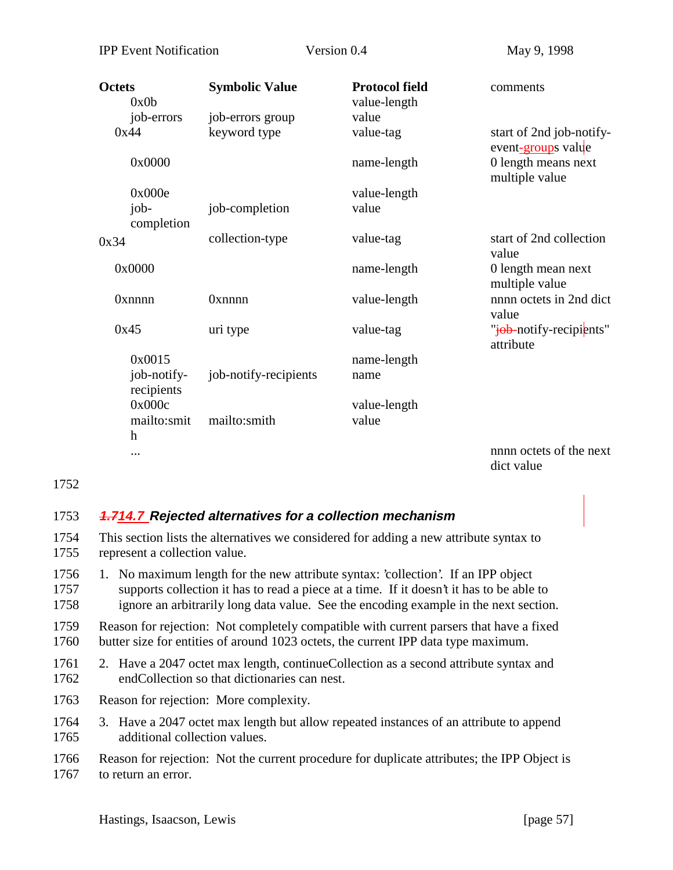| <b>Octets</b><br>0x0b     | <b>Symbolic Value</b> | <b>Protocol field</b><br>value-length | comments                                       |
|---------------------------|-----------------------|---------------------------------------|------------------------------------------------|
| job-errors                | job-errors group      | value                                 |                                                |
| 0x44                      | keyword type          | value-tag                             | start of 2nd job-notify-<br>event-groups value |
| 0x0000                    |                       | name-length                           | 0 length means next<br>multiple value          |
| 0x000e                    |                       | value-length                          |                                                |
| job-<br>completion        | job-completion        | value                                 |                                                |
| 0x34                      | collection-type       | value-tag                             | start of 2nd collection<br>value               |
| 0x0000                    |                       | name-length                           | 0 length mean next<br>multiple value           |
| <b>Oxnnnn</b>             | Oxnnnn                | value-length                          | nnnn octets in 2nd dict<br>value               |
| 0x45                      | uri type              | value-tag                             | "iob-notify-recipients"<br>attribute           |
| 0x0015                    |                       | name-length                           |                                                |
| job-notify-<br>recipients | job-notify-recipients | name                                  |                                                |
| 0x000c                    |                       | value-length                          |                                                |
| mailto:smit               | mailto:smith          | value                                 |                                                |
| h                         |                       |                                       |                                                |
|                           |                       |                                       | nnnn octets of the next<br>dict value          |

1752

#### 1753 **1.714.7 Rejected alternatives for a collection mechanism**

- 1754 This section lists the alternatives we considered for adding a new attribute syntax to 1755 represent a collection value.
- 1756 1. No maximum length for the new attribute syntax: 'collection'. If an IPP object 1757 supports collection it has to read a piece at a time. If it doesn't it has to be able to 1758 ignore an arbitrarily long data value. See the encoding example in the next section.
- 1759 Reason for rejection: Not completely compatible with current parsers that have a fixed 1760 butter size for entities of around 1023 octets, the current IPP data type maximum.
- 1761 2. Have a 2047 octet max length, continueCollection as a second attribute syntax and 1762 endCollection so that dictionaries can nest.
- 1763 Reason for rejection: More complexity.
- 1764 3. Have a 2047 octet max length but allow repeated instances of an attribute to append 1765 additional collection values.

1766 Reason for rejection: Not the current procedure for duplicate attributes; the IPP Object is 1767 to return an error.